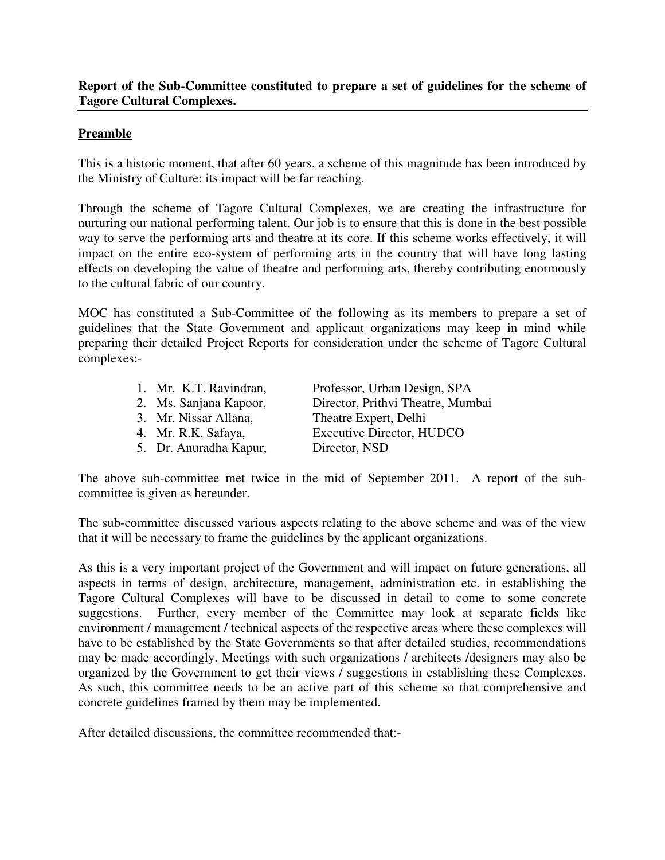## **Report of the Sub-Committee constituted to prepare a set of guidelines for the scheme of Tagore Cultural Complexes.**

## **Preamble**

This is a historic moment, that after 60 years, a scheme of this magnitude has been introduced by the Ministry of Culture: its impact will be far reaching.

Through the scheme of Tagore Cultural Complexes, we are creating the infrastructure for nurturing our national performing talent. Our job is to ensure that this is done in the best possible way to serve the performing arts and theatre at its core. If this scheme works effectively, it will impact on the entire eco-system of performing arts in the country that will have long lasting effects on developing the value of theatre and performing arts, thereby contributing enormously to the cultural fabric of our country.

MOC has constituted a Sub-Committee of the following as its members to prepare a set of guidelines that the State Government and applicant organizations may keep in mind while preparing their detailed Project Reports for consideration under the scheme of Tagore Cultural complexes:-

| 1. Mr. K.T. Ravindran, | Professor, Urban Design, SPA      |
|------------------------|-----------------------------------|
| 2. Ms. Sanjana Kapoor, | Director, Prithvi Theatre, Mumbai |
| 3. Mr. Nissar Allana,  | Theatre Expert, Delhi             |
| 4. Mr. R.K. Safaya,    | <b>Executive Director, HUDCO</b>  |
| 5. Dr. Anuradha Kapur, | Director, NSD                     |
|                        |                                   |

The above sub-committee met twice in the mid of September 2011. A report of the subcommittee is given as hereunder.

The sub-committee discussed various aspects relating to the above scheme and was of the view that it will be necessary to frame the guidelines by the applicant organizations.

As this is a very important project of the Government and will impact on future generations, all aspects in terms of design, architecture, management, administration etc. in establishing the Tagore Cultural Complexes will have to be discussed in detail to come to some concrete suggestions. Further, every member of the Committee may look at separate fields like environment / management / technical aspects of the respective areas where these complexes will have to be established by the State Governments so that after detailed studies, recommendations may be made accordingly. Meetings with such organizations / architects /designers may also be organized by the Government to get their views / suggestions in establishing these Complexes. As such, this committee needs to be an active part of this scheme so that comprehensive and concrete guidelines framed by them may be implemented.

After detailed discussions, the committee recommended that:-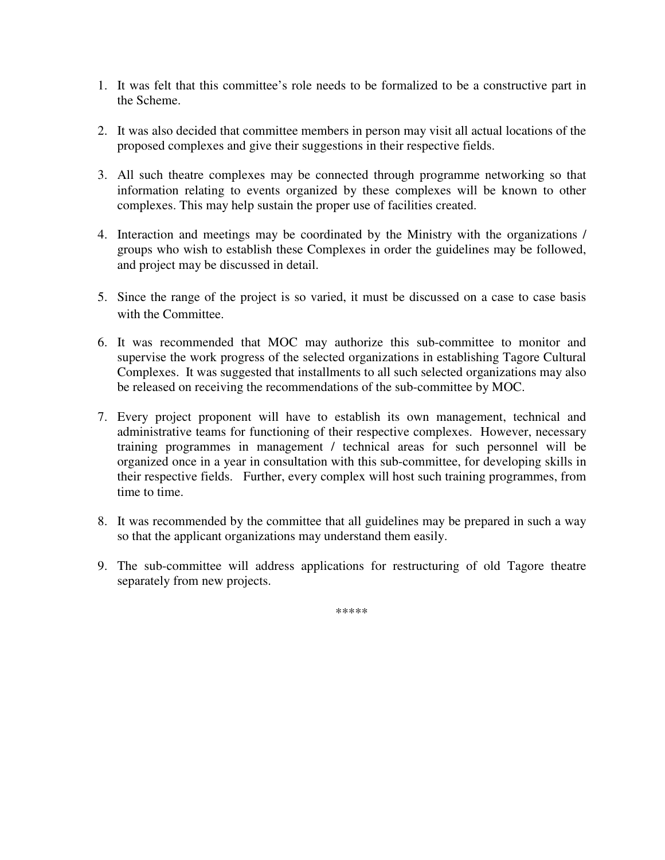- 1. It was felt that this committee's role needs to be formalized to be a constructive part in the Scheme.
- 2. It was also decided that committee members in person may visit all actual locations of the proposed complexes and give their suggestions in their respective fields.
- 3. All such theatre complexes may be connected through programme networking so that information relating to events organized by these complexes will be known to other complexes. This may help sustain the proper use of facilities created.
- 4. Interaction and meetings may be coordinated by the Ministry with the organizations / groups who wish to establish these Complexes in order the guidelines may be followed, and project may be discussed in detail.
- 5. Since the range of the project is so varied, it must be discussed on a case to case basis with the Committee.
- 6. It was recommended that MOC may authorize this sub-committee to monitor and supervise the work progress of the selected organizations in establishing Tagore Cultural Complexes. It was suggested that installments to all such selected organizations may also be released on receiving the recommendations of the sub-committee by MOC.
- 7. Every project proponent will have to establish its own management, technical and administrative teams for functioning of their respective complexes. However, necessary training programmes in management / technical areas for such personnel will be organized once in a year in consultation with this sub-committee, for developing skills in their respective fields. Further, every complex will host such training programmes, from time to time.
- 8. It was recommended by the committee that all guidelines may be prepared in such a way so that the applicant organizations may understand them easily.
- 9. The sub-committee will address applications for restructuring of old Tagore theatre separately from new projects.

\*\*\*\*\*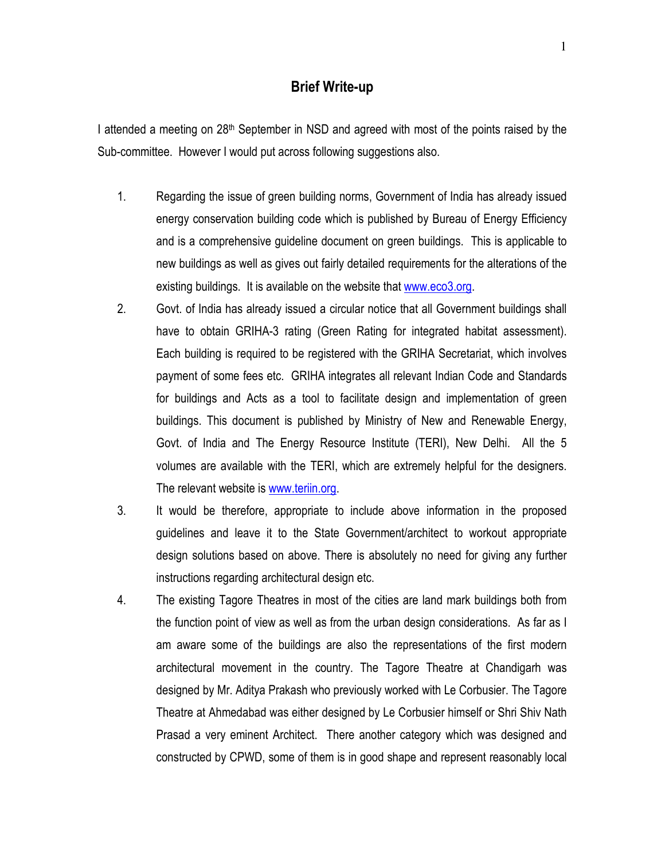## Brief Write-up

I attended a meeting on  $28<sup>th</sup>$  September in NSD and agreed with most of the points raised by the Sub-committee. However I would put across following suggestions also.

- 1. Regarding the issue of green building norms, Government of India has already issued energy conservation building code which is published by Bureau of Energy Efficiency and is a comprehensive guideline document on green buildings. This is applicable to new buildings as well as gives out fairly detailed requirements for the alterations of the existing buildings. It is available on the website that www.eco3.org.
- 2. Govt. of India has already issued a circular notice that all Government buildings shall have to obtain GRIHA-3 rating (Green Rating for integrated habitat assessment). Each building is required to be registered with the GRIHA Secretariat, which involves payment of some fees etc. GRIHA integrates all relevant Indian Code and Standards for buildings and Acts as a tool to facilitate design and implementation of green buildings. This document is published by Ministry of New and Renewable Energy, Govt. of India and The Energy Resource Institute (TERI), New Delhi. All the 5 volumes are available with the TERI, which are extremely helpful for the designers. The relevant website is www.teriin.org.
- 3. It would be therefore, appropriate to include above information in the proposed guidelines and leave it to the State Government/architect to workout appropriate design solutions based on above. There is absolutely no need for giving any further instructions regarding architectural design etc.
- 4. The existing Tagore Theatres in most of the cities are land mark buildings both from the function point of view as well as from the urban design considerations. As far as I am aware some of the buildings are also the representations of the first modern architectural movement in the country. The Tagore Theatre at Chandigarh was designed by Mr. Aditya Prakash who previously worked with Le Corbusier. The Tagore Theatre at Ahmedabad was either designed by Le Corbusier himself or Shri Shiv Nath Prasad a very eminent Architect. There another category which was designed and constructed by CPWD, some of them is in good shape and represent reasonably local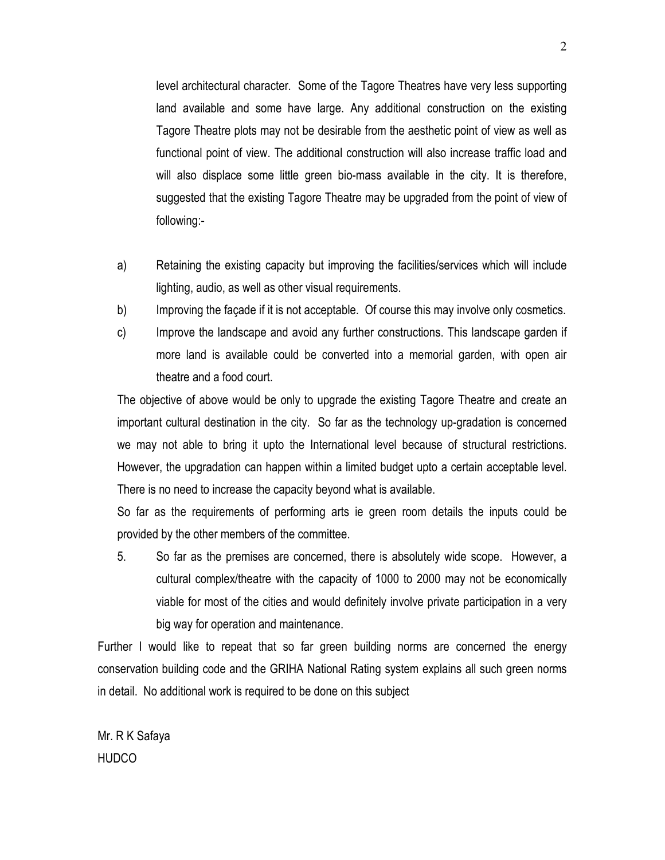level architectural character. Some of the Tagore Theatres have very less supporting land available and some have large. Any additional construction on the existing Tagore Theatre plots may not be desirable from the aesthetic point of view as well as functional point of view. The additional construction will also increase traffic load and will also displace some little green bio-mass available in the city. It is therefore, suggested that the existing Tagore Theatre may be upgraded from the point of view of following:-

- a) Retaining the existing capacity but improving the facilities/services which will include lighting, audio, as well as other visual requirements.
- b) Improving the façade if it is not acceptable. Of course this may involve only cosmetics.
- c) Improve the landscape and avoid any further constructions. This landscape garden if more land is available could be converted into a memorial garden, with open air theatre and a food court.

The objective of above would be only to upgrade the existing Tagore Theatre and create an important cultural destination in the city. So far as the technology up-gradation is concerned we may not able to bring it upto the International level because of structural restrictions. However, the upgradation can happen within a limited budget upto a certain acceptable level. There is no need to increase the capacity beyond what is available.

So far as the requirements of performing arts ie green room details the inputs could be provided by the other members of the committee.

5. So far as the premises are concerned, there is absolutely wide scope. However, a cultural complex/theatre with the capacity of 1000 to 2000 may not be economically viable for most of the cities and would definitely involve private participation in a very big way for operation and maintenance.

Further I would like to repeat that so far green building norms are concerned the energy conservation building code and the GRIHA National Rating system explains all such green norms in detail. No additional work is required to be done on this subject

Mr. R K Safaya **HUDCO**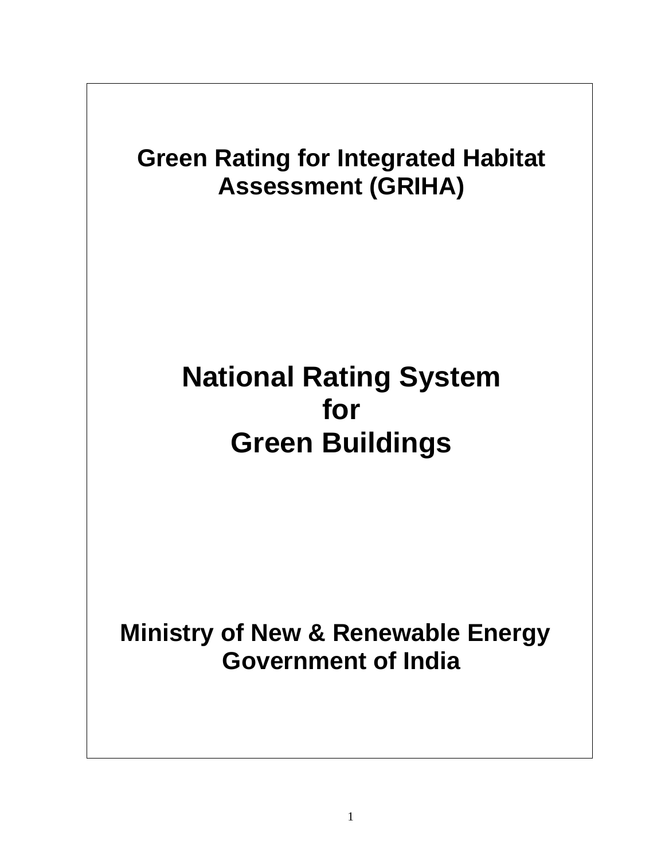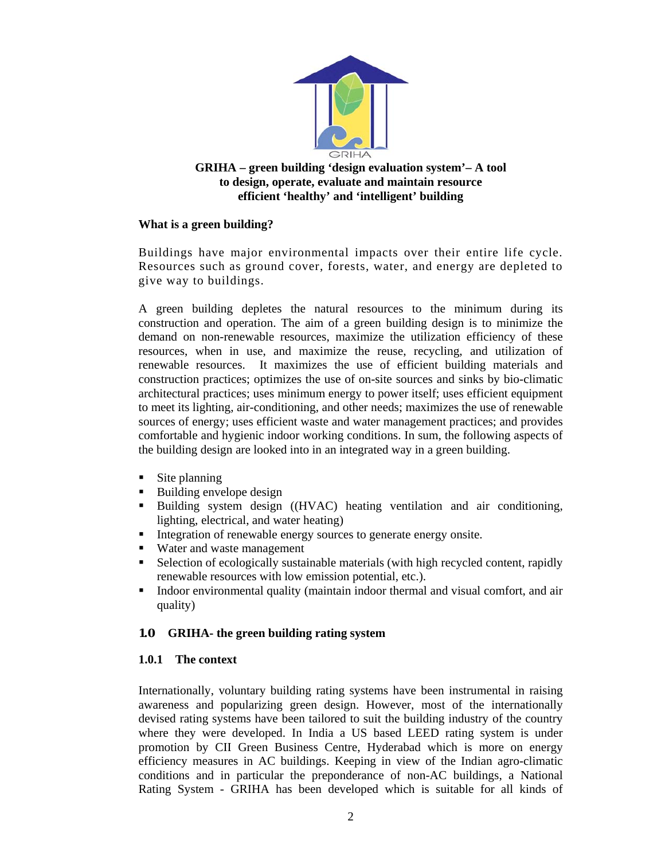

## **GRIHA – green building 'design evaluation system'– A tool to design, operate, evaluate and maintain resource efficient 'healthy' and 'intelligent' building**

## **What is a green building?**

Buildings have major environmental impacts over their entire life cycle. Resources such as ground cover, forests, water, and energy are depleted to give way to buildings.

A green building depletes the natural resources to the minimum during its construction and operation. The aim of a green building design is to minimize the demand on non-renewable resources, maximize the utilization efficiency of these resources, when in use, and maximize the reuse, recycling, and utilization of renewable resources. It maximizes the use of efficient building materials and construction practices; optimizes the use of on-site sources and sinks by bio-climatic architectural practices; uses minimum energy to power itself; uses efficient equipment to meet its lighting, air-conditioning, and other needs; maximizes the use of renewable sources of energy; uses efficient waste and water management practices; and provides comfortable and hygienic indoor working conditions. In sum, the following aspects of the building design are looked into in an integrated way in a green building.

- Site planning
- Building envelope design
- Building system design ((HVAC) heating ventilation and air conditioning, lighting, electrical, and water heating)
- Integration of renewable energy sources to generate energy onsite.
- Water and waste management
- Selection of ecologically sustainable materials (with high recycled content, rapidly renewable resources with low emission potential, etc.).
- Indoor environmental quality (maintain indoor thermal and visual comfort, and air quality)

## **1.0 GRIHA- the green building rating system**

## **1.0.1 The context**

Internationally, voluntary building rating systems have been instrumental in raising awareness and popularizing green design. However, most of the internationally devised rating systems have been tailored to suit the building industry of the country where they were developed. In India a US based LEED rating system is under promotion by CII Green Business Centre, Hyderabad which is more on energy efficiency measures in AC buildings. Keeping in view of the Indian agro-climatic conditions and in particular the preponderance of non-AC buildings, a National Rating System - GRIHA has been developed which is suitable for all kinds of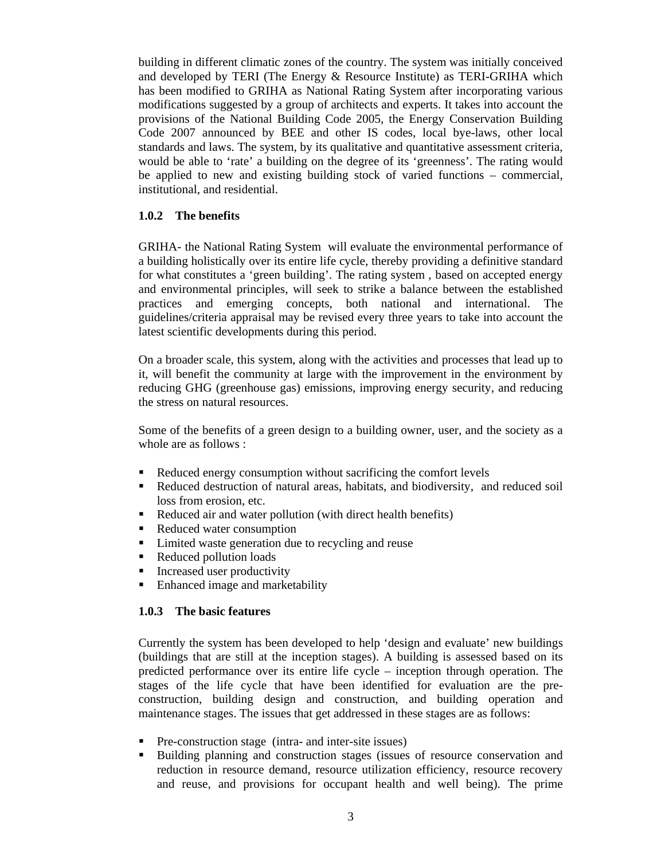building in different climatic zones of the country. The system was initially conceived and developed by TERI (The Energy & Resource Institute) as TERI-GRIHA which has been modified to GRIHA as National Rating System after incorporating various modifications suggested by a group of architects and experts. It takes into account the provisions of the National Building Code 2005, the Energy Conservation Building Code 2007 announced by BEE and other IS codes, local bye-laws, other local standards and laws. The system, by its qualitative and quantitative assessment criteria, would be able to 'rate' a building on the degree of its 'greenness'. The rating would be applied to new and existing building stock of varied functions – commercial, institutional, and residential.

## **1.0.2 The benefits**

GRIHA- the National Rating System will evaluate the environmental performance of a building holistically over its entire life cycle, thereby providing a definitive standard for what constitutes a 'green building'. The rating system , based on accepted energy and environmental principles, will seek to strike a balance between the established practices and emerging concepts, both national and international. The guidelines/criteria appraisal may be revised every three years to take into account the latest scientific developments during this period.

On a broader scale, this system, along with the activities and processes that lead up to it, will benefit the community at large with the improvement in the environment by reducing GHG (greenhouse gas) emissions, improving energy security, and reducing the stress on natural resources.

Some of the benefits of a green design to a building owner, user, and the society as a whole are as follows :

- Reduced energy consumption without sacrificing the comfort levels
- Reduced destruction of natural areas, habitats, and biodiversity, and reduced soil loss from erosion, etc.
- Reduced air and water pollution (with direct health benefits)
- Reduced water consumption
- Limited waste generation due to recycling and reuse
- Reduced pollution loads
- Increased user productivity
- Enhanced image and marketability

#### **1.0.3 The basic features**

Currently the system has been developed to help 'design and evaluate' new buildings (buildings that are still at the inception stages). A building is assessed based on its predicted performance over its entire life cycle – inception through operation. The stages of the life cycle that have been identified for evaluation are the preconstruction, building design and construction, and building operation and maintenance stages. The issues that get addressed in these stages are as follows:

- **Pre-construction stage (intra- and inter-site issues)**
- Building planning and construction stages (issues of resource conservation and reduction in resource demand, resource utilization efficiency, resource recovery and reuse, and provisions for occupant health and well being). The prime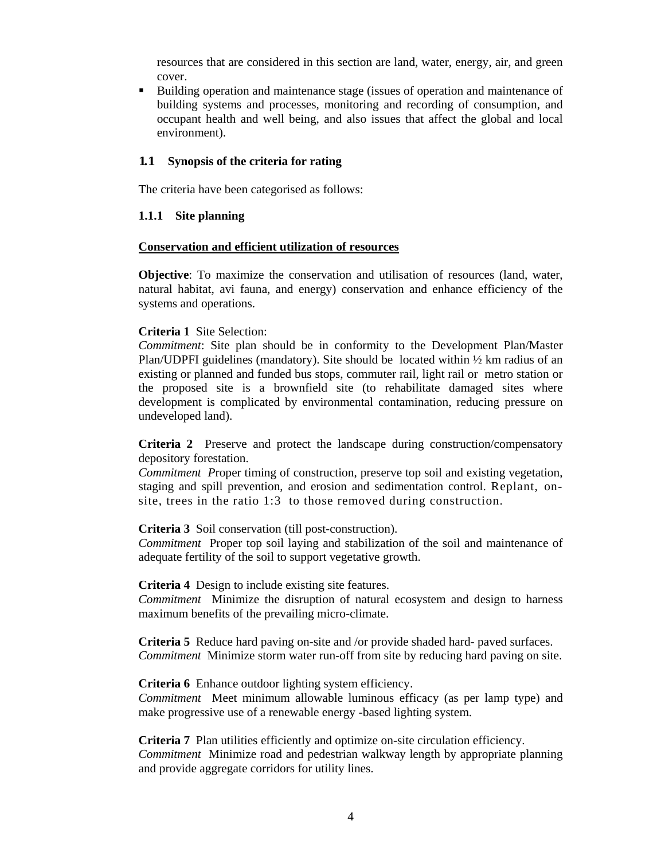resources that are considered in this section are land, water, energy, air, and green cover.

 Building operation and maintenance stage (issues of operation and maintenance of building systems and processes, monitoring and recording of consumption, and occupant health and well being, and also issues that affect the global and local environment).

### **1.1 Synopsis of the criteria for rating**

The criteria have been categorised as follows:

### **1.1.1 Site planning**

#### **Conservation and efficient utilization of resources**

**Objective**: To maximize the conservation and utilisation of resources (land, water, natural habitat, avi fauna, and energy) conservation and enhance efficiency of the systems and operations.

## **Criteria 1** Site Selection:

*Commitment*: Site plan should be in conformity to the Development Plan/Master Plan/UDPFI guidelines (mandatory). Site should be located within  $\frac{1}{2}$  km radius of an existing or planned and funded bus stops, commuter rail, light rail or metro station or the proposed site is a brownfield site (to rehabilitate damaged sites where development is complicated by environmental contamination, reducing pressure on undeveloped land).

**Criteria 2** Preserve and protect the landscape during construction/compensatory depository forestation.

*Commitment P*roper timing of construction, preserve top soil and existing vegetation, staging and spill prevention, and erosion and sedimentation control. Replant, onsite, trees in the ratio 1:3 to those removed during construction.

**Criteria 3** Soil conservation (till post-construction).

*Commitment* Proper top soil laying and stabilization of the soil and maintenance of adequate fertility of the soil to support vegetative growth.

**Criteria 4** Design to include existing site features.

*Commitment* Minimize the disruption of natural ecosystem and design to harness maximum benefits of the prevailing micro-climate.

**Criteria 5** Reduce hard paving on-site and /or provide shaded hard- paved surfaces. *Commitment* Minimize storm water run-off from site by reducing hard paving on site.

**Criteria 6** Enhance outdoor lighting system efficiency.

*Commitment* Meet minimum allowable luminous efficacy (as per lamp type) and make progressive use of a renewable energy -based lighting system.

**Criteria 7** Plan utilities efficiently and optimize on-site circulation efficiency. *Commitment* Minimize road and pedestrian walkway length by appropriate planning and provide aggregate corridors for utility lines.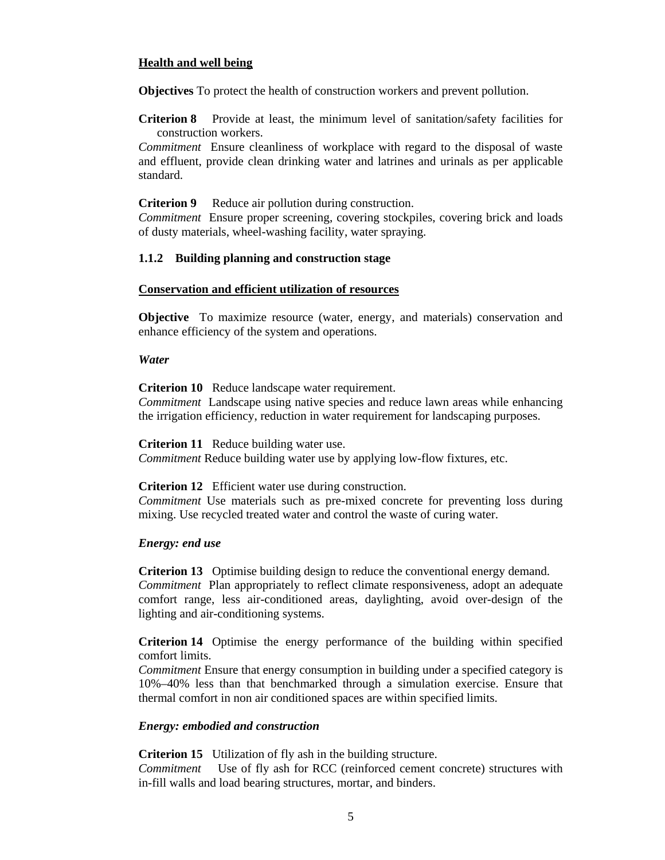## **Health and well being**

**Objectives** To protect the health of construction workers and prevent pollution.

**Criterion 8** Provide at least, the minimum level of sanitation/safety facilities for construction workers.

*Commitment* Ensure cleanliness of workplace with regard to the disposal of waste and effluent, provide clean drinking water and latrines and urinals as per applicable standard.

**Criterion 9** Reduce air pollution during construction.

*Commitment* Ensure proper screening, covering stockpiles, covering brick and loads of dusty materials, wheel-washing facility, water spraying.

## **1.1.2 Building planning and construction stage**

### **Conservation and efficient utilization of resources**

**Objective** To maximize resource (water, energy, and materials) conservation and enhance efficiency of the system and operations.

#### *Water*

**Criterion 10** Reduce landscape water requirement.

*Commitment* Landscape using native species and reduce lawn areas while enhancing the irrigation efficiency, reduction in water requirement for landscaping purposes.

**Criterion 11** Reduce building water use.

*Commitment* Reduce building water use by applying low-flow fixtures, etc.

**Criterion 12** Efficient water use during construction.

*Commitment* Use materials such as pre-mixed concrete for preventing loss during mixing. Use recycled treated water and control the waste of curing water.

## *Energy: end use*

**Criterion 13** Optimise building design to reduce the conventional energy demand. *Commitment* Plan appropriately to reflect climate responsiveness, adopt an adequate comfort range, less air-conditioned areas, daylighting, avoid over-design of the lighting and air-conditioning systems.

**Criterion 14** Optimise the energy performance of the building within specified comfort limits.

*Commitment* Ensure that energy consumption in building under a specified category is 10%–40% less than that benchmarked through a simulation exercise. Ensure that thermal comfort in non air conditioned spaces are within specified limits.

## *Energy: embodied and construction*

**Criterion 15** Utilization of fly ash in the building structure.

*Commitment* Use of fly ash for RCC (reinforced cement concrete) structures with in-fill walls and load bearing structures, mortar, and binders.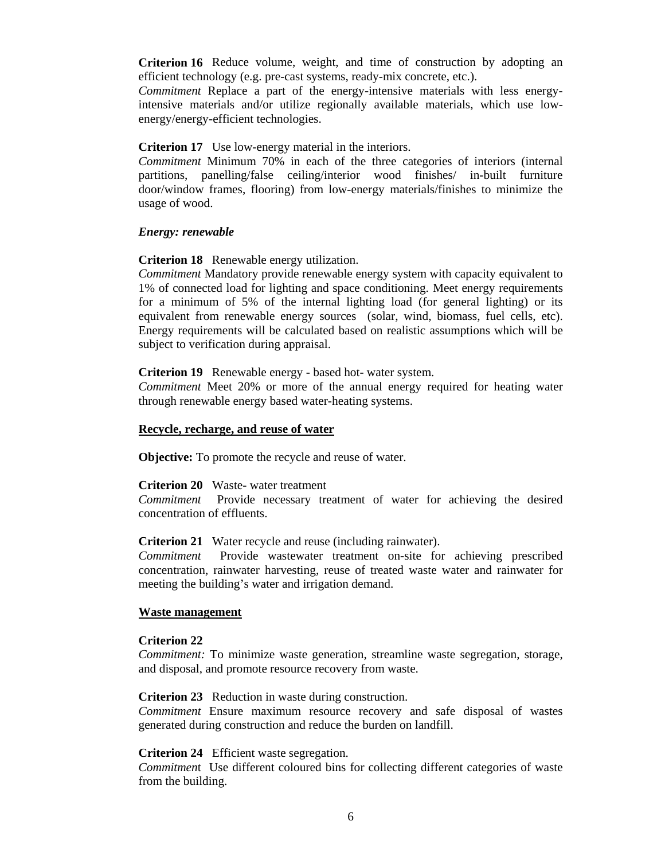**Criterion 16** Reduce volume, weight, and time of construction by adopting an efficient technology (e.g. pre-cast systems, ready-mix concrete, etc.).

*Commitment* Replace a part of the energy-intensive materials with less energyintensive materials and/or utilize regionally available materials, which use lowenergy/energy-efficient technologies.

**Criterion 17** Use low-energy material in the interiors.

*Commitment* Minimum 70% in each of the three categories of interiors (internal partitions, panelling/false ceiling/interior wood finishes/ in-built furniture door/window frames, flooring) from low-energy materials/finishes to minimize the usage of wood.

#### *Energy: renewable*

**Criterion 18** Renewable energy utilization.

*Commitment* Mandatory provide renewable energy system with capacity equivalent to 1% of connected load for lighting and space conditioning. Meet energy requirements for a minimum of 5% of the internal lighting load (for general lighting) or its equivalent from renewable energy sources (solar, wind, biomass, fuel cells, etc). Energy requirements will be calculated based on realistic assumptions which will be subject to verification during appraisal.

**Criterion 19** Renewable energy - based hot- water system.

*Commitment* Meet 20% or more of the annual energy required for heating water through renewable energy based water-heating systems.

#### **Recycle, recharge, and reuse of water**

**Objective:** To promote the recycle and reuse of water.

**Criterion 20** Waste- water treatment

*Commitment* Provide necessary treatment of water for achieving the desired concentration of effluents.

**Criterion 21** Water recycle and reuse (including rainwater).

*Commitment* Provide wastewater treatment on-site for achieving prescribed concentration, rainwater harvesting, reuse of treated waste water and rainwater for meeting the building's water and irrigation demand.

#### **Waste management**

#### **Criterion 22**

*Commitment:* To minimize waste generation, streamline waste segregation, storage, and disposal, and promote resource recovery from waste.

**Criterion 23** Reduction in waste during construction.

*Commitment* Ensure maximum resource recovery and safe disposal of wastes generated during construction and reduce the burden on landfill.

**Criterion 24** Efficient waste segregation.

*Commitmen*t Use different coloured bins for collecting different categories of waste from the building.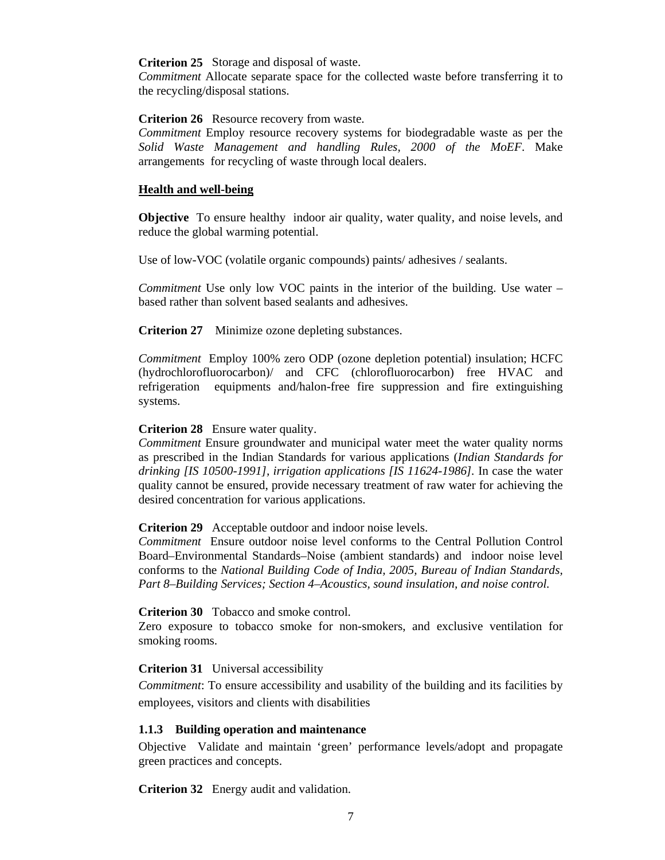#### **Criterion 25** Storage and disposal of waste.

*Commitment* Allocate separate space for the collected waste before transferring it to the recycling/disposal stations.

#### **Criterion 26** Resource recovery from waste.

*Commitment* Employ resource recovery systems for biodegradable waste as per the *Solid Waste Management and handling Rules, 2000 of the MoEF*. Make arrangements for recycling of waste through local dealers.

#### **Health and well-being**

**Objective** To ensure healthy indoor air quality, water quality, and noise levels, and reduce the global warming potential.

Use of low-VOC (volatile organic compounds) paints/ adhesives / sealants.

*Commitment* Use only low VOC paints in the interior of the building. Use water – based rather than solvent based sealants and adhesives.

**Criterion 27** Minimize ozone depleting substances.

*Commitment* Employ 100% zero ODP (ozone depletion potential) insulation; HCFC (hydrochlorofluorocarbon)/ and CFC (chlorofluorocarbon) free HVAC and refrigeration equipments and/halon-free fire suppression and fire extinguishing systems.

#### **Criterion 28** Ensure water quality.

*Commitment* Ensure groundwater and municipal water meet the water quality norms as prescribed in the Indian Standards for various applications (*Indian Standards for drinking [IS 10500-1991], irrigation applications [IS 11624-1986].* In case the water quality cannot be ensured, provide necessary treatment of raw water for achieving the desired concentration for various applications.

#### **Criterion 29** Acceptable outdoor and indoor noise levels.

*Commitment* Ensure outdoor noise level conforms to the Central Pollution Control Board–Environmental Standards–Noise (ambient standards) and indoor noise level conforms to the *National Building Code of India, 2005, Bureau of Indian Standards, Part 8–Building Services; Section 4–Acoustics, sound insulation, and noise control.*

#### **Criterion 30** Tobacco and smoke control.

Zero exposure to tobacco smoke for non-smokers, and exclusive ventilation for smoking rooms.

## **Criterion 31** Universal accessibility

*Commitment*: To ensure accessibility and usability of the building and its facilities by employees, visitors and clients with disabilities

## **1.1.3 Building operation and maintenance**

Objective Validate and maintain 'green' performance levels/adopt and propagate green practices and concepts.

**Criterion 32** Energy audit and validation.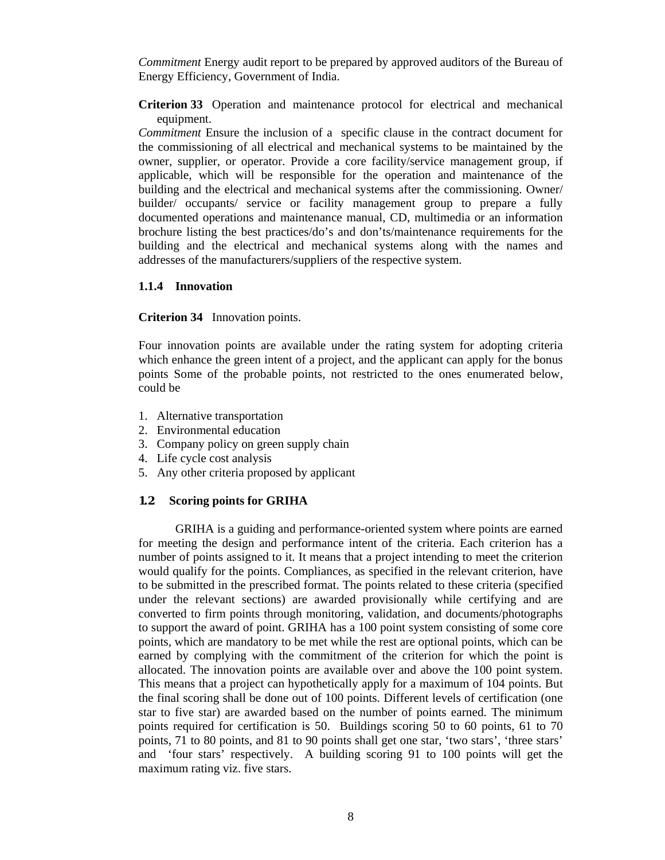*Commitment* Energy audit report to be prepared by approved auditors of the Bureau of Energy Efficiency, Government of India.

**Criterion 33** Operation and maintenance protocol for electrical and mechanical equipment.

*Commitment* Ensure the inclusion of a specific clause in the contract document for the commissioning of all electrical and mechanical systems to be maintained by the owner, supplier, or operator. Provide a core facility/service management group, if applicable, which will be responsible for the operation and maintenance of the building and the electrical and mechanical systems after the commissioning. Owner/ builder/ occupants/ service or facility management group to prepare a fully documented operations and maintenance manual, CD, multimedia or an information brochure listing the best practices/do's and don'ts/maintenance requirements for the building and the electrical and mechanical systems along with the names and addresses of the manufacturers/suppliers of the respective system.

### **1.1.4 Innovation**

**Criterion 34** Innovation points.

Four innovation points are available under the rating system for adopting criteria which enhance the green intent of a project, and the applicant can apply for the bonus points Some of the probable points, not restricted to the ones enumerated below, could be

- 1. Alternative transportation
- 2. Environmental education
- 3. Company policy on green supply chain
- 4. Life cycle cost analysis
- 5. Any other criteria proposed by applicant

#### **1.2 Scoring points for GRIHA**

GRIHA is a guiding and performance-oriented system where points are earned for meeting the design and performance intent of the criteria. Each criterion has a number of points assigned to it. It means that a project intending to meet the criterion would qualify for the points. Compliances, as specified in the relevant criterion, have to be submitted in the prescribed format. The points related to these criteria (specified under the relevant sections) are awarded provisionally while certifying and are converted to firm points through monitoring, validation, and documents/photographs to support the award of point. GRIHA has a 100 point system consisting of some core points, which are mandatory to be met while the rest are optional points, which can be earned by complying with the commitment of the criterion for which the point is allocated. The innovation points are available over and above the 100 point system. This means that a project can hypothetically apply for a maximum of 104 points. But the final scoring shall be done out of 100 points. Different levels of certification (one star to five star) are awarded based on the number of points earned. The minimum points required for certification is 50. Buildings scoring 50 to 60 points, 61 to 70 points, 71 to 80 points, and 81 to 90 points shall get one star, 'two stars', 'three stars' and 'four stars' respectively. A building scoring 91 to 100 points will get the maximum rating viz. five stars.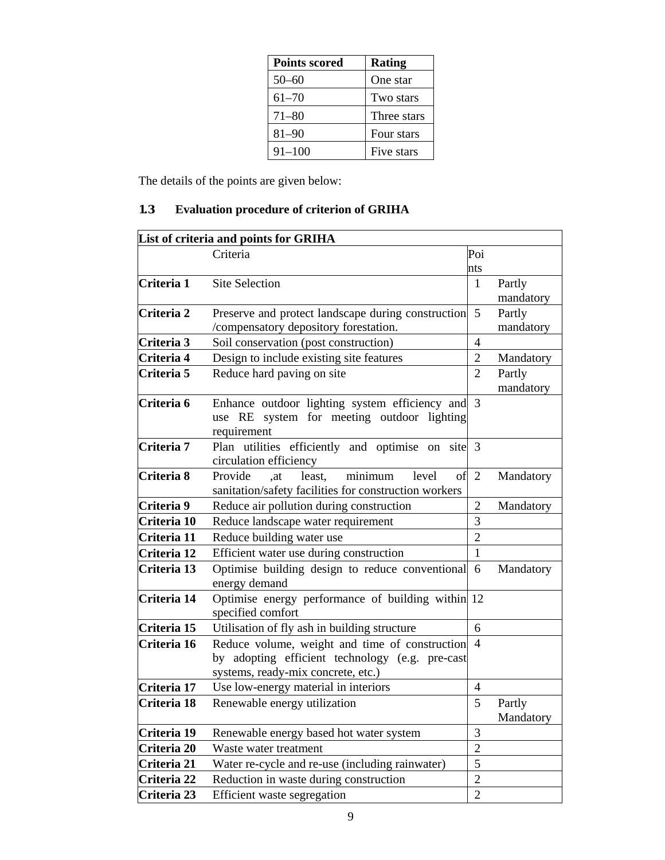| <b>Points scored</b> | <b>Rating</b> |
|----------------------|---------------|
| $50 - 60$            | One star      |
| $61 - 70$            | Two stars     |
| $71 - 80$            | Three stars   |
| $81 - 90$            | Four stars    |
| $91 - 100$           | Five stars    |

The details of the points are given below:

## **1.3 Evaluation procedure of criterion of GRIHA**

| List of criteria and points for GRIHA |                                                                                                             |                |                     |
|---------------------------------------|-------------------------------------------------------------------------------------------------------------|----------------|---------------------|
|                                       | Criteria                                                                                                    | Poi            |                     |
|                                       |                                                                                                             | nts            |                     |
| Criteria 1                            | <b>Site Selection</b>                                                                                       | $\mathbf{1}$   | Partly              |
|                                       |                                                                                                             |                | mandatory           |
| Criteria 2                            | Preserve and protect landscape during construction                                                          | 5              | Partly              |
|                                       | /compensatory depository forestation.                                                                       |                | mandatory           |
| Criteria 3                            | Soil conservation (post construction)                                                                       | 4              |                     |
| Criteria 4                            | Design to include existing site features                                                                    | $\overline{2}$ | Mandatory           |
| Criteria 5                            | Reduce hard paving on site                                                                                  | $\overline{2}$ | Partly<br>mandatory |
| Criteria 6                            | Enhance outdoor lighting system efficiency and<br>use RE system for meeting outdoor lighting<br>requirement | 3              |                     |
| Criteria 7                            | Plan utilities efficiently and optimise on site 3<br>circulation efficiency                                 |                |                     |
| Criteria 8                            | Provide<br>minimum<br>least.<br>level<br>of<br>.at<br>sanitation/safety facilities for construction workers | $\overline{2}$ | Mandatory           |
| Criteria 9                            | Reduce air pollution during construction                                                                    | $\overline{2}$ | Mandatory           |
| Criteria 10                           | Reduce landscape water requirement                                                                          | 3              |                     |
| Criteria 11                           | Reduce building water use                                                                                   | $\overline{2}$ |                     |
| Criteria 12                           | Efficient water use during construction                                                                     | $\mathbf{1}$   |                     |
| Criteria 13                           | Optimise building design to reduce conventional<br>energy demand                                            | 6              | Mandatory           |
| Criteria 14                           | Optimise energy performance of building within 12<br>specified comfort                                      |                |                     |
| Criteria 15                           | Utilisation of fly ash in building structure                                                                | 6              |                     |
| Criteria 16                           | Reduce volume, weight and time of construction                                                              | $\overline{4}$ |                     |
|                                       | by adopting efficient technology (e.g. pre-cast                                                             |                |                     |
|                                       | systems, ready-mix concrete, etc.)                                                                          |                |                     |
| Criteria 17                           | Use low-energy material in interiors                                                                        | $\overline{4}$ |                     |
| Criteria 18                           | Renewable energy utilization                                                                                | 5              | Partly<br>Mandatory |
| Criteria 19                           | Renewable energy based hot water system                                                                     | 3              |                     |
| Criteria 20                           | Waste water treatment                                                                                       | $\overline{2}$ |                     |
| Criteria 21                           | Water re-cycle and re-use (including rainwater)                                                             | 5              |                     |
| Criteria 22                           | Reduction in waste during construction                                                                      | $\overline{2}$ |                     |
| Criteria 23                           | Efficient waste segregation                                                                                 | $\sqrt{2}$     |                     |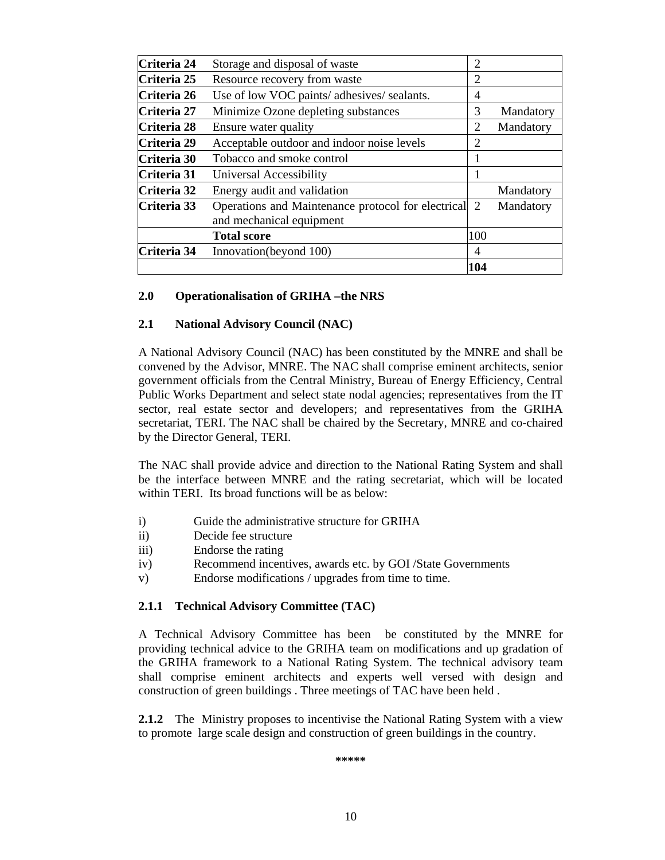| Criteria 24 | Storage and disposal of waste                                                    | 2   |           |
|-------------|----------------------------------------------------------------------------------|-----|-----------|
| Criteria 25 | Resource recovery from waste                                                     | 2   |           |
| Criteria 26 | Use of low VOC paints/ adhesives/ sealants.                                      | 4   |           |
| Criteria 27 | Minimize Ozone depleting substances                                              | 3   | Mandatory |
| Criteria 28 | Ensure water quality                                                             | 2   | Mandatory |
| Criteria 29 | Acceptable outdoor and indoor noise levels                                       | 2   |           |
| Criteria 30 | Tobacco and smoke control                                                        |     |           |
| Criteria 31 | Universal Accessibility                                                          |     |           |
| Criteria 32 | Energy audit and validation                                                      |     | Mandatory |
| Criteria 33 | Operations and Maintenance protocol for electrical 2<br>and mechanical equipment |     | Mandatory |
|             | <b>Total score</b>                                                               | 100 |           |
| Criteria 34 | Innovation(beyond 100)                                                           | 4   |           |
|             |                                                                                  | 104 |           |

## **2.0 Operationalisation of GRIHA –the NRS**

## **2.1 National Advisory Council (NAC)**

A National Advisory Council (NAC) has been constituted by the MNRE and shall be convened by the Advisor, MNRE. The NAC shall comprise eminent architects, senior government officials from the Central Ministry, Bureau of Energy Efficiency, Central Public Works Department and select state nodal agencies; representatives from the IT sector, real estate sector and developers; and representatives from the GRIHA secretariat, TERI. The NAC shall be chaired by the Secretary, MNRE and co-chaired by the Director General, TERI.

The NAC shall provide advice and direction to the National Rating System and shall be the interface between MNRE and the rating secretariat, which will be located within TERI. Its broad functions will be as below:

- i) Guide the administrative structure for GRIHA
- ii) Decide fee structure
- iii) Endorse the rating
- iv) Recommend incentives, awards etc. by GOI /State Governments
- v) Endorse modifications / upgrades from time to time.

## **2.1.1 Technical Advisory Committee (TAC)**

A Technical Advisory Committee has been be constituted by the MNRE for providing technical advice to the GRIHA team on modifications and up gradation of the GRIHA framework to a National Rating System. The technical advisory team shall comprise eminent architects and experts well versed with design and construction of green buildings . Three meetings of TAC have been held .

**2.1.2** The Ministry proposes to incentivise the National Rating System with a view to promote large scale design and construction of green buildings in the country.

**\*\*\*\*\***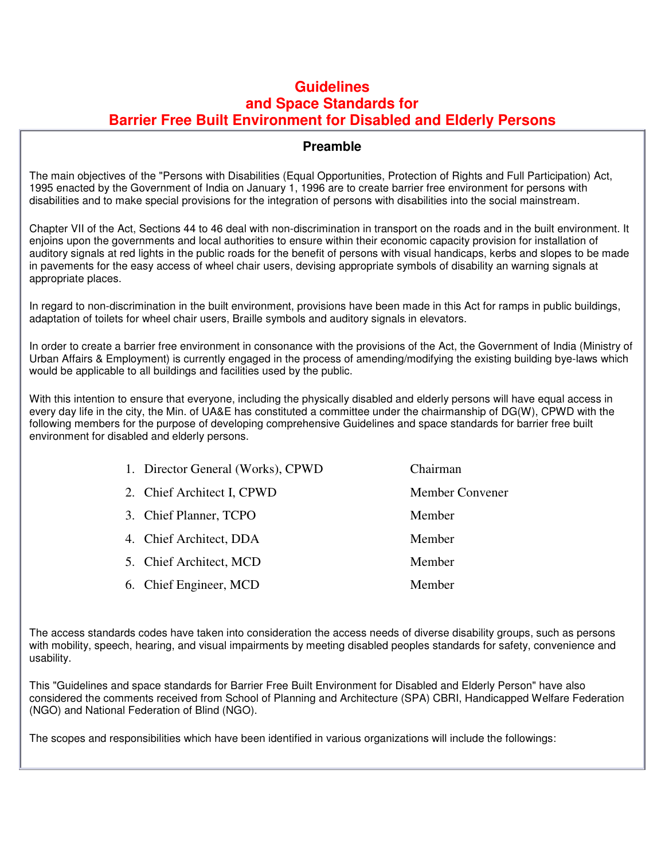## **Guidelines and Space Standards for Barrier Free Built Environment for Disabled and Elderly Persons**

## **Preamble**

The main objectives of the "Persons with Disabilities (Equal Opportunities, Protection of Rights and Full Participation) Act, 1995 enacted by the Government of India on January 1, 1996 are to create barrier free environment for persons with disabilities and to make special provisions for the integration of persons with disabilities into the social mainstream.

Chapter VII of the Act, Sections 44 to 46 deal with non-discrimination in transport on the roads and in the built environment. It enjoins upon the governments and local authorities to ensure within their economic capacity provision for installation of auditory signals at red lights in the public roads for the benefit of persons with visual handicaps, kerbs and slopes to be made in pavements for the easy access of wheel chair users, devising appropriate symbols of disability an warning signals at appropriate places.

In regard to non-discrimination in the built environment, provisions have been made in this Act for ramps in public buildings, adaptation of toilets for wheel chair users, Braille symbols and auditory signals in elevators.

In order to create a barrier free environment in consonance with the provisions of the Act, the Government of India (Ministry of Urban Affairs & Employment) is currently engaged in the process of amending/modifying the existing building bye-laws which would be applicable to all buildings and facilities used by the public.

With this intention to ensure that everyone, including the physically disabled and elderly persons will have equal access in every day life in the city, the Min. of UA&E has constituted a committee under the chairmanship of DG(W), CPWD with the following members for the purpose of developing comprehensive Guidelines and space standards for barrier free built environment for disabled and elderly persons.

| 1. Director General (Works), CPWD | Chairman        |
|-----------------------------------|-----------------|
| 2. Chief Architect I, CPWD        | Member Convener |
| 3. Chief Planner, TCPO            | Member          |
| 4. Chief Architect, DDA           | Member          |
| 5. Chief Architect, MCD           | Member          |
| 6. Chief Engineer, MCD            | Member          |

The access standards codes have taken into consideration the access needs of diverse disability groups, such as persons with mobility, speech, hearing, and visual impairments by meeting disabled peoples standards for safety, convenience and usability.

This "Guidelines and space standards for Barrier Free Built Environment for Disabled and Elderly Person" have also considered the comments received from School of Planning and Architecture (SPA) CBRI, Handicapped Welfare Federation (NGO) and National Federation of Blind (NGO).

The scopes and responsibilities which have been identified in various organizations will include the followings: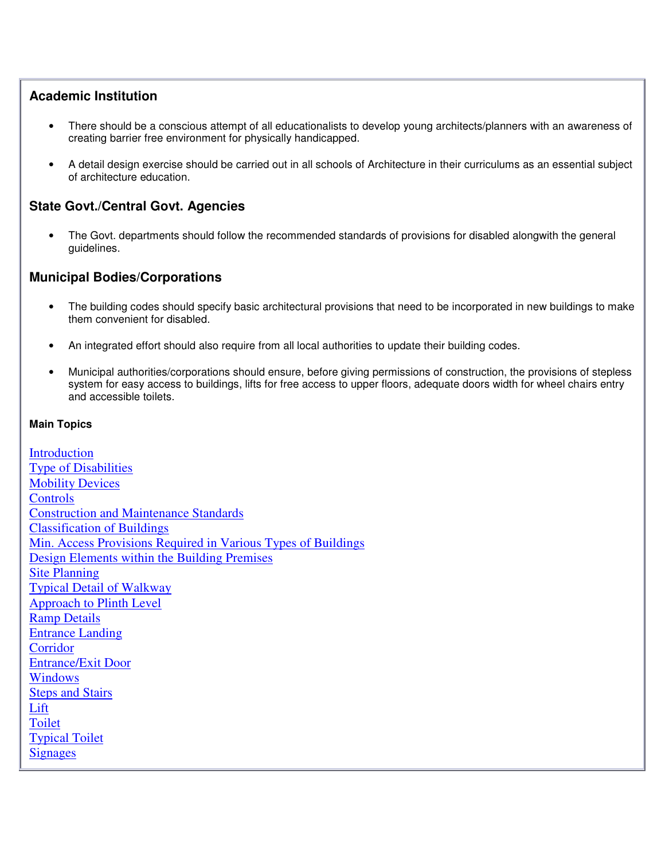## **Academic Institution**

- There should be a conscious attempt of all educationalists to develop young architects/planners with an awareness of creating barrier free environment for physically handicapped.
- A detail design exercise should be carried out in all schools of Architecture in their curriculums as an essential subject of architecture education.

## **State Govt./Central Govt. Agencies**

• The Govt. departments should follow the recommended standards of provisions for disabled alongwith the general guidelines.

## **Municipal Bodies/Corporations**

- The building codes should specify basic architectural provisions that need to be incorporated in new buildings to make them convenient for disabled.
- An integrated effort should also require from all local authorities to update their building codes.
- Municipal authorities/corporations should ensure, before giving permissions of construction, the provisions of stepless system for easy access to buildings, lifts for free access to upper floors, adequate doors width for wheel chairs entry and accessible toilets.

## **Main Topics**

Introduction Type of Disabilities **Mobility Devices Controls** Construction and Maintenance Standards Classification of Buildings Min. Access Provisions Required in Various Types of Buildings Design Elements within the Building Premises Site Planning Typical Detail of Walkway Approach to Plinth Level Ramp Details Entrance Landing **Corridor** Entrance/Exit Door Windows Steps and Stairs Lift Toilet Typical Toilet Signages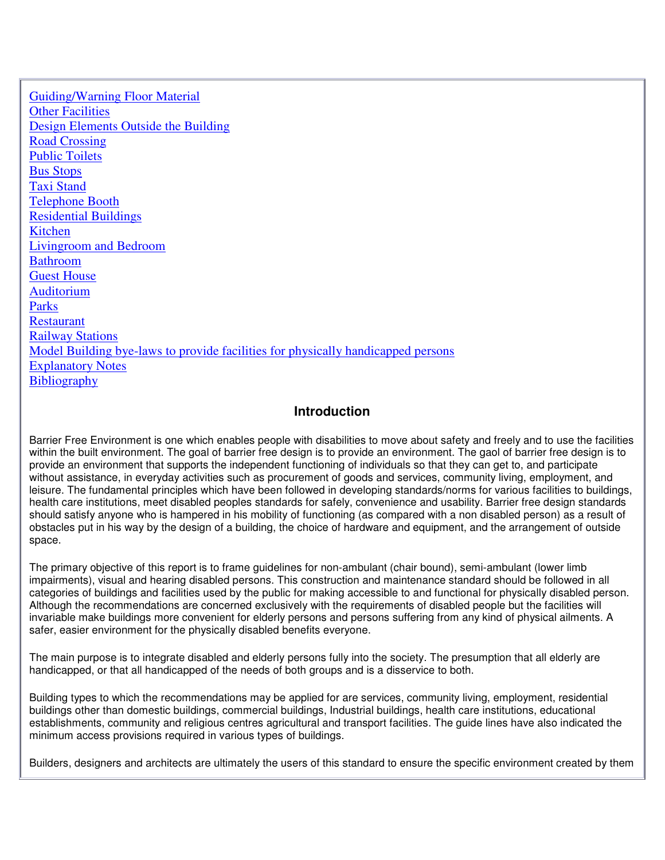Guiding/Warning Floor Material **Other Facilities** Design Elements Outside the Building Road Crossing Public Toilets Bus Stops Taxi Stand Telephone Booth Residential Buildings Kitchen Livingroom and Bedroom Bathroom Guest House Auditorium Parks Restaurant Railway Stations Model Building bye-laws to provide facilities for physically handicapped persons Explanatory Notes **Bibliography** 

## **Introduction**

Barrier Free Environment is one which enables people with disabilities to move about safety and freely and to use the facilities within the built environment. The goal of barrier free design is to provide an environment. The gaol of barrier free design is to provide an environment that supports the independent functioning of individuals so that they can get to, and participate without assistance, in everyday activities such as procurement of goods and services, community living, employment, and leisure. The fundamental principles which have been followed in developing standards/norms for various facilities to buildings, health care institutions, meet disabled peoples standards for safely, convenience and usability. Barrier free design standards should satisfy anyone who is hampered in his mobility of functioning (as compared with a non disabled person) as a result of obstacles put in his way by the design of a building, the choice of hardware and equipment, and the arrangement of outside space.

The primary objective of this report is to frame guidelines for non-ambulant (chair bound), semi-ambulant (lower limb impairments), visual and hearing disabled persons. This construction and maintenance standard should be followed in all categories of buildings and facilities used by the public for making accessible to and functional for physically disabled person. Although the recommendations are concerned exclusively with the requirements of disabled people but the facilities will invariable make buildings more convenient for elderly persons and persons suffering from any kind of physical ailments. A safer, easier environment for the physically disabled benefits everyone.

The main purpose is to integrate disabled and elderly persons fully into the society. The presumption that all elderly are handicapped, or that all handicapped of the needs of both groups and is a disservice to both.

Building types to which the recommendations may be applied for are services, community living, employment, residential buildings other than domestic buildings, commercial buildings, Industrial buildings, health care institutions, educational establishments, community and religious centres agricultural and transport facilities. The guide lines have also indicated the minimum access provisions required in various types of buildings.

Builders, designers and architects are ultimately the users of this standard to ensure the specific environment created by them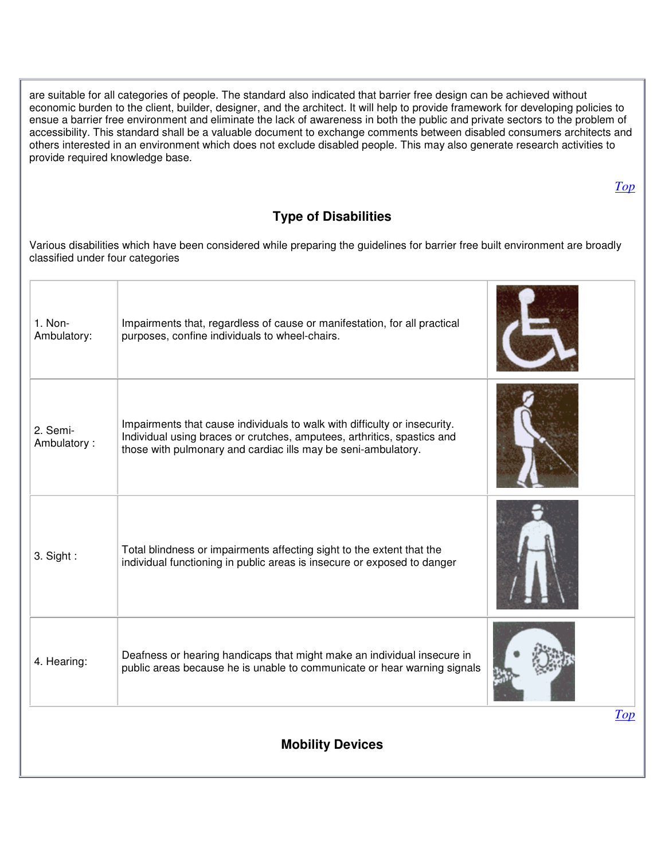are suitable for all categories of people. The standard also indicated that barrier free design can be achieved without economic burden to the client, builder, designer, and the architect. It will help to provide framework for developing policies to ensue a barrier free environment and eliminate the lack of awareness in both the public and private sectors to the problem of accessibility. This standard shall be a valuable document to exchange comments between disabled consumers architects and others interested in an environment which does not exclude disabled people. This may also generate research activities to provide required knowledge base. *Top* **Type of Disabilities**  Various disabilities which have been considered while preparing the guidelines for barrier free built environment are broadly classified under four categories 1. Non-Ambulatory: Impairments that, regardless of cause or manifestation, for all practical purposes, confine individuals to wheel-chairs. 2. Semi-Ambulatory : Impairments that cause individuals to walk with difficulty or insecurity. Individual using braces or crutches, amputees, arthritics, spastics and those with pulmonary and cardiac ills may be seni-ambulatory. 3. Sight : Total blindness or impairments affecting sight to the extent that the individual functioning in public areas is insecure or exposed to danger 4. Hearing: Deafness or hearing handicaps that might make an individual insecure in public areas because he is unable to communicate or hear warning signals *Top*

**Mobility Devices**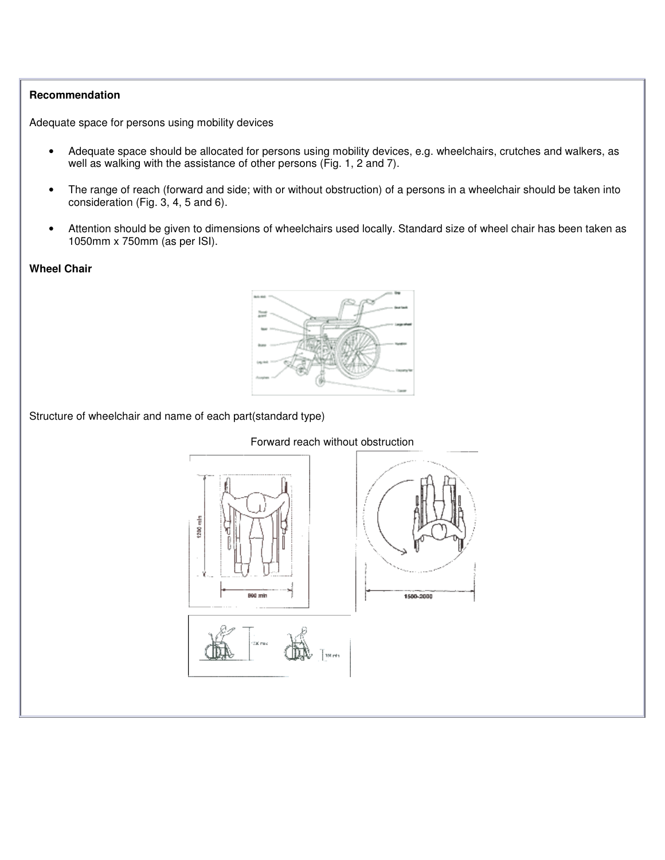### **Recommendation**

Adequate space for persons using mobility devices

- Adequate space should be allocated for persons using mobility devices, e.g. wheelchairs, crutches and walkers, as well as walking with the assistance of other persons (Fig. 1, 2 and 7).
- The range of reach (forward and side; with or without obstruction) of a persons in a wheelchair should be taken into consideration (Fig. 3, 4, 5 and 6).
- Attention should be given to dimensions of wheelchairs used locally. Standard size of wheel chair has been taken as 1050mm x 750mm (as per ISI).

### **Wheel Chair**



Structure of wheelchair and name of each part(standard type)



## Forward reach without obstruction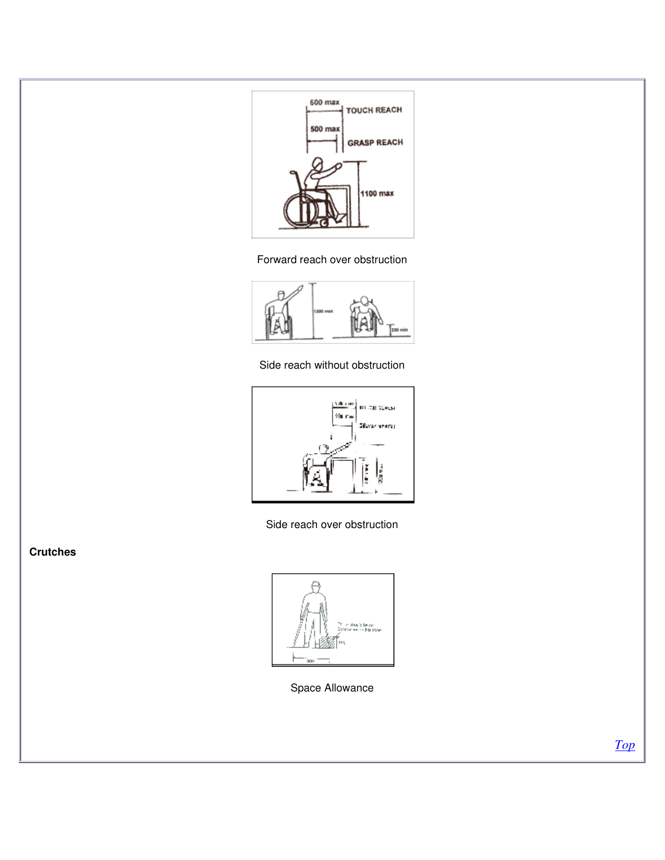

Forward reach over obstruction



Side reach without obstruction



Side reach over obstruction

**Crutches**



Space Allowance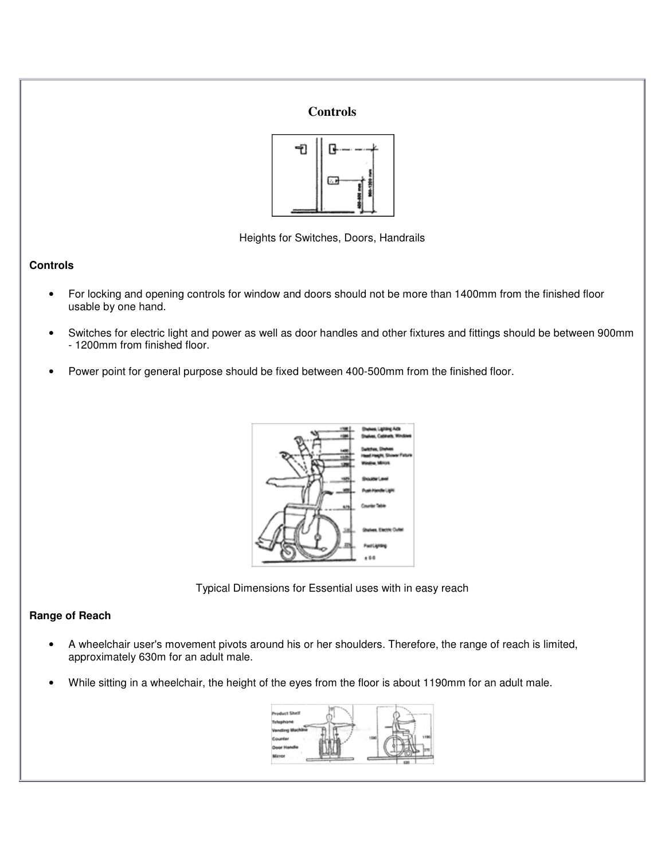



Heights for Switches, Doors, Handrails

## **Controls**

- For locking and opening controls for window and doors should not be more than 1400mm from the finished floor usable by one hand.
- Switches for electric light and power as well as door handles and other fixtures and fittings should be between 900mm - 1200mm from finished floor.
- Power point for general purpose should be fixed between 400-500mm from the finished floor.



Typical Dimensions for Essential uses with in easy reach

## **Range of Reach**

- A wheelchair user's movement pivots around his or her shoulders. Therefore, the range of reach is limited, approximately 630m for an adult male.
- While sitting in a wheelchair, the height of the eyes from the floor is about 1190mm for an adult male.

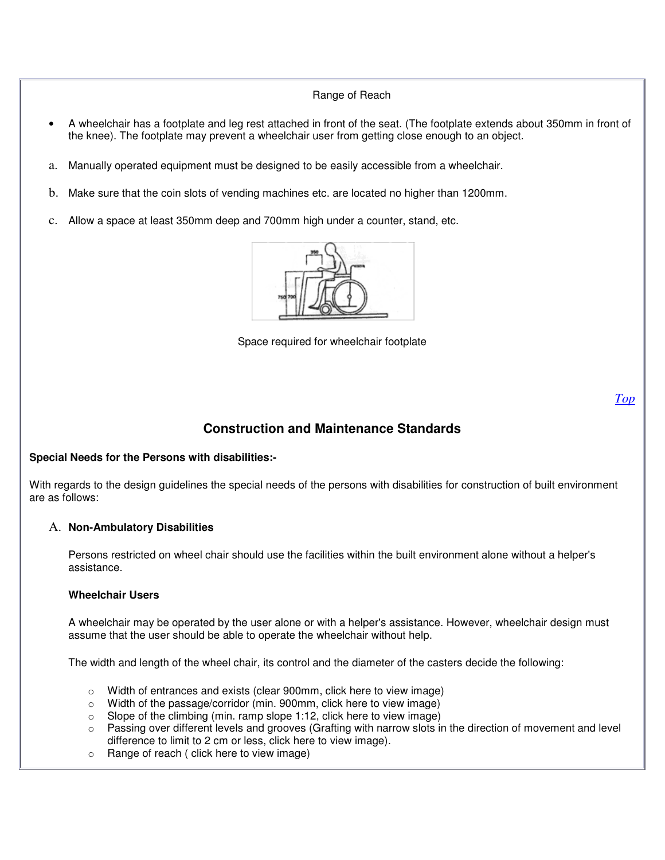## Range of Reach

- A wheelchair has a footplate and leg rest attached in front of the seat. (The footplate extends about 350mm in front of the knee). The footplate may prevent a wheelchair user from getting close enough to an object.
- a. Manually operated equipment must be designed to be easily accessible from a wheelchair.
- b. Make sure that the coin slots of vending machines etc. are located no higher than 1200mm.
- c. Allow a space at least 350mm deep and 700mm high under a counter, stand, etc.



Space required for wheelchair footplate

*Top*

## **Construction and Maintenance Standards**

## **Special Needs for the Persons with disabilities:-**

With regards to the design guidelines the special needs of the persons with disabilities for construction of built environment are as follows:

#### A. **Non-Ambulatory Disabilities**

Persons restricted on wheel chair should use the facilities within the built environment alone without a helper's assistance.

#### **Wheelchair Users**

A wheelchair may be operated by the user alone or with a helper's assistance. However, wheelchair design must assume that the user should be able to operate the wheelchair without help.

The width and length of the wheel chair, its control and the diameter of the casters decide the following:

- $\circ$  Width of entrances and exists (clear 900mm, click here to view image)
- o Width of the passage/corridor (min. 900mm, click here to view image)
- $\circ$  Slope of the climbing (min. ramp slope 1:12, click here to view image)
- o Passing over different levels and grooves (Grafting with narrow slots in the direction of movement and level difference to limit to 2 cm or less, click here to view image).
- o Range of reach ( click here to view image)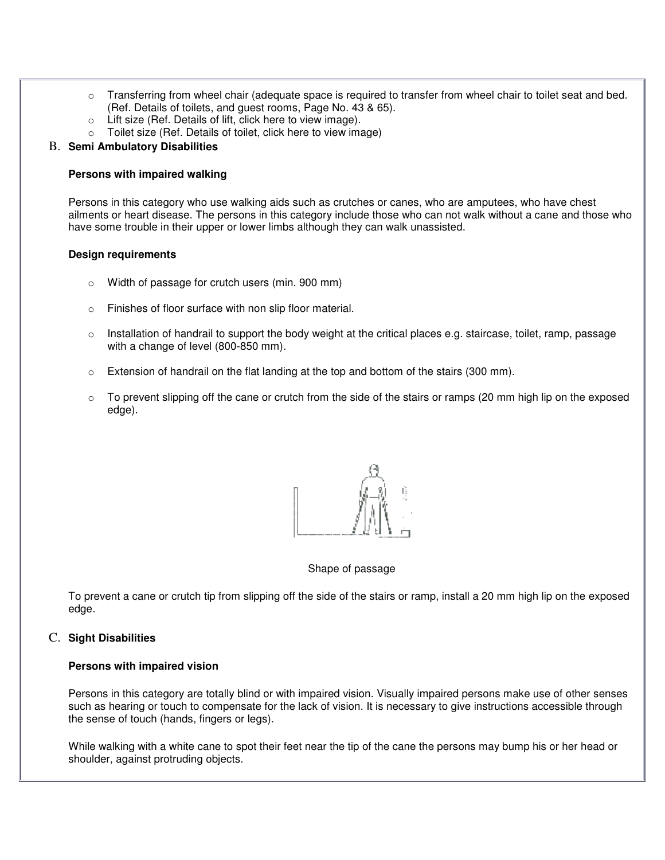- $\circ$  Transferring from wheel chair (adequate space is required to transfer from wheel chair to toilet seat and bed. (Ref. Details of toilets, and guest rooms, Page No. 43 & 65).
- o Lift size (Ref. Details of lift, click here to view image).
- o Toilet size (Ref. Details of toilet, click here to view image)

### B. **Semi Ambulatory Disabilities**

#### **Persons with impaired walking**

Persons in this category who use walking aids such as crutches or canes, who are amputees, who have chest ailments or heart disease. The persons in this category include those who can not walk without a cane and those who have some trouble in their upper or lower limbs although they can walk unassisted.

### **Design requirements**

- Width of passage for crutch users (min. 900 mm)
- o Finishes of floor surface with non slip floor material.
- $\circ$  Installation of handrail to support the body weight at the critical places e.g. staircase, toilet, ramp, passage with a change of level (800-850 mm).
- $\circ$  Extension of handrail on the flat landing at the top and bottom of the stairs (300 mm).
- $\circ$  To prevent slipping off the cane or crutch from the side of the stairs or ramps (20 mm high lip on the exposed edge).



#### Shape of passage

To prevent a cane or crutch tip from slipping off the side of the stairs or ramp, install a 20 mm high lip on the exposed edge.

#### C. **Sight Disabilities**

#### **Persons with impaired vision**

Persons in this category are totally blind or with impaired vision. Visually impaired persons make use of other senses such as hearing or touch to compensate for the lack of vision. It is necessary to give instructions accessible through the sense of touch (hands, fingers or legs).

While walking with a white cane to spot their feet near the tip of the cane the persons may bump his or her head or shoulder, against protruding objects.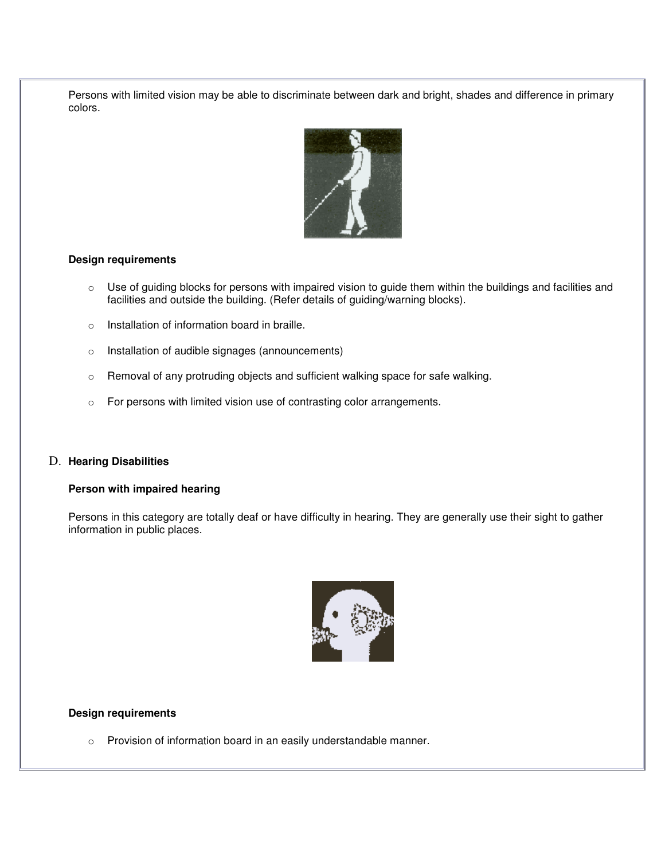Persons with limited vision may be able to discriminate between dark and bright, shades and difference in primary colors.



### **Design requirements**

- o Use of guiding blocks for persons with impaired vision to guide them within the buildings and facilities and facilities and outside the building. (Refer details of guiding/warning blocks).
- o Installation of information board in braille.
- o Installation of audible signages (announcements)
- o Removal of any protruding objects and sufficient walking space for safe walking.
- o For persons with limited vision use of contrasting color arrangements.

#### D. **Hearing Disabilities**

### **Person with impaired hearing**

Persons in this category are totally deaf or have difficulty in hearing. They are generally use their sight to gather information in public places.



#### **Design requirements**

o Provision of information board in an easily understandable manner.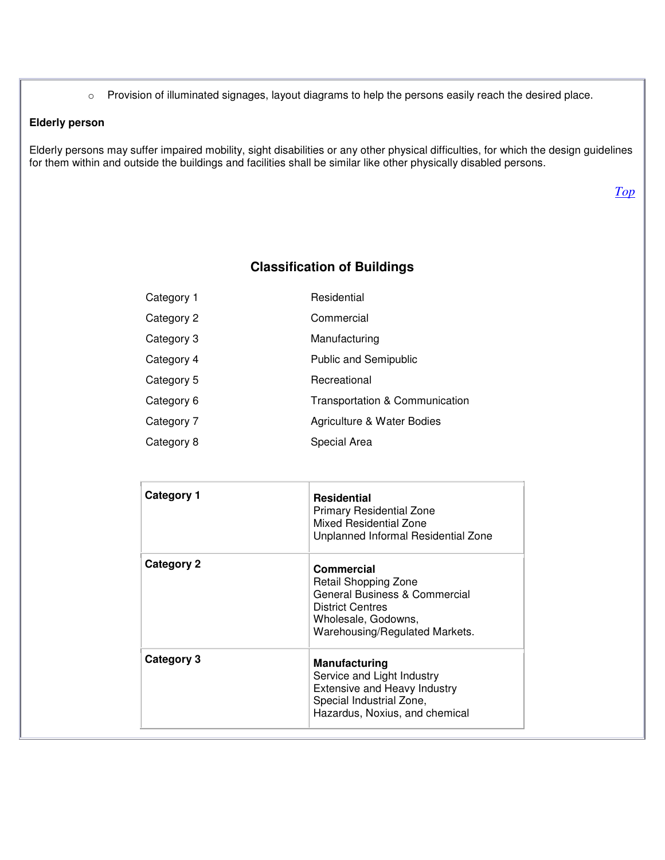o Provision of illuminated signages, layout diagrams to help the persons easily reach the desired place.

### **Elderly person**

Elderly persons may suffer impaired mobility, sight disabilities or any other physical difficulties, for which the design guidelines for them within and outside the buildings and facilities shall be similar like other physically disabled persons.

*Top*

## **Classification of Buildings**

| Category 1 | Residential                    |
|------------|--------------------------------|
| Category 2 | Commercial                     |
| Category 3 | Manufacturing                  |
| Category 4 | <b>Public and Semipublic</b>   |
| Category 5 | Recreational                   |
| Category 6 | Transportation & Communication |
| Category 7 | Agriculture & Water Bodies     |
| Category 8 | Special Area                   |

| Category 1 | <b>Residential</b><br><b>Primary Residential Zone</b><br>Mixed Residential Zone<br>Unplanned Informal Residential Zone                                  |
|------------|---------------------------------------------------------------------------------------------------------------------------------------------------------|
| Category 2 | Commercial<br>Retail Shopping Zone<br>General Business & Commercial<br><b>District Centres</b><br>Wholesale, Godowns,<br>Warehousing/Regulated Markets. |
| Category 3 | <b>Manufacturing</b><br>Service and Light Industry<br><b>Extensive and Heavy Industry</b><br>Special Industrial Zone,<br>Hazardus, Noxius, and chemical |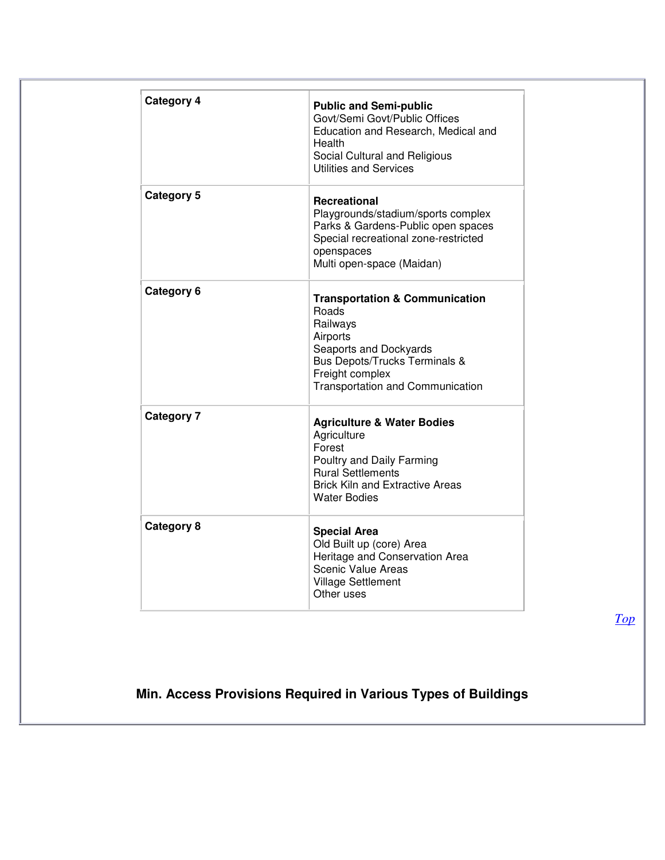| Category 4        | <b>Public and Semi-public</b><br>Govt/Semi Govt/Public Offices<br>Education and Research, Medical and<br>Health<br>Social Cultural and Religious<br><b>Utilities and Services</b>                              |
|-------------------|----------------------------------------------------------------------------------------------------------------------------------------------------------------------------------------------------------------|
| Category 5        | <b>Recreational</b><br>Playgrounds/stadium/sports complex<br>Parks & Gardens-Public open spaces<br>Special recreational zone-restricted<br>openspaces<br>Multi open-space (Maidan)                             |
| Category 6        | <b>Transportation &amp; Communication</b><br><b>Roads</b><br>Railways<br>Airports<br>Seaports and Dockyards<br><b>Bus Depots/Trucks Terminals &amp;</b><br>Freight complex<br>Transportation and Communication |
| <b>Category 7</b> | <b>Agriculture &amp; Water Bodies</b><br>Agriculture<br>Forest<br>Poultry and Daily Farming<br><b>Rural Settlements</b><br><b>Brick Kiln and Extractive Areas</b><br>Water Bodies                              |
| <b>Category 8</b> | <b>Special Area</b><br>Old Built up (core) Area<br>Heritage and Conservation Area<br><b>Scenic Value Areas</b><br><b>Village Settlement</b><br>Other uses                                                      |

*Top*

# **Min. Access Provisions Required in Various Types of Buildings**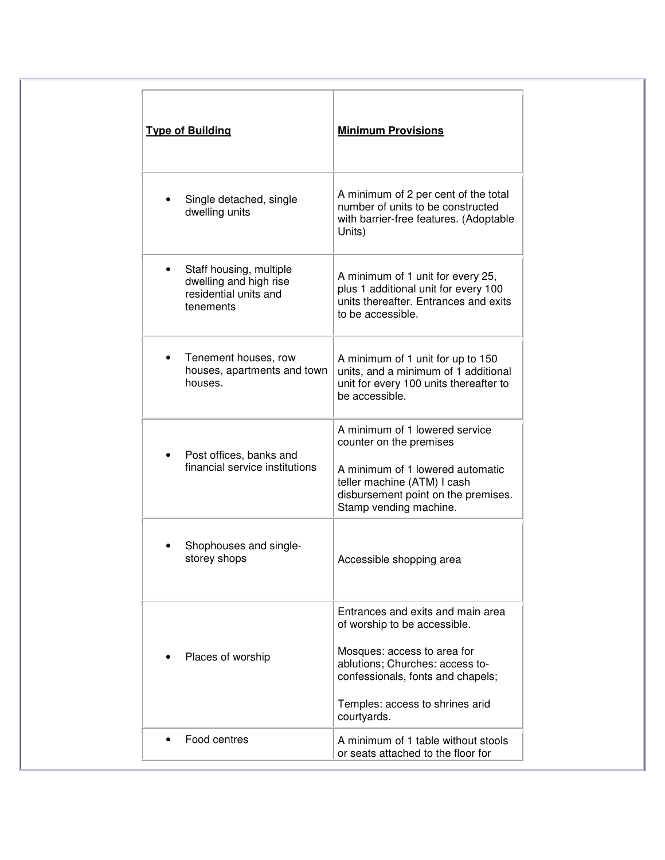| <b>Type of Building</b>                                                                 | <b>Minimum Provisions</b>                                                                                                                                                                                                  |
|-----------------------------------------------------------------------------------------|----------------------------------------------------------------------------------------------------------------------------------------------------------------------------------------------------------------------------|
| Single detached, single<br>dwelling units                                               | A minimum of 2 per cent of the total<br>number of units to be constructed<br>with barrier-free features. (Adoptable<br>Units)                                                                                              |
| Staff housing, multiple<br>dwelling and high rise<br>residential units and<br>tenements | A minimum of 1 unit for every 25,<br>plus 1 additional unit for every 100<br>units thereafter. Entrances and exits<br>to be accessible.                                                                                    |
| Tenement houses, row<br>houses, apartments and town<br>houses.                          | A minimum of 1 unit for up to 150<br>units, and a minimum of 1 additional<br>unit for every 100 units thereafter to<br>be accessible.                                                                                      |
| Post offices, banks and<br>financial service institutions                               | A minimum of 1 lowered service<br>counter on the premises<br>A minimum of 1 lowered automatic<br>teller machine (ATM) I cash<br>disbursement point on the premises.<br>Stamp vending machine.                              |
| Shophouses and single-<br>storey shops                                                  | Accessible shopping area                                                                                                                                                                                                   |
| Places of worship                                                                       | Entrances and exits and main area<br>of worship to be accessible.<br>Mosques: access to area for<br>ablutions; Churches: access to-<br>confessionals, fonts and chapels;<br>Temples: access to shrines arid<br>courtyards. |
| Food centres                                                                            | A minimum of 1 table without stools<br>or seats attached to the floor for                                                                                                                                                  |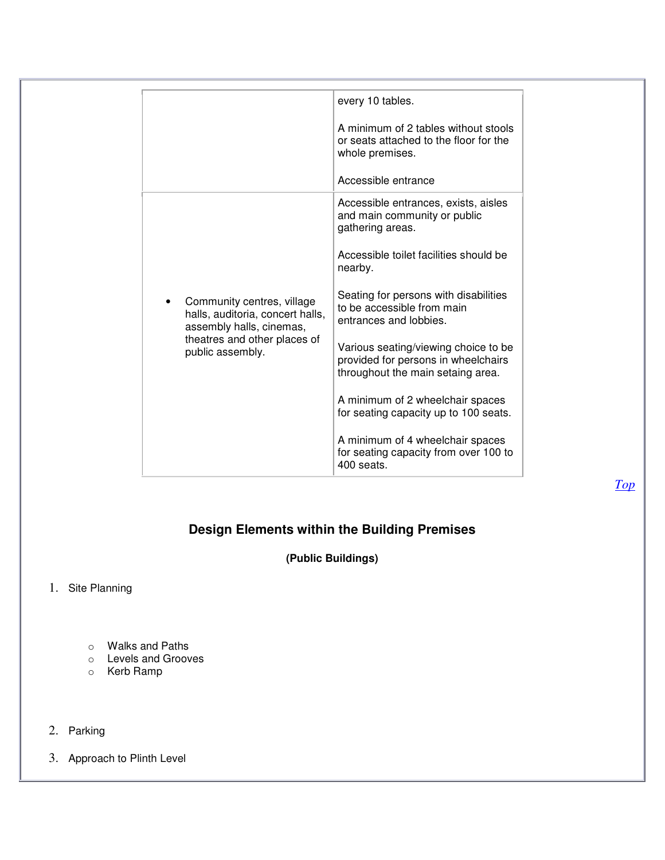|                                                                                            | every 10 tables.                                                                                                 |
|--------------------------------------------------------------------------------------------|------------------------------------------------------------------------------------------------------------------|
|                                                                                            | A minimum of 2 tables without stools<br>or seats attached to the floor for the<br>whole premises.                |
|                                                                                            | Accessible entrance                                                                                              |
|                                                                                            | Accessible entrances, exists, aisles<br>and main community or public<br>gathering areas.                         |
|                                                                                            | Accessible toilet facilities should be<br>nearby.                                                                |
| Community centres, village<br>halls, auditoria, concert halls,<br>assembly halls, cinemas, | Seating for persons with disabilities<br>to be accessible from main<br>entrances and lobbies.                    |
| theatres and other places of<br>public assembly.                                           | Various seating/viewing choice to be<br>provided for persons in wheelchairs<br>throughout the main setaing area. |
|                                                                                            | A minimum of 2 wheelchair spaces<br>for seating capacity up to 100 seats.                                        |
|                                                                                            | A minimum of 4 wheelchair spaces<br>for seating capacity from over 100 to<br>400 seats.                          |

# **Design Elements within the Building Premises**

**(Public Buildings)**

1. Site Planning

- o Walks and Paths
- o Levels and Grooves
- o Kerb Ramp
- 2. Parking

3. Approach to Plinth Level

*Top*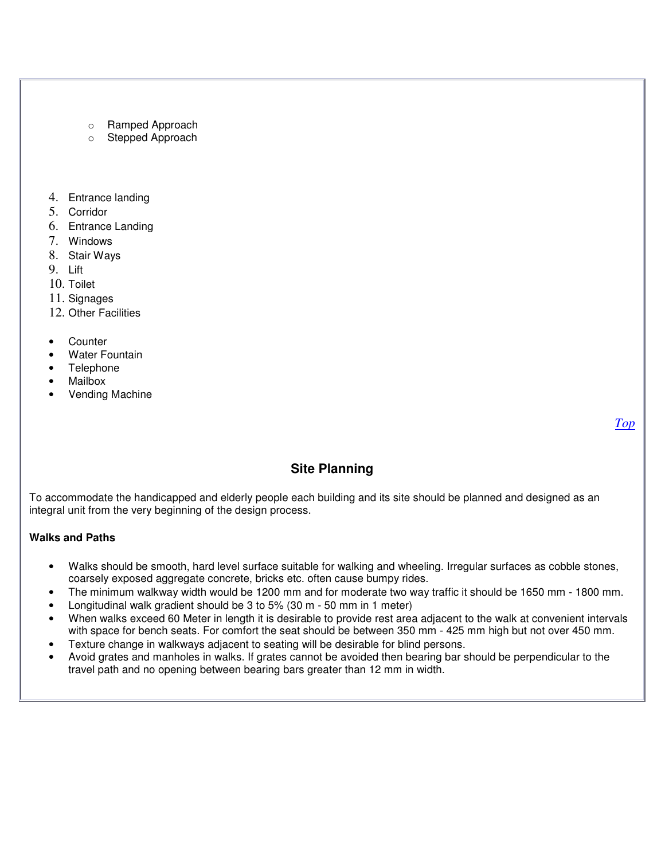- o Ramped Approach
- o Stepped Approach
- 4. Entrance landing
- 5. Corridor
- 6. Entrance Landing
- 7. Windows
- 8. Stair Ways
- 9. Lift
- 10. Toilet
- 11. Signages
- 12. Other Facilities
- **Counter**
- Water Fountain
- **Telephone**
- Mailbox
- Vending Machine

*Top*

## **Site Planning**

To accommodate the handicapped and elderly people each building and its site should be planned and designed as an integral unit from the very beginning of the design process.

## **Walks and Paths**

- Walks should be smooth, hard level surface suitable for walking and wheeling. Irregular surfaces as cobble stones, coarsely exposed aggregate concrete, bricks etc. often cause bumpy rides.
- The minimum walkway width would be 1200 mm and for moderate two way traffic it should be 1650 mm 1800 mm.
- Longitudinal walk gradient should be 3 to 5% (30 m 50 mm in 1 meter)
- When walks exceed 60 Meter in length it is desirable to provide rest area adjacent to the walk at convenient intervals with space for bench seats. For comfort the seat should be between 350 mm - 425 mm high but not over 450 mm.
- Texture change in walkways adjacent to seating will be desirable for blind persons.
- Avoid grates and manholes in walks. If grates cannot be avoided then bearing bar should be perpendicular to the travel path and no opening between bearing bars greater than 12 mm in width.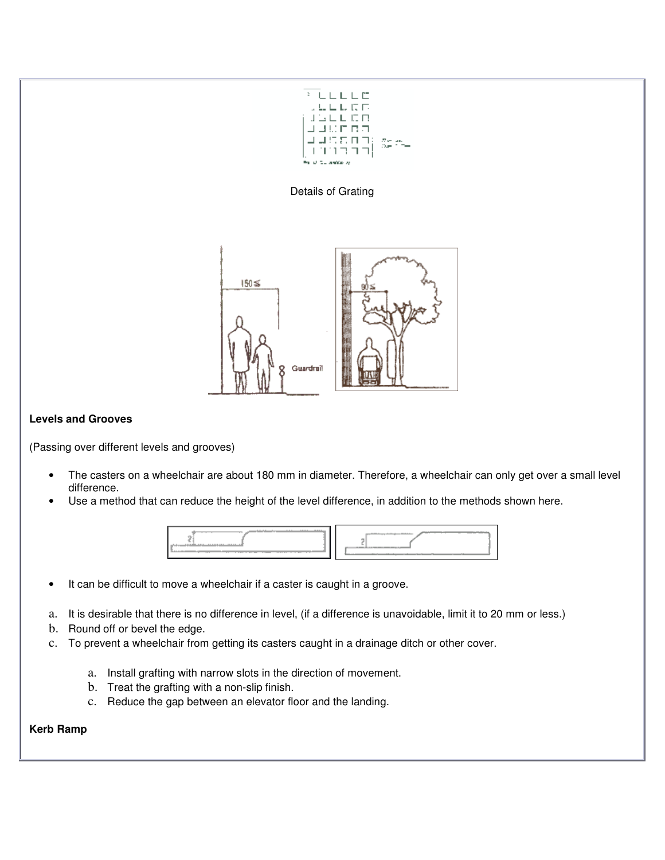





## **Levels and Grooves**

(Passing over different levels and grooves)

- The casters on a wheelchair are about 180 mm in diameter. Therefore, a wheelchair can only get over a small level difference.
- Use a method that can reduce the height of the level difference, in addition to the methods shown here.



- It can be difficult to move a wheelchair if a caster is caught in a groove.
- a. It is desirable that there is no difference in level, (if a difference is unavoidable, limit it to 20 mm or less.)
- b. Round off or bevel the edge.
- c. To prevent a wheelchair from getting its casters caught in a drainage ditch or other cover.
	- a. Install grafting with narrow slots in the direction of movement.
	- b. Treat the grafting with a non-slip finish.
	- c. Reduce the gap between an elevator floor and the landing.

## **Kerb Ramp**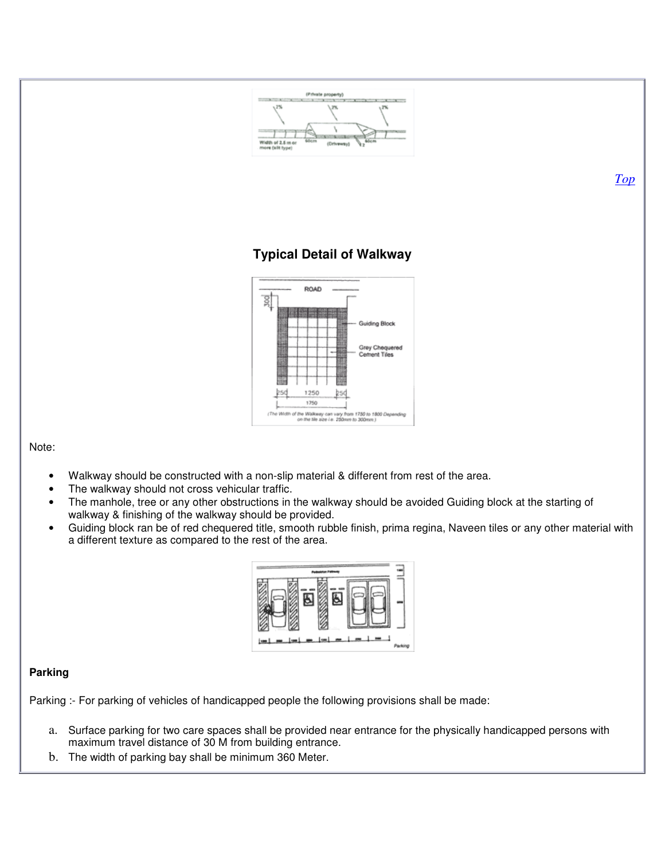

- Walkway should be constructed with a non-slip material & different from rest of the area.
- The walkway should not cross vehicular traffic.
- The manhole, tree or any other obstructions in the walkway should be avoided Guiding block at the starting of walkway & finishing of the walkway should be provided.
- Guiding block ran be of red chequered title, smooth rubble finish, prima regina, Naveen tiles or any other material with a different texture as compared to the rest of the area.



## **Parking**

Parking :- For parking of vehicles of handicapped people the following provisions shall be made:

- a. Surface parking for two care spaces shall be provided near entrance for the physically handicapped persons with maximum travel distance of 30 M from building entrance.
- b. The width of parking bay shall be minimum 360 Meter.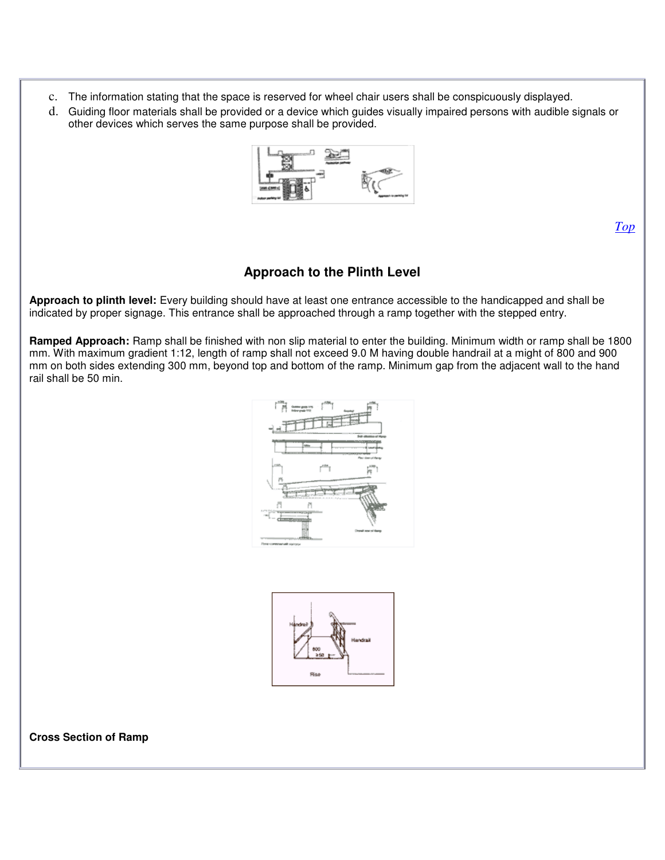- c. The information stating that the space is reserved for wheel chair users shall be conspicuously displayed.
- d. Guiding floor materials shall be provided or a device which guides visually impaired persons with audible signals or other devices which serves the same purpose shall be provided.



*Top*

## **Approach to the Plinth Level**

**Approach to plinth level:** Every building should have at least one entrance accessible to the handicapped and shall be indicated by proper signage. This entrance shall be approached through a ramp together with the stepped entry.

**Ramped Approach:** Ramp shall be finished with non slip material to enter the building. Minimum width or ramp shall be 1800 mm. With maximum gradient 1:12, length of ramp shall not exceed 9.0 M having double handrail at a might of 800 and 900 mm on both sides extending 300 mm, beyond top and bottom of the ramp. Minimum gap from the adjacent wall to the hand rail shall be 50 min.





**Cross Section of Ramp**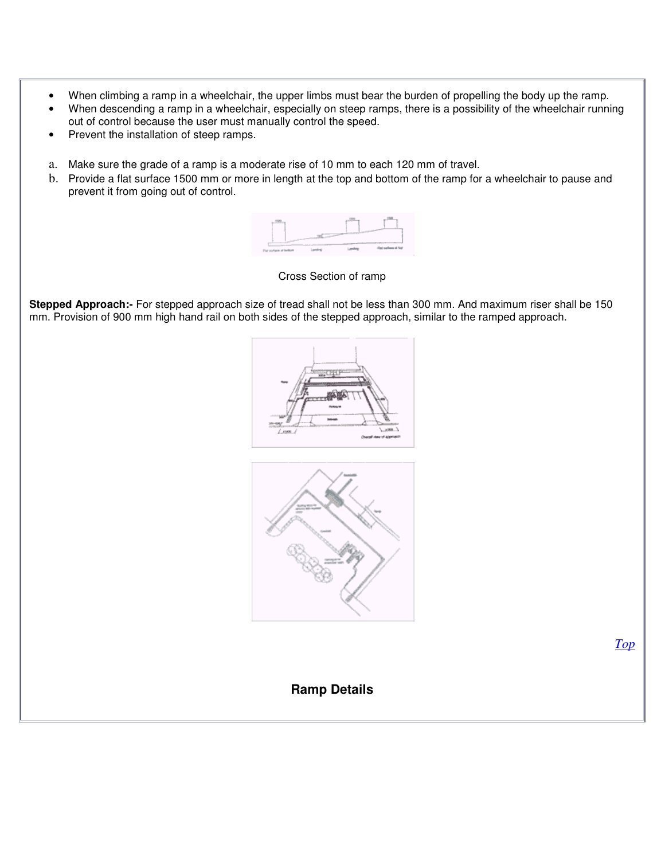- When climbing a ramp in a wheelchair, the upper limbs must bear the burden of propelling the body up the ramp.
- When descending a ramp in a wheelchair, especially on steep ramps, there is a possibility of the wheelchair running out of control because the user must manually control the speed.
- Prevent the installation of steep ramps.
- a. Make sure the grade of a ramp is a moderate rise of 10 mm to each 120 mm of travel.
- b. Provide a flat surface 1500 mm or more in length at the top and bottom of the ramp for a wheelchair to pause and prevent it from going out of control.



### Cross Section of ramp

**Stepped Approach:-** For stepped approach size of tread shall not be less than 300 mm. And maximum riser shall be 150 mm. Provision of 900 mm high hand rail on both sides of the stepped approach, similar to the ramped approach.





*Top*

**Ramp Details**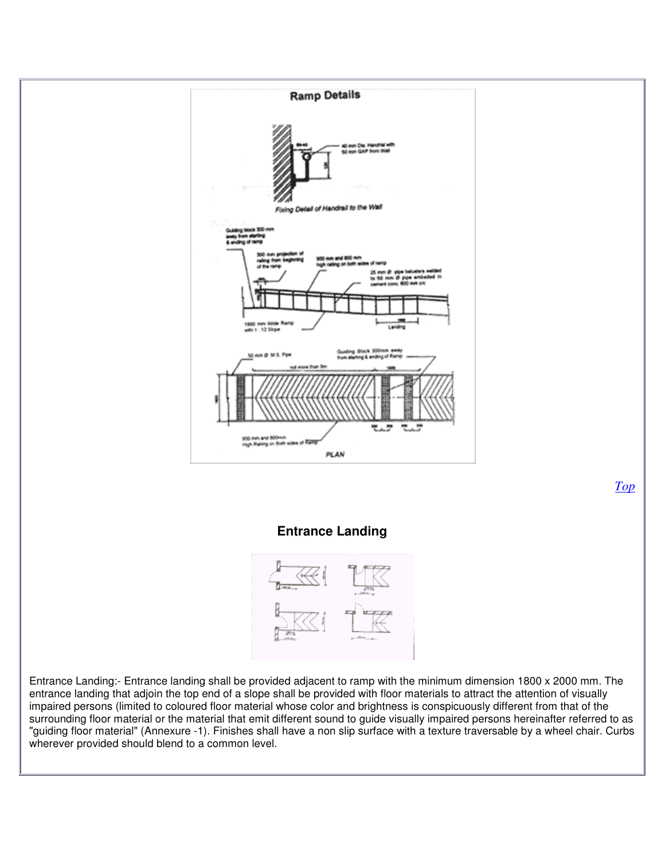

surrounding floor material or the material that emit different sound to guide visually impaired persons hereinafter referred to as "guiding floor material" (Annexure -1). Finishes shall have a non slip surface with a texture traversable by a wheel chair. Curbs wherever provided should blend to a common level.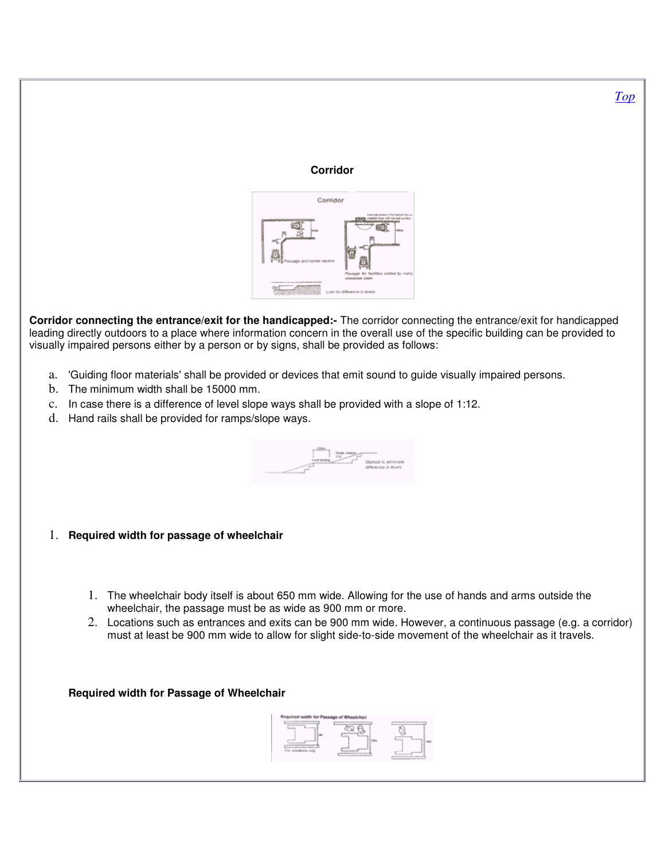## **Corridor**



**Corridor connecting the entrance/exit for the handicapped:-** The corridor connecting the entrance/exit for handicapped leading directly outdoors to a place where information concern in the overall use of the specific building can be provided to visually impaired persons either by a person or by signs, shall be provided as follows:

- a. 'Guiding floor materials' shall be provided or devices that emit sound to guide visually impaired persons.
- b. The minimum width shall be 15000 mm.
- c. In case there is a difference of level slope ways shall be provided with a slope of 1:12.
- d. Hand rails shall be provided for ramps/slope ways.



- 1. **Required width for passage of wheelchair**
	- 1. The wheelchair body itself is about 650 mm wide. Allowing for the use of hands and arms outside the wheelchair, the passage must be as wide as 900 mm or more.
	- 2. Locations such as entrances and exits can be 900 mm wide. However, a continuous passage (e.g. a corridor) must at least be 900 mm wide to allow for slight side-to-side movement of the wheelchair as it travels.

**Required width for Passage of Wheelchair**

*Top*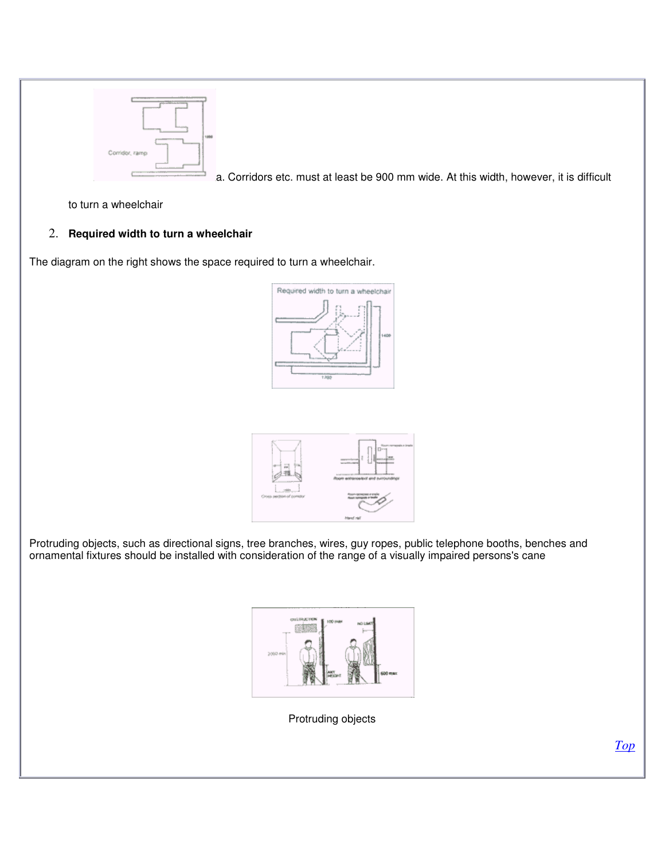

a. Corridors etc. must at least be 900 mm wide. At this width, however, it is difficult

to turn a wheelchair

## 2. **Required width to turn a wheelchair**

The diagram on the right shows the space required to turn a wheelchair.





Protruding objects, such as directional signs, tree branches, wires, guy ropes, public telephone booths, benches and ornamental fixtures should be installed with consideration of the range of a visually impaired persons's cane



Protruding objects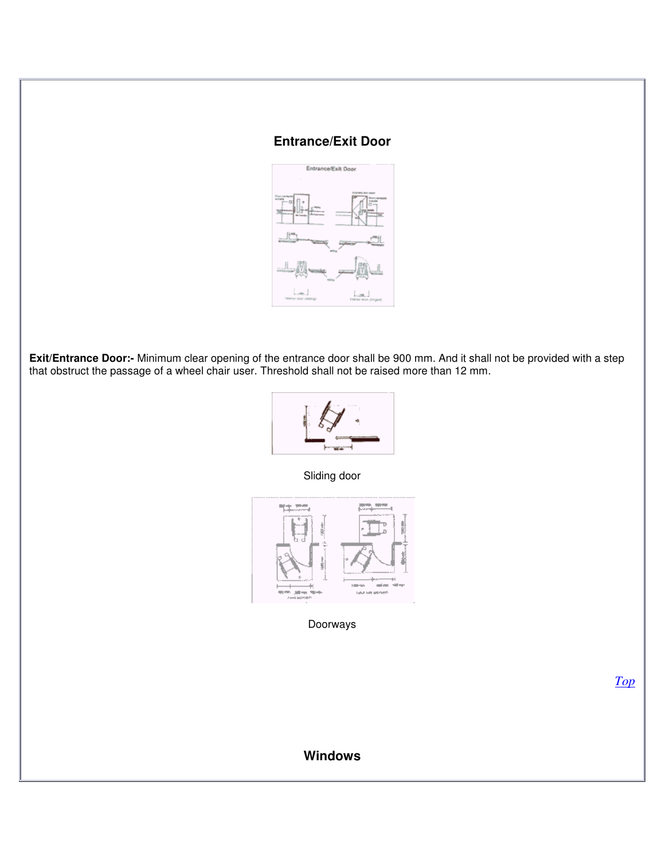# **Entrance/Exit Door**



**Exit/Entrance Door:-** Minimum clear opening of the entrance door shall be 900 mm. And it shall not be provided with a step that obstruct the passage of a wheel chair user. Threshold shall not be raised more than 12 mm.



Sliding door



Doorways

*Top*

# **Windows**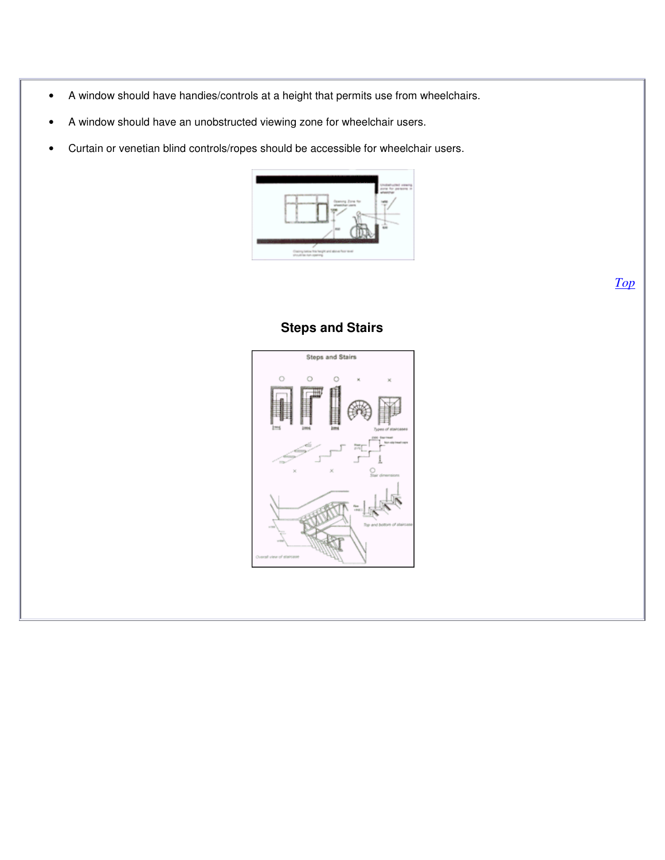- A window should have handies/controls at a height that permits use from wheelchairs.
- A window should have an unobstructed viewing zone for wheelchair users.
- Curtain or venetian blind controls/ropes should be accessible for wheelchair users.



**Steps and Stairs** Ö  $\circ$  $\circ$ 

# **Steps and Stairs**

*Top*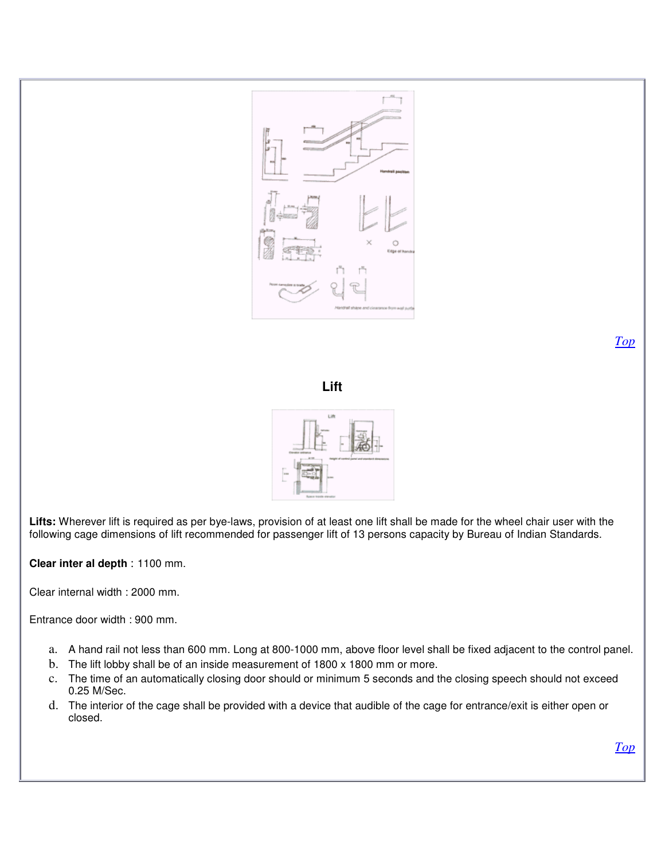

*Top*





**Lifts:** Wherever lift is required as per bye-laws, provision of at least one lift shall be made for the wheel chair user with the following cage dimensions of lift recommended for passenger lift of 13 persons capacity by Bureau of Indian Standards.

**Clear inter al depth** : 1100 mm.

Clear internal width : 2000 mm.

Entrance door width : 900 mm.

- a. A hand rail not less than 600 mm. Long at 800-1000 mm, above floor level shall be fixed adjacent to the control panel.
- b. The lift lobby shall be of an inside measurement of 1800 x 1800 mm or more.
- c. The time of an automatically closing door should or minimum 5 seconds and the closing speech should not exceed 0.25 M/Sec.
- d. The interior of the cage shall be provided with a device that audible of the cage for entrance/exit is either open or closed.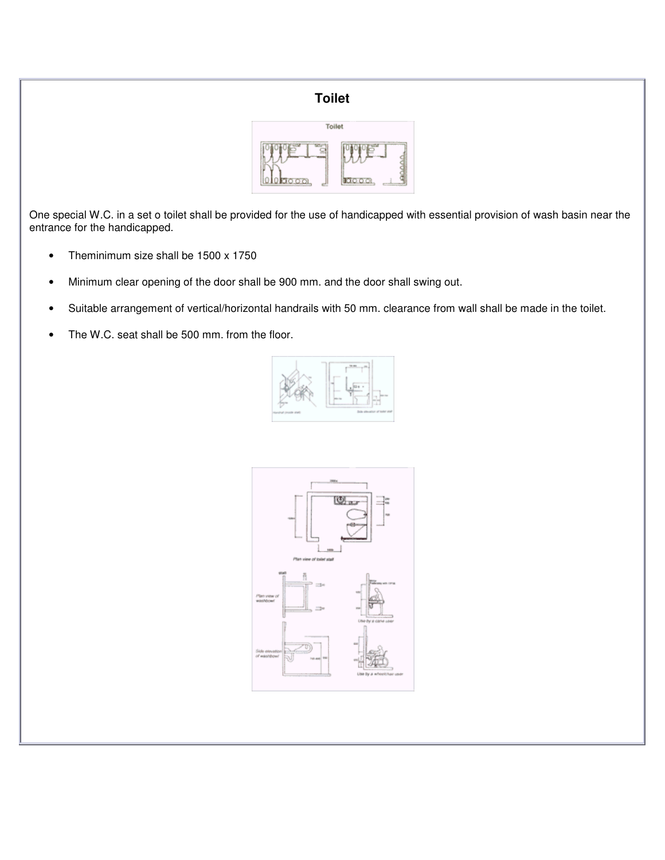# **Toilet**



One special W.C. in a set o toilet shall be provided for the use of handicapped with essential provision of wash basin near the entrance for the handicapped.

- Theminimum size shall be 1500 x 1750
- Minimum clear opening of the door shall be 900 mm. and the door shall swing out.
- Suitable arrangement of vertical/horizontal handrails with 50 mm. clearance from wall shall be made in the toilet.
- The W.C. seat shall be 500 mm. from the floor.



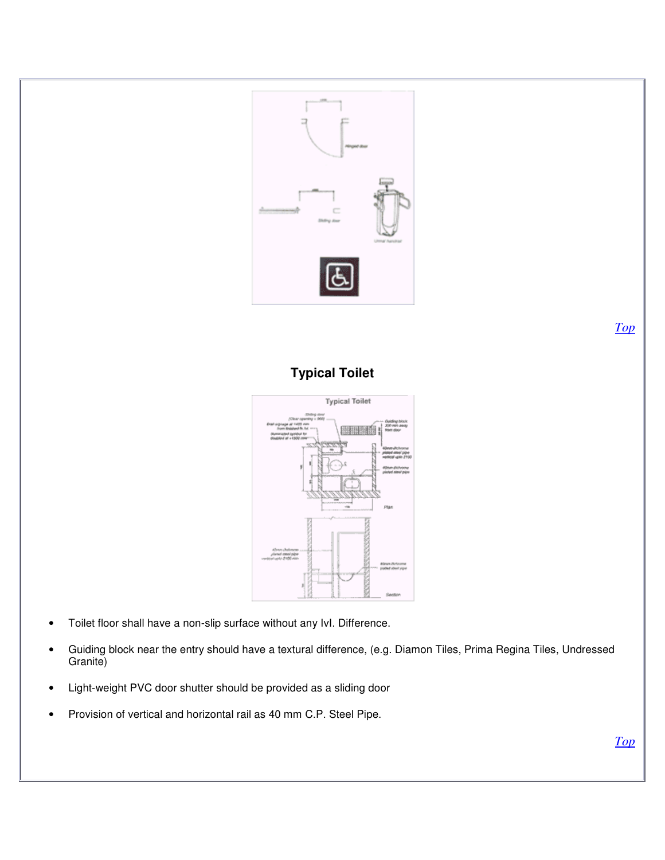

*Top*

# **Typical Toilet**



- Toilet floor shall have a non-slip surface without any IvI. Difference.
- Guiding block near the entry should have a textural difference, (e.g. Diamon Tiles, Prima Regina Tiles, Undressed Granite)
- Light-weight PVC door shutter should be provided as a sliding door
- Provision of vertical and horizontal rail as 40 mm C.P. Steel Pipe.

*Top*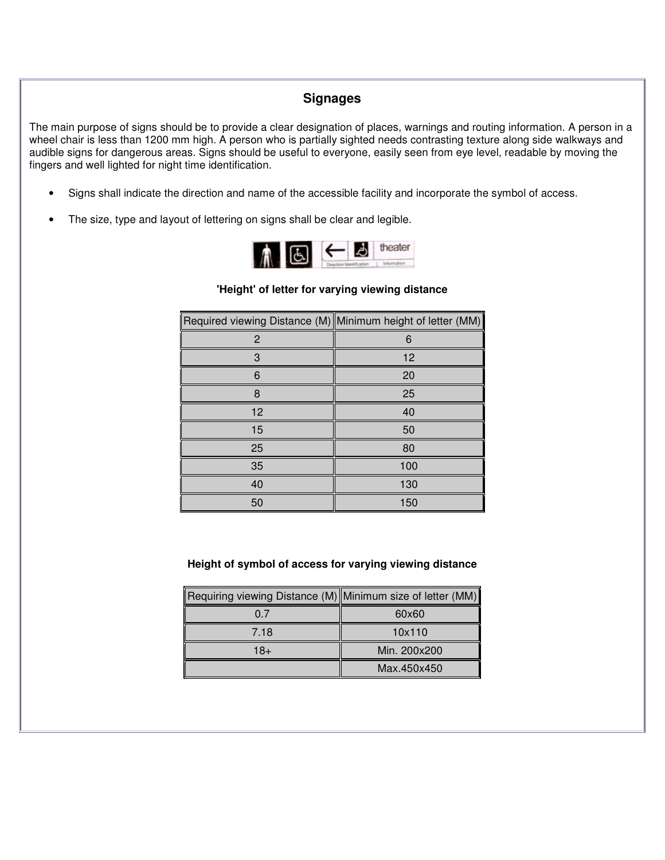# **Signages**

The main purpose of signs should be to provide a clear designation of places, warnings and routing information. A person in a wheel chair is less than 1200 mm high. A person who is partially sighted needs contrasting texture along side walkways and audible signs for dangerous areas. Signs should be useful to everyone, easily seen from eye level, readable by moving the fingers and well lighted for night time identification.

- Signs shall indicate the direction and name of the accessible facility and incorporate the symbol of access.
- The size, type and layout of lettering on signs shall be clear and legible.



#### **'Height' of letter for varying viewing distance**

| Required viewing Distance (M) Minimum height of letter (MM) |                   |
|-------------------------------------------------------------|-------------------|
| 2                                                           | 6                 |
| 3                                                           | $12 \overline{ }$ |
| 6                                                           | 20                |
| 8                                                           | 25                |
| 12                                                          | 40                |
| 15                                                          | 50                |
| 25                                                          | 80                |
| 35                                                          | 100               |
| 40                                                          | 130               |
| 50                                                          | 150               |

#### **Height of symbol of access for varying viewing distance**

| Requiring viewing Distance (M) Minimum size of letter (MM) |              |
|------------------------------------------------------------|--------------|
| 0 7                                                        | 60x60        |
| 7.18                                                       | 10x110       |
| 18+                                                        | Min. 200x200 |
|                                                            | Max.450x450  |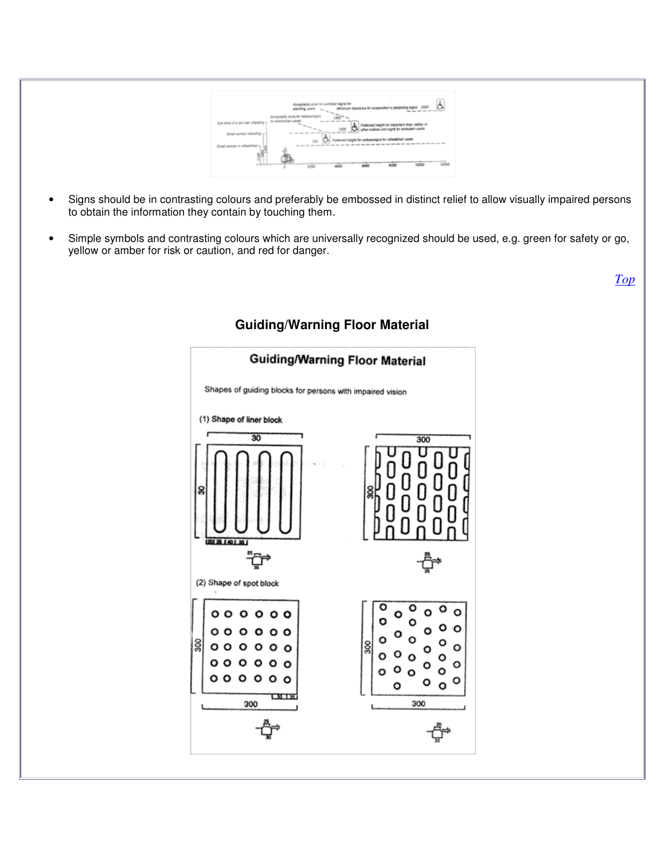

- Signs should be in contrasting colours and preferably be embossed in distinct relief to allow visually impaired persons to obtain the information they contain by touching them.
- Simple symbols and contrasting colours which are universally recognized should be used, e.g. green for safety or go, yellow or amber for risk or caution, and red for danger.

**Guiding/Warning Floor Material** Shapes of guiding blocks for persons with impaired vision (1) Shape of liner block  $\overline{30}$ 300 ׆ׇ֪֪֪֪֪֪֪֪֩֡֩֘֩֩֩<del>֟</del>֟֟֬֓֓֟ (2) Shape of spot block Ο  $000000$ O  $\Omega$  $0<sub>o</sub>$ O Ω క్ల  $\circ$  $0<sub>o</sub>$ Ο о  $000000$  $000000$ O O 300 300

# **Guiding/Warning Floor Material**

*Top*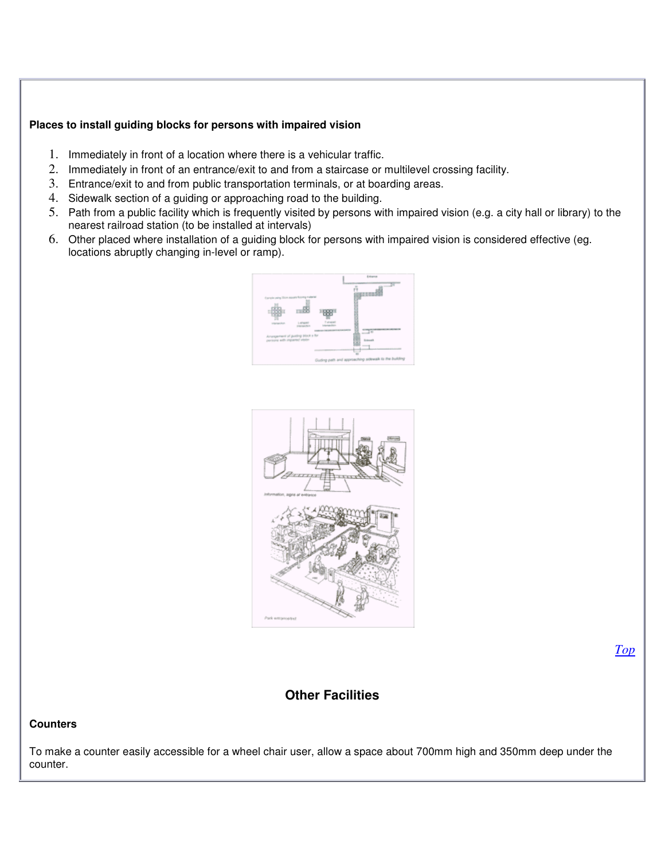#### **Places to install guiding blocks for persons with impaired vision**

- 1. Immediately in front of a location where there is a vehicular traffic.
- 2. Immediately in front of an entrance/exit to and from a staircase or multilevel crossing facility.
- 3. Entrance/exit to and from public transportation terminals, or at boarding areas.
- 4. Sidewalk section of a guiding or approaching road to the building.
- 5. Path from a public facility which is frequently visited by persons with impaired vision (e.g. a city hall or library) to the nearest railroad station (to be installed at intervals)
- 6. Other placed where installation of a guiding block for persons with impaired vision is considered effective (eg. locations abruptly changing in-level or ramp).





#### *Top*

# **Other Facilities**

#### **Counters**

To make a counter easily accessible for a wheel chair user, allow a space about 700mm high and 350mm deep under the counter.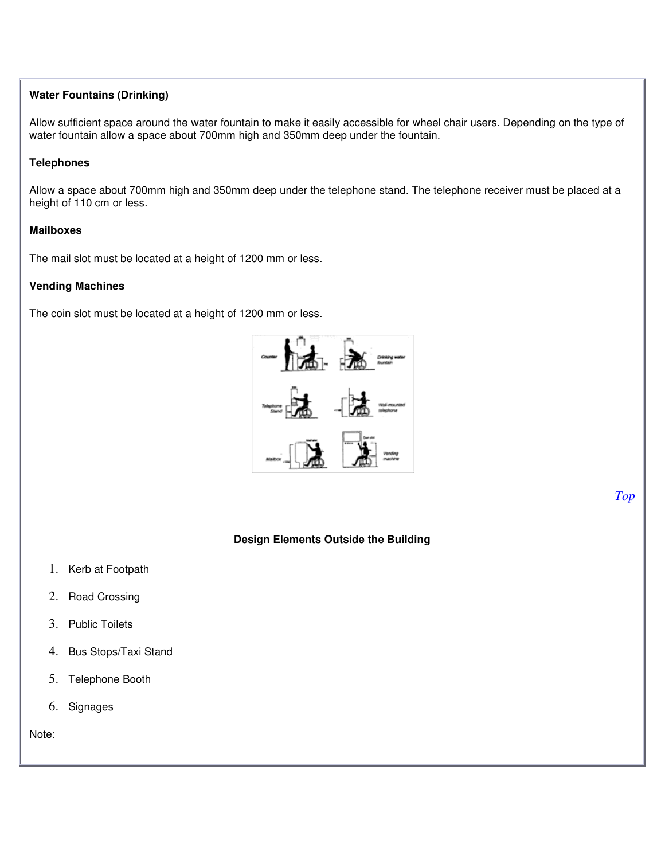#### **Water Fountains (Drinking)**

Allow sufficient space around the water fountain to make it easily accessible for wheel chair users. Depending on the type of water fountain allow a space about 700mm high and 350mm deep under the fountain.

#### **Telephones**

Allow a space about 700mm high and 350mm deep under the telephone stand. The telephone receiver must be placed at a height of 110 cm or less.

#### **Mailboxes**

The mail slot must be located at a height of 1200 mm or less.

#### **Vending Machines**

The coin slot must be located at a height of 1200 mm or less.



**Design Elements Outside the Building**

- 1. Kerb at Footpath
- 2. Road Crossing
- 3. Public Toilets
- 4. Bus Stops/Taxi Stand
- 5. Telephone Booth
- 6. Signages

Note:

*Top*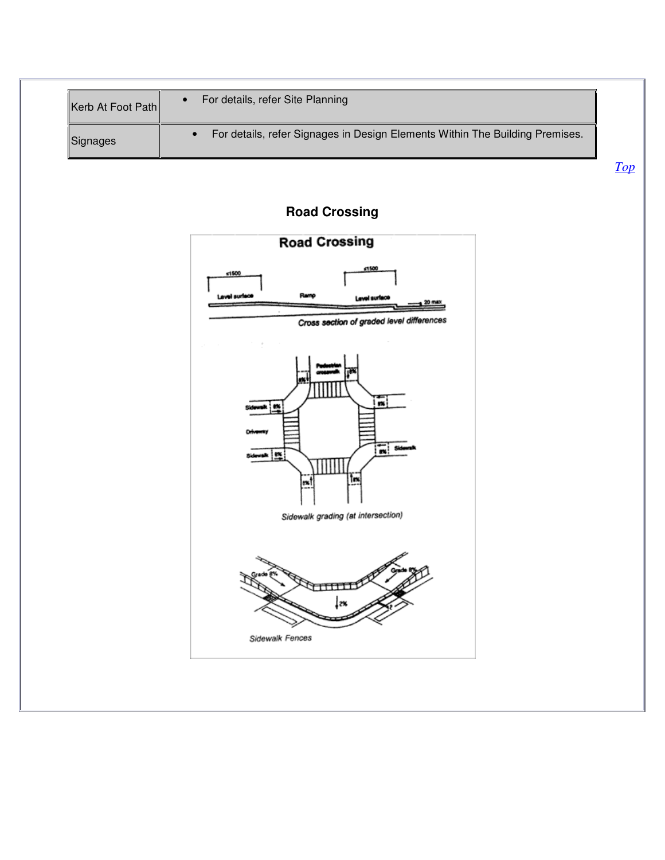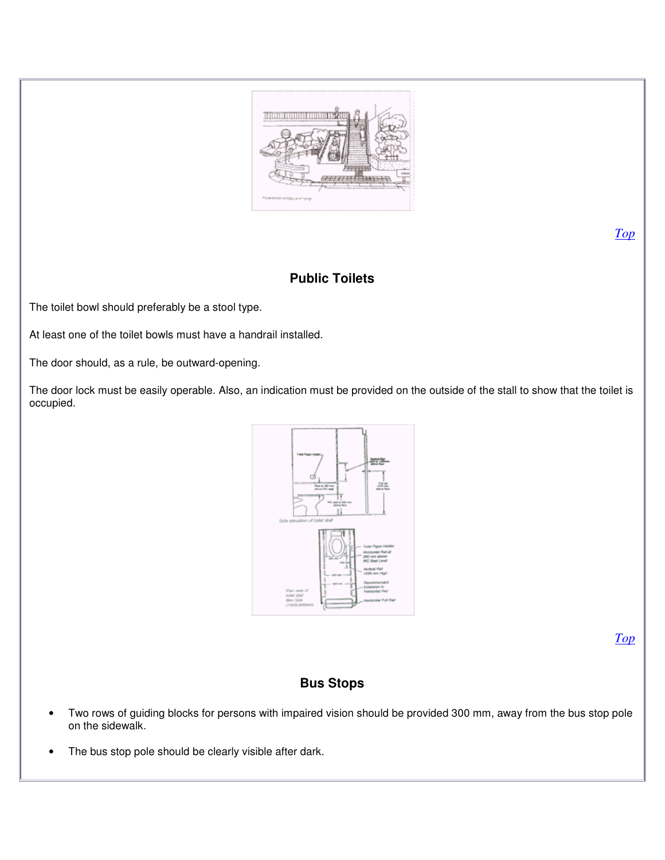

**Public Toilets**

The toilet bowl should preferably be a stool type.

At least one of the toilet bowls must have a handrail installed.

The door should, as a rule, be outward-opening.

The door lock must be easily operable. Also, an indication must be provided on the outside of the stall to show that the toilet is occupied.



*Top*

# **Bus Stops**

- Two rows of guiding blocks for persons with impaired vision should be provided 300 mm, away from the bus stop pole on the sidewalk.
- The bus stop pole should be clearly visible after dark.

*Top*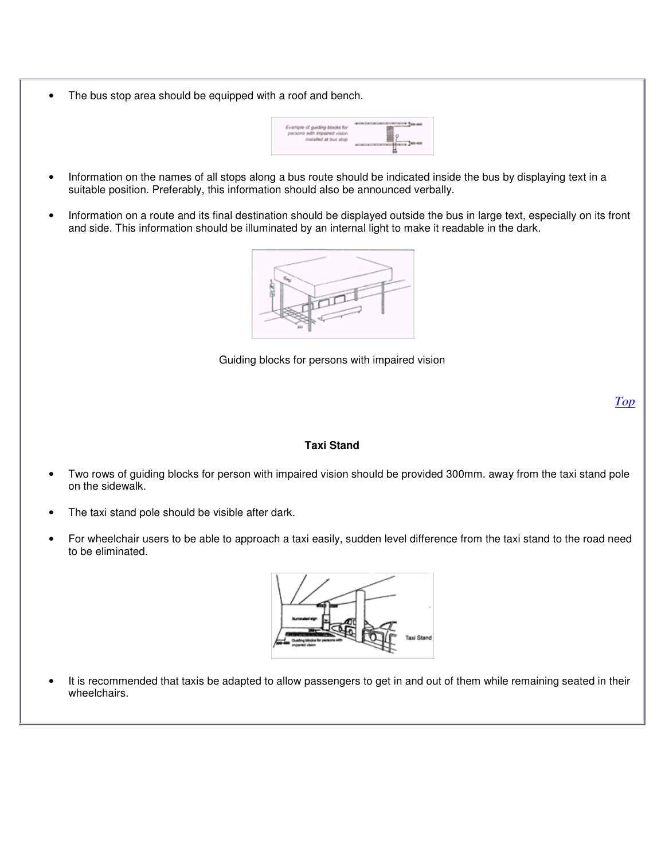The bus stop area should be equipped with a roof and bench.



- Information on the names of all stops along a bus route should be indicated inside the bus by displaying text in a suitable position. Preferably, this information should also be announced verbally.
- Information on a route and its final destination should be displayed outside the bus in large text, especially on its front and side. This information should be illuminated by an internal light to make it readable in the dark.



Guiding blocks for persons with impaired vision

*Top*

#### **Taxi Stand**

- Two rows of guiding blocks for person with impaired vision should be provided 300mm. away from the taxi stand pole on the sidewalk.
- The taxi stand pole should be visible after dark.
- For wheelchair users to be able to approach a taxi easily, sudden level difference from the taxi stand to the road need to be eliminated.



• It is recommended that taxis be adapted to allow passengers to get in and out of them while remaining seated in their wheelchairs.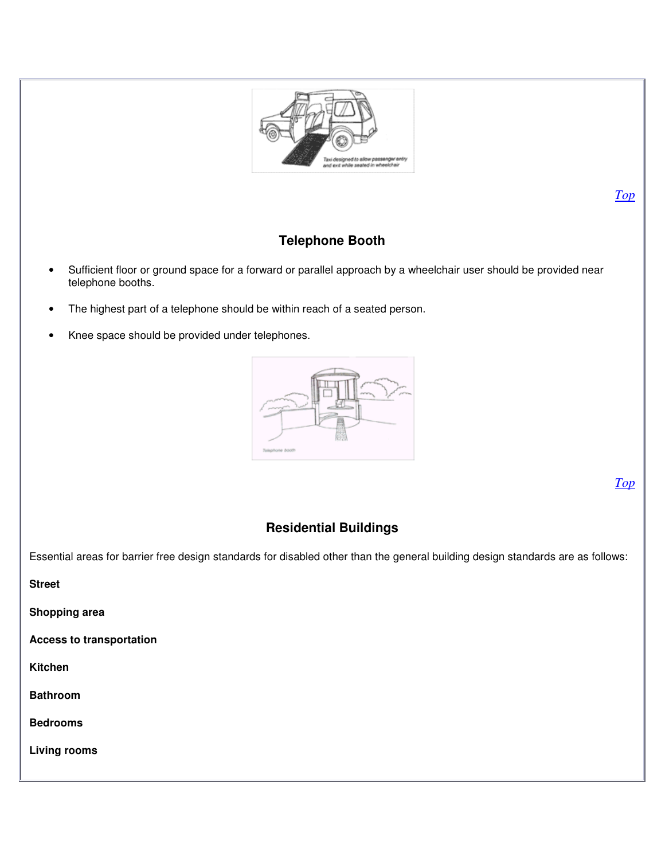

# **Telephone Booth**

- Sufficient floor or ground space for a forward or parallel approach by a wheelchair user should be provided near telephone booths.
- The highest part of a telephone should be within reach of a seated person.
- Knee space should be provided under telephones.



*Top*

*Top*

# **Residential Buildings**

Essential areas for barrier free design standards for disabled other than the general building design standards are as follows:

**Street**

**Shopping area**

**Access to transportation**

**Kitchen**

**Bathroom**

**Bedrooms**

**Living rooms**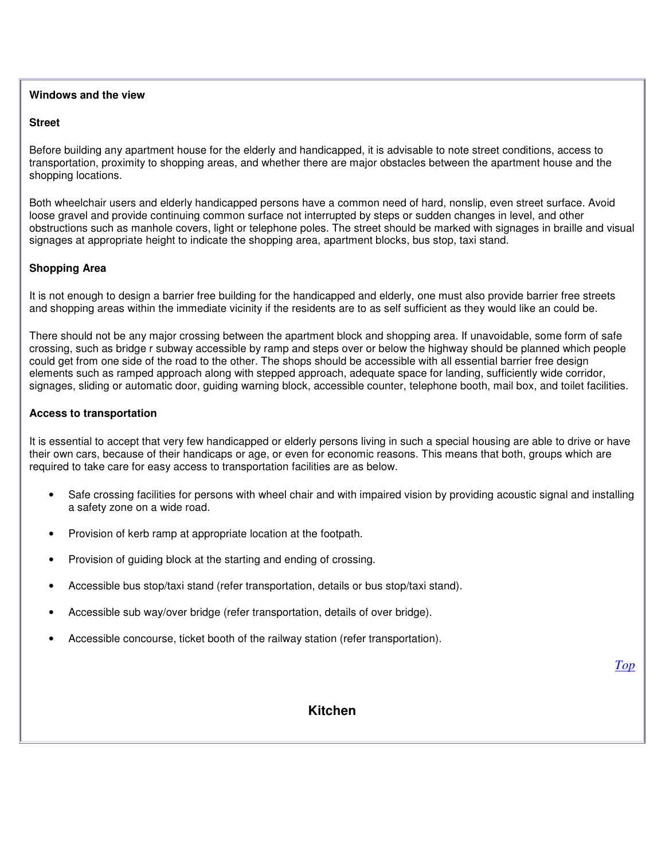#### **Windows and the view**

#### **Street**

Before building any apartment house for the elderly and handicapped, it is advisable to note street conditions, access to transportation, proximity to shopping areas, and whether there are major obstacles between the apartment house and the shopping locations.

Both wheelchair users and elderly handicapped persons have a common need of hard, nonslip, even street surface. Avoid loose gravel and provide continuing common surface not interrupted by steps or sudden changes in level, and other obstructions such as manhole covers, light or telephone poles. The street should be marked with signages in braille and visual signages at appropriate height to indicate the shopping area, apartment blocks, bus stop, taxi stand.

#### **Shopping Area**

It is not enough to design a barrier free building for the handicapped and elderly, one must also provide barrier free streets and shopping areas within the immediate vicinity if the residents are to as self sufficient as they would like an could be.

There should not be any major crossing between the apartment block and shopping area. If unavoidable, some form of safe crossing, such as bridge r subway accessible by ramp and steps over or below the highway should be planned which people could get from one side of the road to the other. The shops should be accessible with all essential barrier free design elements such as ramped approach along with stepped approach, adequate space for landing, sufficiently wide corridor, signages, sliding or automatic door, guiding warning block, accessible counter, telephone booth, mail box, and toilet facilities.

#### **Access to transportation**

It is essential to accept that very few handicapped or elderly persons living in such a special housing are able to drive or have their own cars, because of their handicaps or age, or even for economic reasons. This means that both, groups which are required to take care for easy access to transportation facilities are as below.

- Safe crossing facilities for persons with wheel chair and with impaired vision by providing acoustic signal and installing a safety zone on a wide road.
- Provision of kerb ramp at appropriate location at the footpath.
- Provision of guiding block at the starting and ending of crossing.
- Accessible bus stop/taxi stand (refer transportation, details or bus stop/taxi stand).
- Accessible sub way/over bridge (refer transportation, details of over bridge).
- Accessible concourse, ticket booth of the railway station (refer transportation).

*Top*

#### **Kitchen**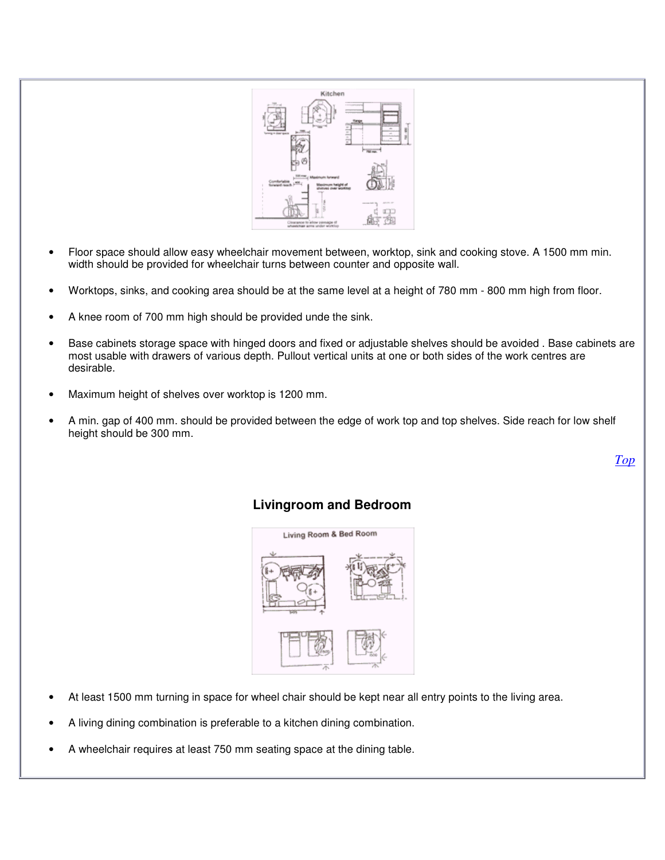

- Floor space should allow easy wheelchair movement between, worktop, sink and cooking stove. A 1500 mm min. width should be provided for wheelchair turns between counter and opposite wall.
- Worktops, sinks, and cooking area should be at the same level at a height of 780 mm 800 mm high from floor.
- A knee room of 700 mm high should be provided unde the sink.
- Base cabinets storage space with hinged doors and fixed or adjustable shelves should be avoided . Base cabinets are most usable with drawers of various depth. Pullout vertical units at one or both sides of the work centres are desirable.
- Maximum height of shelves over worktop is 1200 mm.
- A min. gap of 400 mm. should be provided between the edge of work top and top shelves. Side reach for low shelf height should be 300 mm.

*Top*

# **Livingroom and Bedroom**



- At least 1500 mm turning in space for wheel chair should be kept near all entry points to the living area.
- A living dining combination is preferable to a kitchen dining combination.
- A wheelchair requires at least 750 mm seating space at the dining table.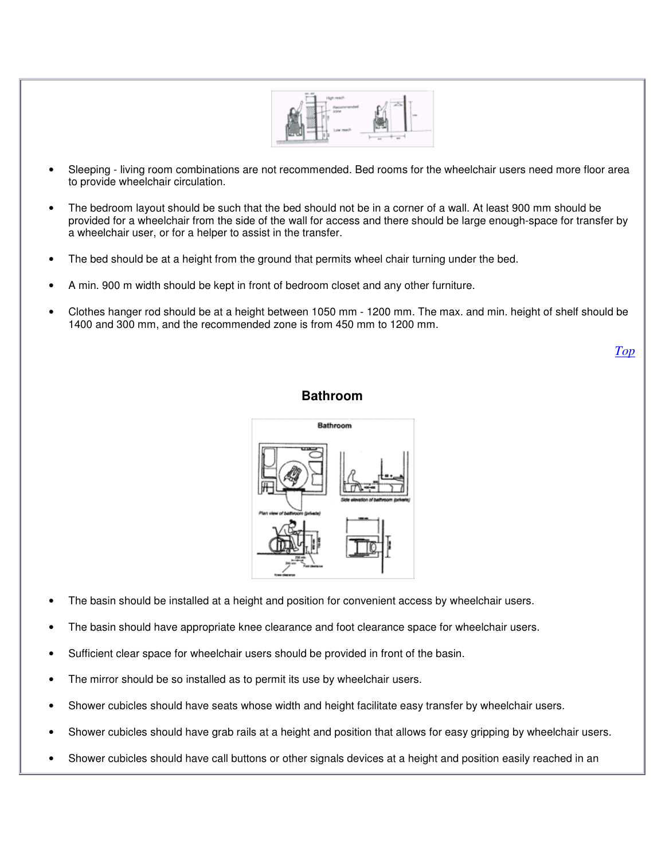

- Sleeping living room combinations are not recommended. Bed rooms for the wheelchair users need more floor area to provide wheelchair circulation.
- The bedroom layout should be such that the bed should not be in a corner of a wall. At least 900 mm should be provided for a wheelchair from the side of the wall for access and there should be large enough-space for transfer by a wheelchair user, or for a helper to assist in the transfer.
- The bed should be at a height from the ground that permits wheel chair turning under the bed.
- A min. 900 m width should be kept in front of bedroom closet and any other furniture.
- Clothes hanger rod should be at a height between 1050 mm 1200 mm. The max. and min. height of shelf should be 1400 and 300 mm, and the recommended zone is from 450 mm to 1200 mm.

*Top*

#### **Bathroom**



- The basin should be installed at a height and position for convenient access by wheelchair users.
- The basin should have appropriate knee clearance and foot clearance space for wheelchair users.
- Sufficient clear space for wheelchair users should be provided in front of the basin.
- The mirror should be so installed as to permit its use by wheelchair users.
- Shower cubicles should have seats whose width and height facilitate easy transfer by wheelchair users.
- Shower cubicles should have grab rails at a height and position that allows for easy gripping by wheelchair users.
- Shower cubicles should have call buttons or other signals devices at a height and position easily reached in an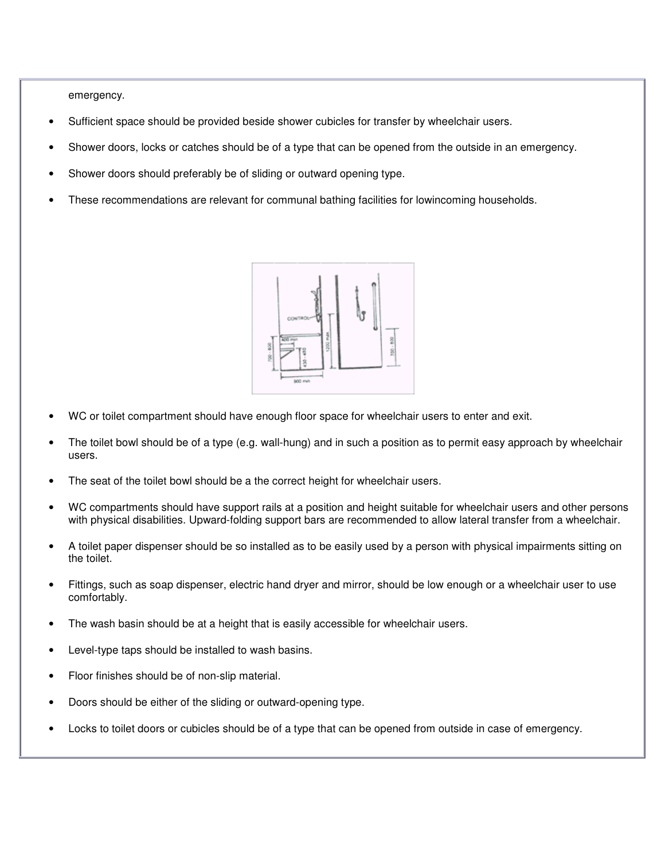emergency.

- Sufficient space should be provided beside shower cubicles for transfer by wheelchair users.
- Shower doors, locks or catches should be of a type that can be opened from the outside in an emergency.
- Shower doors should preferably be of sliding or outward opening type.
- These recommendations are relevant for communal bathing facilities for lowincoming households.



- WC or toilet compartment should have enough floor space for wheelchair users to enter and exit.
- The toilet bowl should be of a type (e.g. wall-hung) and in such a position as to permit easy approach by wheelchair users.
- The seat of the toilet bowl should be a the correct height for wheelchair users.
- WC compartments should have support rails at a position and height suitable for wheelchair users and other persons with physical disabilities. Upward-folding support bars are recommended to allow lateral transfer from a wheelchair.
- A toilet paper dispenser should be so installed as to be easily used by a person with physical impairments sitting on the toilet.
- Fittings, such as soap dispenser, electric hand dryer and mirror, should be low enough or a wheelchair user to use comfortably.
- The wash basin should be at a height that is easily accessible for wheelchair users.
- Level-type taps should be installed to wash basins.
- Floor finishes should be of non-slip material.
- Doors should be either of the sliding or outward-opening type.
- Locks to toilet doors or cubicles should be of a type that can be opened from outside in case of emergency.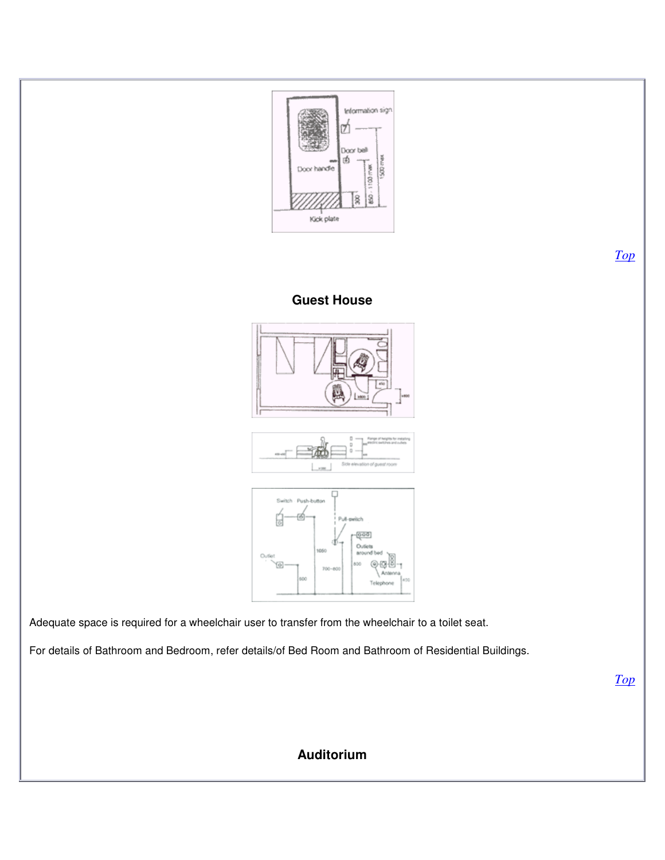

**Auditorium**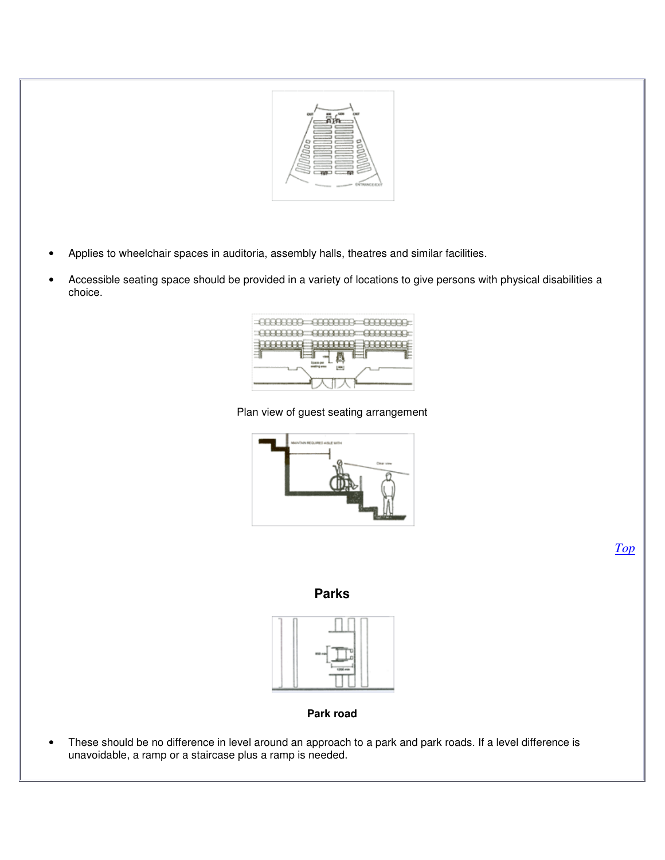

- Applies to wheelchair spaces in auditoria, assembly halls, theatres and similar facilities.
- Accessible seating space should be provided in a variety of locations to give persons with physical disabilities a choice.



#### Plan view of guest seating arrangement



**Parks**



**Park road**

• These should be no difference in level around an approach to a park and park roads. If a level difference is unavoidable, a ramp or a staircase plus a ramp is needed.

*Top*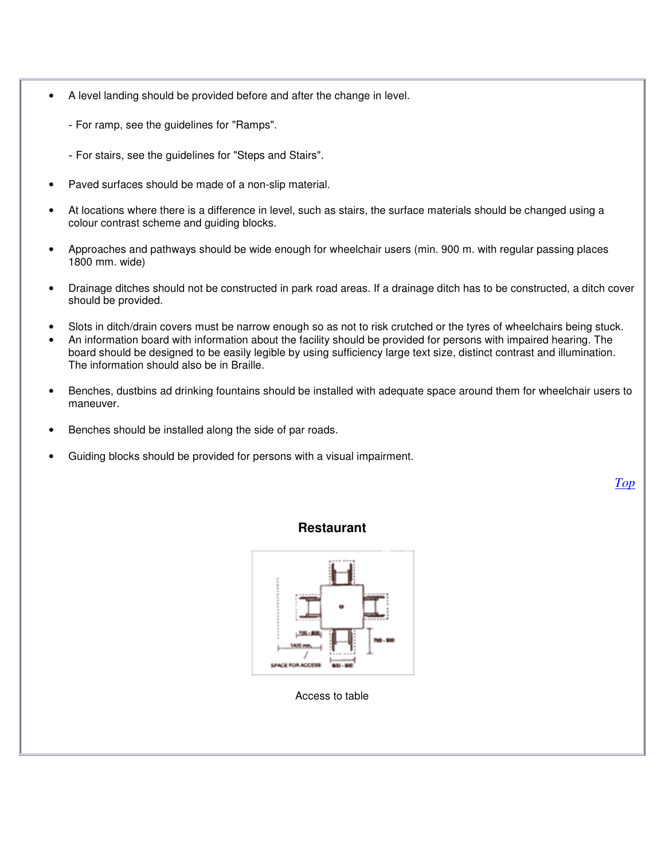- A level landing should be provided before and after the change in level.
	- For ramp, see the guidelines for "Ramps".
	- For stairs, see the guidelines for "Steps and Stairs".
- Paved surfaces should be made of a non-slip material.
- At locations where there is a difference in level, such as stairs, the surface materials should be changed using a colour contrast scheme and guiding blocks.
- Approaches and pathways should be wide enough for wheelchair users (min. 900 m. with regular passing places 1800 mm. wide)
- Drainage ditches should not be constructed in park road areas. If a drainage ditch has to be constructed, a ditch cover should be provided.
- Slots in ditch/drain covers must be narrow enough so as not to risk crutched or the tyres of wheelchairs being stuck.
- An information board with information about the facility should be provided for persons with impaired hearing. The board should be designed to be easily legible by using sufficiency large text size, distinct contrast and illumination. The information should also be in Braille.
- Benches, dustbins ad drinking fountains should be installed with adequate space around them for wheelchair users to maneuver.
- Benches should be installed along the side of par roads.
- Guiding blocks should be provided for persons with a visual impairment.

*Top*

**Restaurant**



Access to table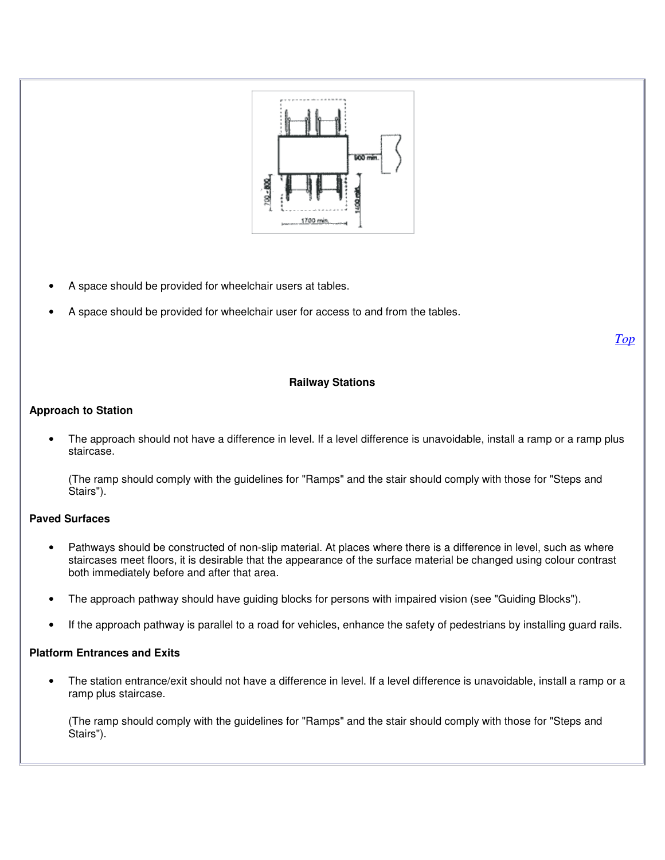

- A space should be provided for wheelchair users at tables.
- A space should be provided for wheelchair user for access to and from the tables.

*Top*

#### **Railway Stations**

#### **Approach to Station**

• The approach should not have a difference in level. If a level difference is unavoidable, install a ramp or a ramp plus staircase.

(The ramp should comply with the guidelines for "Ramps" and the stair should comply with those for "Steps and Stairs").

#### **Paved Surfaces**

- Pathways should be constructed of non-slip material. At places where there is a difference in level, such as where staircases meet floors, it is desirable that the appearance of the surface material be changed using colour contrast both immediately before and after that area.
- The approach pathway should have guiding blocks for persons with impaired vision (see "Guiding Blocks").
- If the approach pathway is parallel to a road for vehicles, enhance the safety of pedestrians by installing guard rails.

#### **Platform Entrances and Exits**

• The station entrance/exit should not have a difference in level. If a level difference is unavoidable, install a ramp or a ramp plus staircase.

(The ramp should comply with the guidelines for "Ramps" and the stair should comply with those for "Steps and Stairs").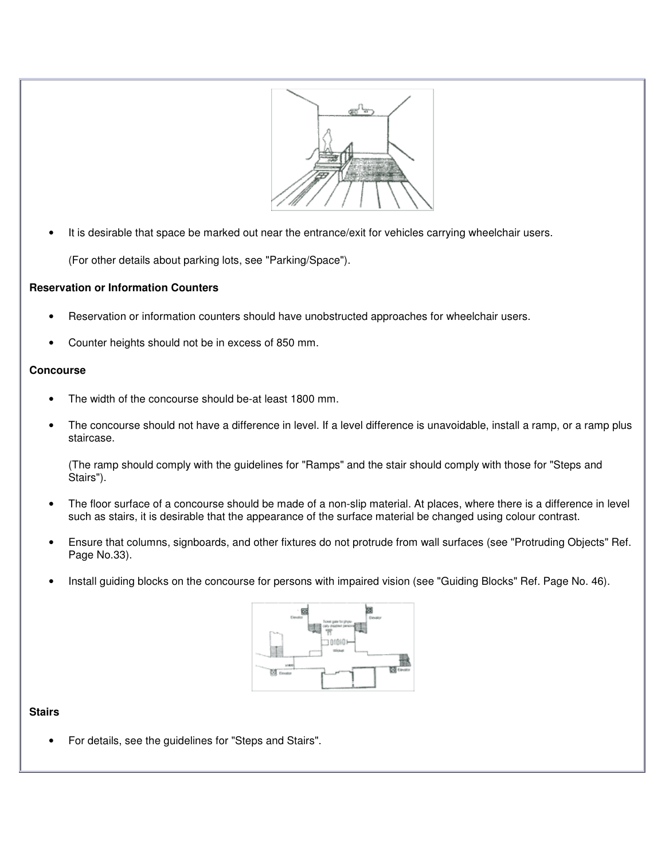

It is desirable that space be marked out near the entrance/exit for vehicles carrying wheelchair users.

(For other details about parking lots, see "Parking/Space").

#### **Reservation or Information Counters**

- Reservation or information counters should have unobstructed approaches for wheelchair users.
- Counter heights should not be in excess of 850 mm.

#### **Concourse**

- The width of the concourse should be-at least 1800 mm.
- The concourse should not have a difference in level. If a level difference is unavoidable, install a ramp, or a ramp plus staircase.

(The ramp should comply with the guidelines for "Ramps" and the stair should comply with those for "Steps and Stairs").

- The floor surface of a concourse should be made of a non-slip material. At places, where there is a difference in level such as stairs, it is desirable that the appearance of the surface material be changed using colour contrast.
- Ensure that columns, signboards, and other fixtures do not protrude from wall surfaces (see "Protruding Objects" Ref. Page No.33).
- Install guiding blocks on the concourse for persons with impaired vision (see "Guiding Blocks" Ref. Page No. 46).



#### **Stairs**

• For details, see the guidelines for "Steps and Stairs".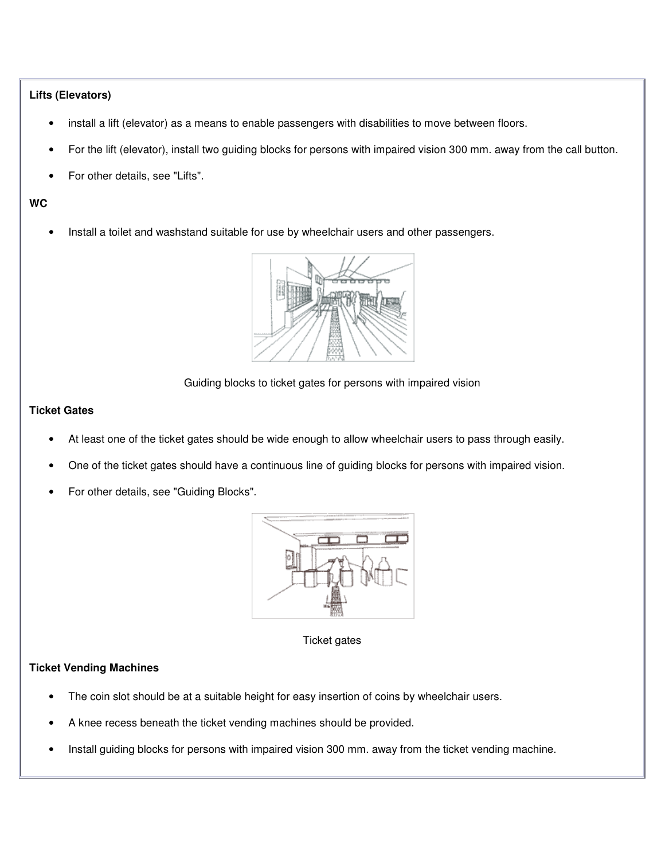#### **Lifts (Elevators)**

- install a lift (elevator) as a means to enable passengers with disabilities to move between floors.
- For the lift (elevator), install two guiding blocks for persons with impaired vision 300 mm. away from the call button.
- For other details, see "Lifts".

#### **WC**

• Install a toilet and washstand suitable for use by wheelchair users and other passengers.



#### Guiding blocks to ticket gates for persons with impaired vision

#### **Ticket Gates**

- At least one of the ticket gates should be wide enough to allow wheelchair users to pass through easily.
- One of the ticket gates should have a continuous line of guiding blocks for persons with impaired vision.
- For other details, see "Guiding Blocks".



Ticket gates

#### **Ticket Vending Machines**

- The coin slot should be at a suitable height for easy insertion of coins by wheelchair users.
- A knee recess beneath the ticket vending machines should be provided.
- Install guiding blocks for persons with impaired vision 300 mm. away from the ticket vending machine.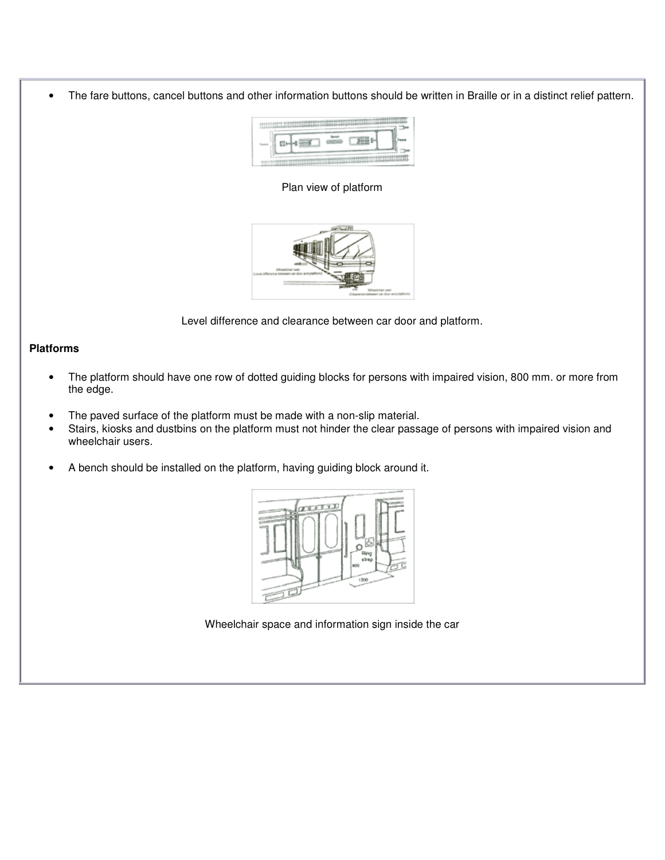• The fare buttons, cancel buttons and other information buttons should be written in Braille or in a distinct relief pattern.



Plan view of platform



Level difference and clearance between car door and platform.

#### **Platforms**

- The platform should have one row of dotted guiding blocks for persons with impaired vision, 800 mm. or more from the edge.
- The paved surface of the platform must be made with a non-slip material.<br>• Stairs, kiosks and dustbins on the platform must not binder the clear pass
- Stairs, kiosks and dustbins on the platform must not hinder the clear passage of persons with impaired vision and wheelchair users.
- A bench should be installed on the platform, having guiding block around it.



Wheelchair space and information sign inside the car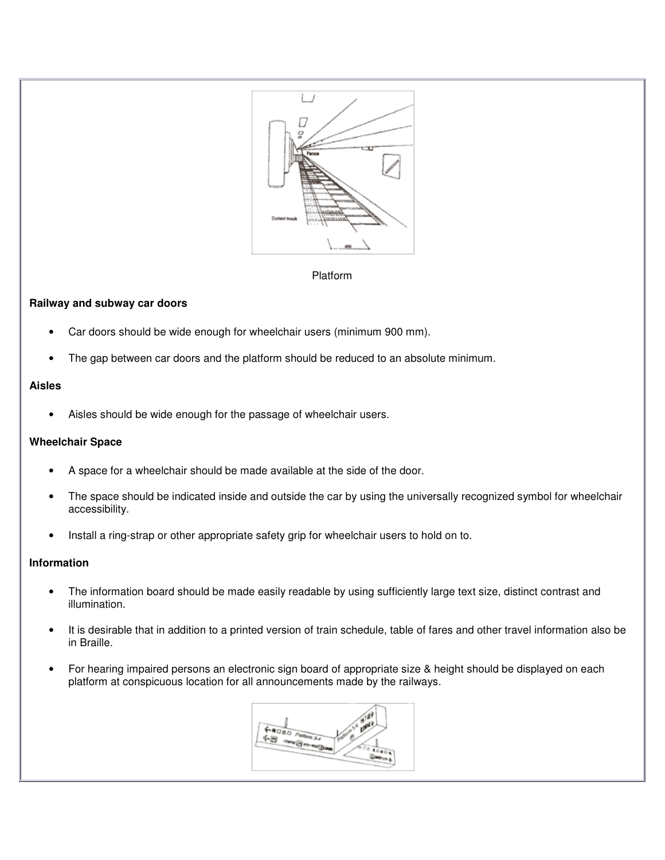

#### Platform

#### **Railway and subway car doors**

- Car doors should be wide enough for wheelchair users (minimum 900 mm).
- The gap between car doors and the platform should be reduced to an absolute minimum.

#### **Aisles**

• Aisles should be wide enough for the passage of wheelchair users.

#### **Wheelchair Space**

- A space for a wheelchair should be made available at the side of the door.
- The space should be indicated inside and outside the car by using the universally recognized symbol for wheelchair accessibility.
- Install a ring-strap or other appropriate safety grip for wheelchair users to hold on to.

#### **Information**

- The information board should be made easily readable by using sufficiently large text size, distinct contrast and illumination.
- It is desirable that in addition to a printed version of train schedule, table of fares and other travel information also be in Braille.
- For hearing impaired persons an electronic sign board of appropriate size & height should be displayed on each platform at conspicuous location for all announcements made by the railways.

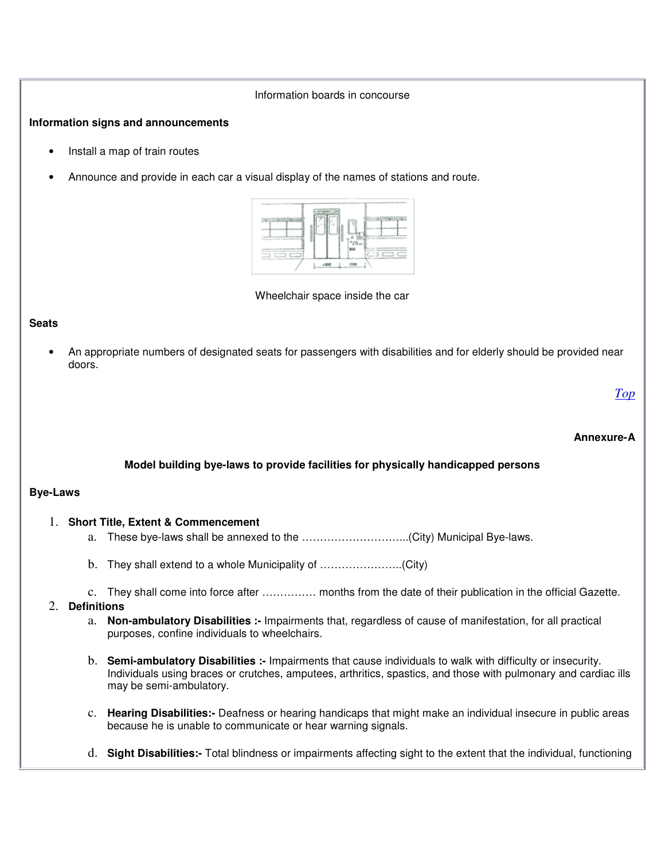#### Information boards in concourse

#### **Information signs and announcements**

- Install a map of train routes
- Announce and provide in each car a visual display of the names of stations and route.



Wheelchair space inside the car

#### **Seats**

• An appropriate numbers of designated seats for passengers with disabilities and for elderly should be provided near doors.

*Top*

#### **Annexure-A**

#### **Model building bye-laws to provide facilities for physically handicapped persons**

#### **Bye-Laws**

#### 1. **Short Title, Extent & Commencement**

- a. These bye-laws shall be annexed to the ………………………...(City) Municipal Bye-laws.
- b. They shall extend to a whole Municipality of …………………..(City)
- c. They shall come into force after …………… months from the date of their publication in the official Gazette.

#### 2. **Definitions**

- a. **Non-ambulatory Disabilities :-** Impairments that, regardless of cause of manifestation, for all practical purposes, confine individuals to wheelchairs.
- b. **Semi-ambulatory Disabilities :-** Impairments that cause individuals to walk with difficulty or insecurity. Individuals using braces or crutches, amputees, arthritics, spastics, and those with pulmonary and cardiac ills may be semi-ambulatory.
- c. **Hearing Disabilities:-** Deafness or hearing handicaps that might make an individual insecure in public areas because he is unable to communicate or hear warning signals.
- d. **Sight Disabilities:-** Total blindness or impairments affecting sight to the extent that the individual, functioning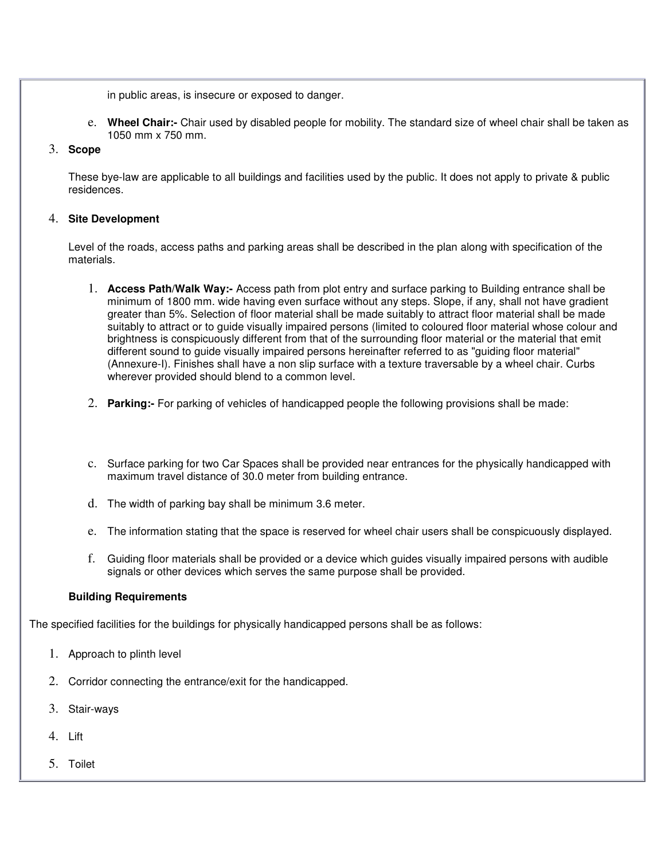in public areas, is insecure or exposed to danger.

e. **Wheel Chair:-** Chair used by disabled people for mobility. The standard size of wheel chair shall be taken as 1050 mm x 750 mm.

#### 3. **Scope**

These bye-law are applicable to all buildings and facilities used by the public. It does not apply to private & public residences.

#### 4. **Site Development**

Level of the roads, access paths and parking areas shall be described in the plan along with specification of the materials.

- 1. **Access Path/Walk Way:-** Access path from plot entry and surface parking to Building entrance shall be minimum of 1800 mm. wide having even surface without any steps. Slope, if any, shall not have gradient greater than 5%. Selection of floor material shall be made suitably to attract floor material shall be made suitably to attract or to guide visually impaired persons (limited to coloured floor material whose colour and brightness is conspicuously different from that of the surrounding floor material or the material that emit different sound to guide visually impaired persons hereinafter referred to as "guiding floor material" (Annexure-I). Finishes shall have a non slip surface with a texture traversable by a wheel chair. Curbs wherever provided should blend to a common level.
- 2. **Parking:-** For parking of vehicles of handicapped people the following provisions shall be made:
- c. Surface parking for two Car Spaces shall be provided near entrances for the physically handicapped with maximum travel distance of 30.0 meter from building entrance.
- d. The width of parking bay shall be minimum 3.6 meter.
- e. The information stating that the space is reserved for wheel chair users shall be conspicuously displayed.
- f. Guiding floor materials shall be provided or a device which guides visually impaired persons with audible signals or other devices which serves the same purpose shall be provided.

#### **Building Requirements**

The specified facilities for the buildings for physically handicapped persons shall be as follows:

- 1. Approach to plinth level
- 2. Corridor connecting the entrance/exit for the handicapped.
- 3. Stair-ways
- 4. Lift
- 5. Toilet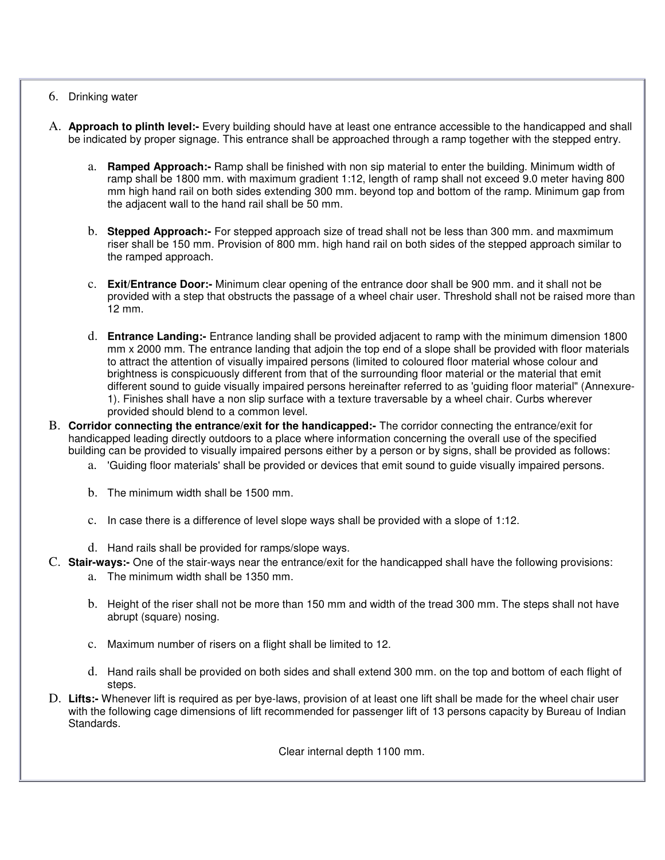#### 6. Drinking water

- A. **Approach to plinth level:-** Every building should have at least one entrance accessible to the handicapped and shall be indicated by proper signage. This entrance shall be approached through a ramp together with the stepped entry.
	- a. **Ramped Approach:-** Ramp shall be finished with non sip material to enter the building. Minimum width of ramp shall be 1800 mm. with maximum gradient 1:12, length of ramp shall not exceed 9.0 meter having 800 mm high hand rail on both sides extending 300 mm. beyond top and bottom of the ramp. Minimum gap from the adjacent wall to the hand rail shall be 50 mm.
	- b. **Stepped Approach:-** For stepped approach size of tread shall not be less than 300 mm. and maxmimum riser shall be 150 mm. Provision of 800 mm. high hand rail on both sides of the stepped approach similar to the ramped approach.
	- c. **Exit/Entrance Door:-** Minimum clear opening of the entrance door shall be 900 mm. and it shall not be provided with a step that obstructs the passage of a wheel chair user. Threshold shall not be raised more than 12 mm.
	- d. **Entrance Landing:-** Entrance landing shall be provided adjacent to ramp with the minimum dimension 1800 mm x 2000 mm. The entrance landing that adjoin the top end of a slope shall be provided with floor materials to attract the attention of visually impaired persons (limited to coloured floor material whose colour and brightness is conspicuously different from that of the surrounding floor material or the material that emit different sound to guide visually impaired persons hereinafter referred to as 'guiding floor material" (Annexure-1). Finishes shall have a non slip surface with a texture traversable by a wheel chair. Curbs wherever provided should blend to a common level.
- B. **Corridor connecting the entrance/exit for the handicapped:-** The corridor connecting the entrance/exit for handicapped leading directly outdoors to a place where information concerning the overall use of the specified building can be provided to visually impaired persons either by a person or by signs, shall be provided as follows:
	- a. 'Guiding floor materials' shall be provided or devices that emit sound to guide visually impaired persons.
	- b. The minimum width shall be 1500 mm.
	- c. In case there is a difference of level slope ways shall be provided with a slope of 1:12.
	- d. Hand rails shall be provided for ramps/slope ways.
- C. **Stair-ways:-** One of the stair-ways near the entrance/exit for the handicapped shall have the following provisions:
	- a. The minimum width shall be 1350 mm.
	- b. Height of the riser shall not be more than 150 mm and width of the tread 300 mm. The steps shall not have abrupt (square) nosing.
	- c. Maximum number of risers on a flight shall be limited to 12.
	- d. Hand rails shall be provided on both sides and shall extend 300 mm. on the top and bottom of each flight of steps.
- D. **Lifts:-** Whenever lift is required as per bye-laws, provision of at least one lift shall be made for the wheel chair user with the following cage dimensions of lift recommended for passenger lift of 13 persons capacity by Bureau of Indian Standards.

Clear internal depth 1100 mm.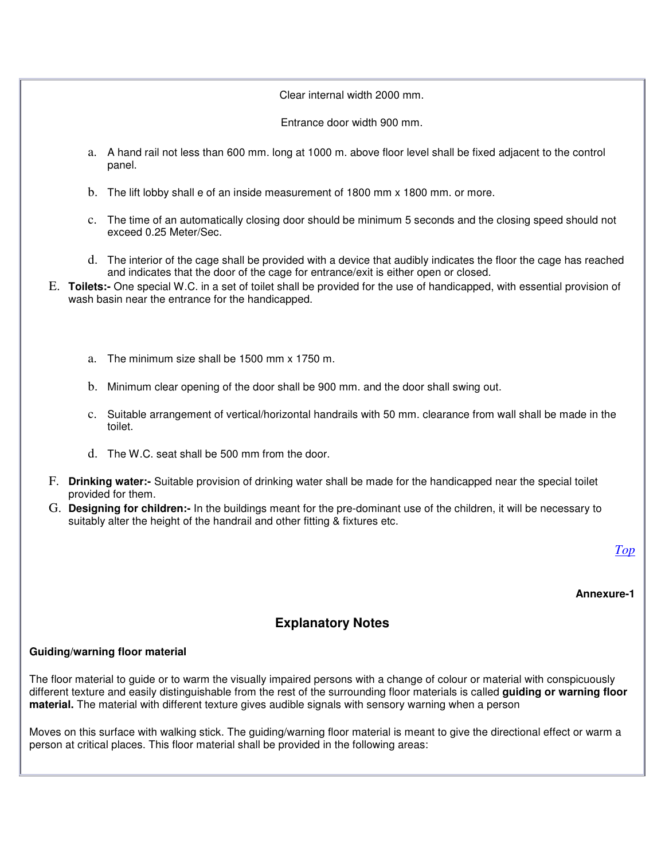#### Clear internal width 2000 mm.

Entrance door width 900 mm.

- a. A hand rail not less than 600 mm. long at 1000 m. above floor level shall be fixed adjacent to the control panel.
- b. The lift lobby shall e of an inside measurement of 1800 mm x 1800 mm. or more.
- c. The time of an automatically closing door should be minimum 5 seconds and the closing speed should not exceed 0.25 Meter/Sec.
- d. The interior of the cage shall be provided with a device that audibly indicates the floor the cage has reached and indicates that the door of the cage for entrance/exit is either open or closed.
- E. **Toilets:-** One special W.C. in a set of toilet shall be provided for the use of handicapped, with essential provision of wash basin near the entrance for the handicapped.
	- a. The minimum size shall be 1500 mm x 1750 m.
	- b. Minimum clear opening of the door shall be 900 mm. and the door shall swing out.
	- c. Suitable arrangement of vertical/horizontal handrails with 50 mm. clearance from wall shall be made in the toilet.
	- d. The W.C. seat shall be 500 mm from the door.
- F. **Drinking water:-** Suitable provision of drinking water shall be made for the handicapped near the special toilet provided for them.
- G. **Designing for children:-** In the buildings meant for the pre-dominant use of the children, it will be necessary to suitably alter the height of the handrail and other fitting & fixtures etc.

*Top*

**Annexure-1**

# **Explanatory Notes**

#### **Guiding/warning floor material**

The floor material to guide or to warm the visually impaired persons with a change of colour or material with conspicuously different texture and easily distinguishable from the rest of the surrounding floor materials is called **guiding or warning floor material.** The material with different texture gives audible signals with sensory warning when a person

Moves on this surface with walking stick. The guiding/warning floor material is meant to give the directional effect or warm a person at critical places. This floor material shall be provided in the following areas: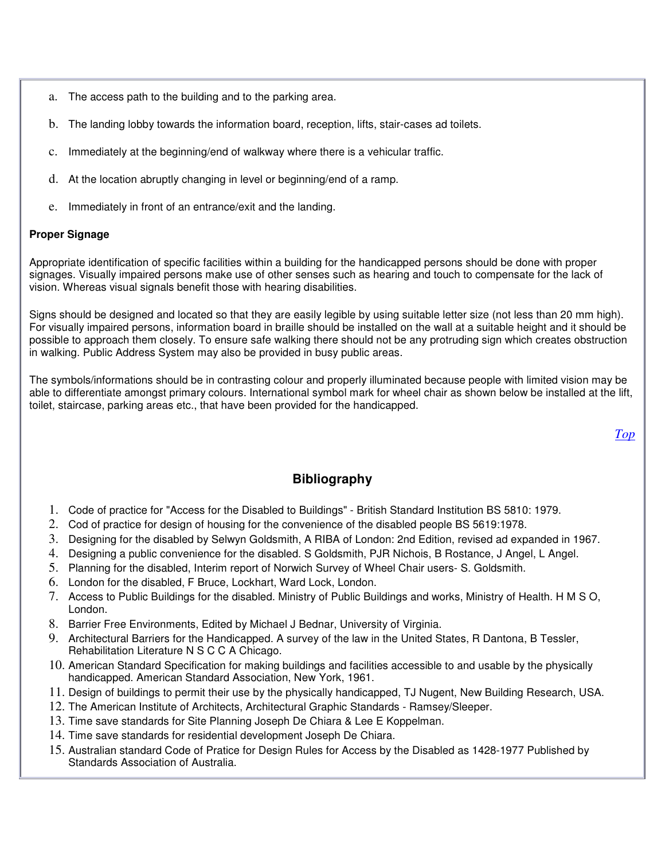- a. The access path to the building and to the parking area.
- b. The landing lobby towards the information board, reception, lifts, stair-cases ad toilets.
- c. Immediately at the beginning/end of walkway where there is a vehicular traffic.
- d. At the location abruptly changing in level or beginning/end of a ramp.
- e. Immediately in front of an entrance/exit and the landing.

#### **Proper Signage**

Appropriate identification of specific facilities within a building for the handicapped persons should be done with proper signages. Visually impaired persons make use of other senses such as hearing and touch to compensate for the lack of vision. Whereas visual signals benefit those with hearing disabilities.

Signs should be designed and located so that they are easily legible by using suitable letter size (not less than 20 mm high). For visually impaired persons, information board in braille should be installed on the wall at a suitable height and it should be possible to approach them closely. To ensure safe walking there should not be any protruding sign which creates obstruction in walking. Public Address System may also be provided in busy public areas.

The symbols/informations should be in contrasting colour and properly illuminated because people with limited vision may be able to differentiate amongst primary colours. International symbol mark for wheel chair as shown below be installed at the lift, toilet, staircase, parking areas etc., that have been provided for the handicapped.

*Top*

# **Bibliography**

- 1. Code of practice for "Access for the Disabled to Buildings" British Standard Institution BS 5810: 1979.
- 2. Cod of practice for design of housing for the convenience of the disabled people BS 5619:1978.
- 3. Designing for the disabled by Selwyn Goldsmith, A RIBA of London: 2nd Edition, revised ad expanded in 1967.
- 4. Designing a public convenience for the disabled. S Goldsmith, PJR Nichois, B Rostance, J Angel, L Angel.
- 5. Planning for the disabled, Interim report of Norwich Survey of Wheel Chair users- S. Goldsmith.
- 6. London for the disabled, F Bruce, Lockhart, Ward Lock, London.
- 7. Access to Public Buildings for the disabled. Ministry of Public Buildings and works, Ministry of Health. H M S O, London.
- 8. Barrier Free Environments, Edited by Michael J Bednar, University of Virginia.
- 9. Architectural Barriers for the Handicapped. A survey of the law in the United States, R Dantona, B Tessler, Rehabilitation Literature N S C C A Chicago.
- 10. American Standard Specification for making buildings and facilities accessible to and usable by the physically handicapped. American Standard Association, New York, 1961.
- 11. Design of buildings to permit their use by the physically handicapped, TJ Nugent, New Building Research, USA.
- 12. The American Institute of Architects, Architectural Graphic Standards Ramsey/Sleeper.
- 13. Time save standards for Site Planning Joseph De Chiara & Lee E Koppelman.
- 14. Time save standards for residential development Joseph De Chiara.
- 15. Australian standard Code of Pratice for Design Rules for Access by the Disabled as 1428-1977 Published by Standards Association of Australia.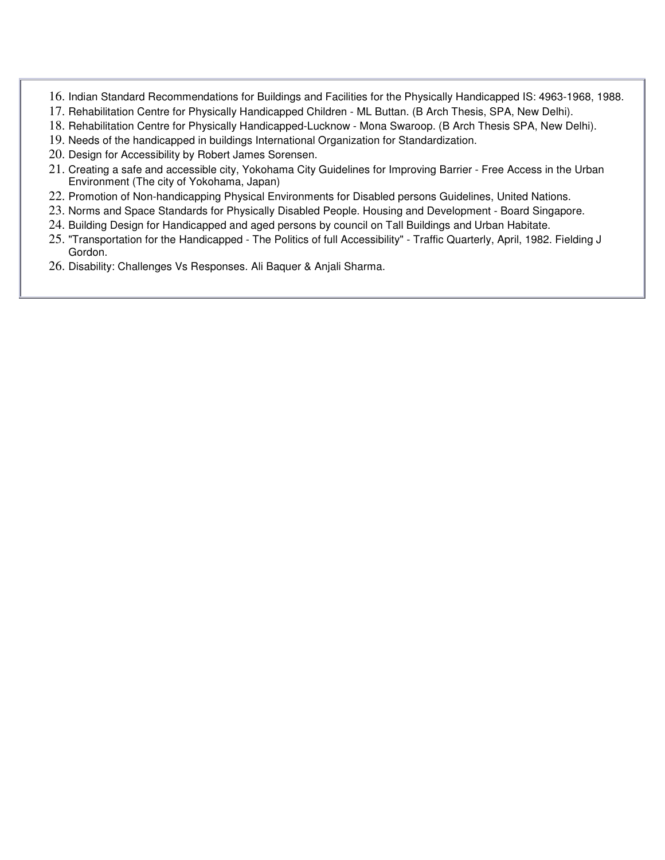- 16. Indian Standard Recommendations for Buildings and Facilities for the Physically Handicapped IS: 4963-1968, 1988.
- 17. Rehabilitation Centre for Physically Handicapped Children ML Buttan. (B Arch Thesis, SPA, New Delhi).
- 18. Rehabilitation Centre for Physically Handicapped-Lucknow Mona Swaroop. (B Arch Thesis SPA, New Delhi).
- 19. Needs of the handicapped in buildings International Organization for Standardization.
- 20. Design for Accessibility by Robert James Sorensen.
- 21. Creating a safe and accessible city, Yokohama City Guidelines for Improving Barrier Free Access in the Urban Environment (The city of Yokohama, Japan)
- 22. Promotion of Non-handicapping Physical Environments for Disabled persons Guidelines, United Nations.
- 23. Norms and Space Standards for Physically Disabled People. Housing and Development Board Singapore.
- 24. Building Design for Handicapped and aged persons by council on Tall Buildings and Urban Habitate.
- 25. "Transportation for the Handicapped The Politics of full Accessibility" Traffic Quarterly, April, 1982. Fielding J Gordon.
- 26. Disability: Challenges Vs Responses. Ali Baquer & Anjali Sharma.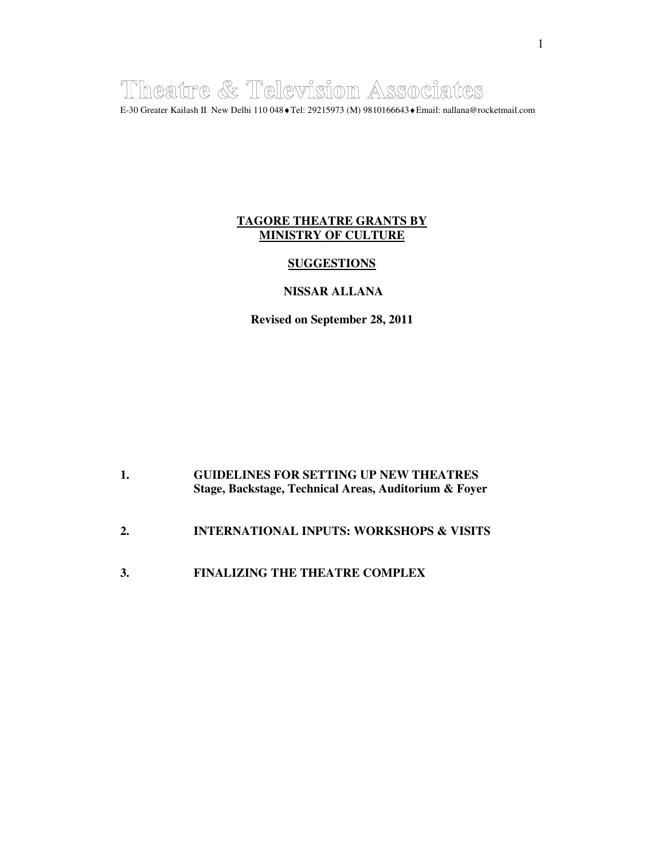Theatre & Television Associates E-30 Greater Kailash II New Delhi 110 048♦Tel: 29215973 (M) 9810166643♦Email: nallana@rocketmail.com

### **TAGORE THEATRE GRANTS BY MINISTRY OF CULTURE**

#### **SUGGESTIONS**

#### **NISSAR ALLANA**

**Revised on September 28, 2011** 

| <b>GUIDELINES FOR SETTING UP NEW THEATRES</b>         |
|-------------------------------------------------------|
| Stage, Backstage, Technical Areas, Auditorium & Foyer |

- **2. INTERNATIONAL INPUTS: WORKSHOPS & VISITS**
- **3. FINALIZING THE THEATRE COMPLEX**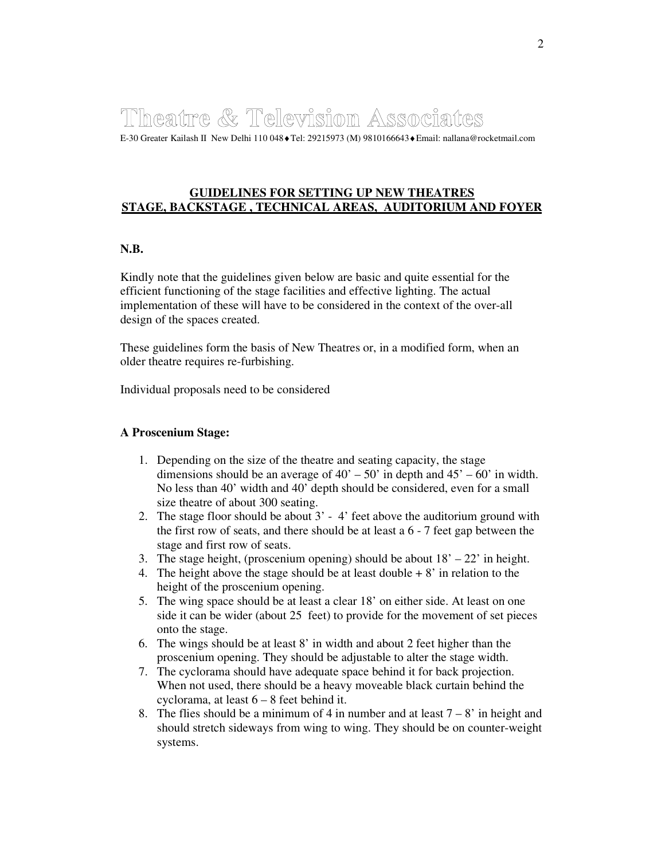# Theatre & Television Associates

E-30 Greater Kailash II New Delhi 110 048♦Tel: 29215973 (M) 9810166643♦Email: nallana@rocketmail.com

#### **GUIDELINES FOR SETTING UP NEW THEATRES STAGE, BACKSTAGE , TECHNICAL AREAS, AUDITORIUM AND FOYER**

#### **N.B.**

Kindly note that the guidelines given below are basic and quite essential for the efficient functioning of the stage facilities and effective lighting. The actual implementation of these will have to be considered in the context of the over-all design of the spaces created.

These guidelines form the basis of New Theatres or, in a modified form, when an older theatre requires re-furbishing.

Individual proposals need to be considered

#### **A Proscenium Stage:**

- 1. Depending on the size of the theatre and seating capacity, the stage dimensions should be an average of  $40' - 50'$  in depth and  $45' - 60'$  in width. No less than 40' width and 40' depth should be considered, even for a small size theatre of about 300 seating.
- 2. The stage floor should be about 3' 4' feet above the auditorium ground with the first row of seats, and there should be at least a 6 - 7 feet gap between the stage and first row of seats.
- 3. The stage height, (proscenium opening) should be about  $18' 22'$  in height.
- 4. The height above the stage should be at least double  $+8'$  in relation to the height of the proscenium opening.
- 5. The wing space should be at least a clear 18' on either side. At least on one side it can be wider (about 25 feet) to provide for the movement of set pieces onto the stage.
- 6. The wings should be at least 8' in width and about 2 feet higher than the proscenium opening. They should be adjustable to alter the stage width.
- 7. The cyclorama should have adequate space behind it for back projection. When not used, there should be a heavy moveable black curtain behind the cyclorama, at least 6 – 8 feet behind it.
- 8. The flies should be a minimum of 4 in number and at least  $7 8'$  in height and should stretch sideways from wing to wing. They should be on counter-weight systems.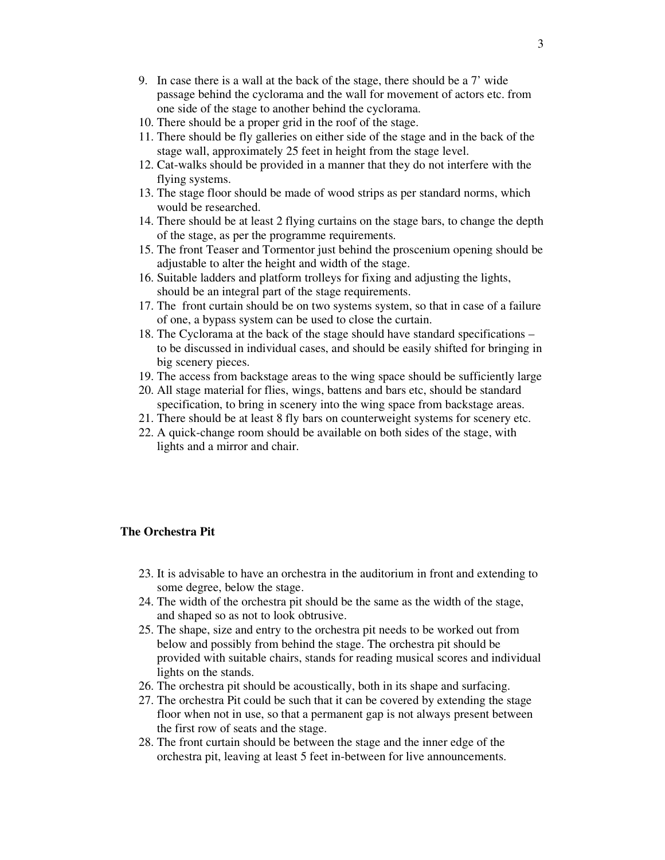- 9. In case there is a wall at the back of the stage, there should be a 7' wide passage behind the cyclorama and the wall for movement of actors etc. from one side of the stage to another behind the cyclorama.
- 10. There should be a proper grid in the roof of the stage.
- 11. There should be fly galleries on either side of the stage and in the back of the stage wall, approximately 25 feet in height from the stage level.
- 12. Cat-walks should be provided in a manner that they do not interfere with the flying systems.
- 13. The stage floor should be made of wood strips as per standard norms, which would be researched.
- 14. There should be at least 2 flying curtains on the stage bars, to change the depth of the stage, as per the programme requirements.
- 15. The front Teaser and Tormentor just behind the proscenium opening should be adjustable to alter the height and width of the stage.
- 16. Suitable ladders and platform trolleys for fixing and adjusting the lights, should be an integral part of the stage requirements.
- 17. The front curtain should be on two systems system, so that in case of a failure of one, a bypass system can be used to close the curtain.
- 18. The Cyclorama at the back of the stage should have standard specifications to be discussed in individual cases, and should be easily shifted for bringing in big scenery pieces.
- 19. The access from backstage areas to the wing space should be sufficiently large
- 20. All stage material for flies, wings, battens and bars etc, should be standard specification, to bring in scenery into the wing space from backstage areas.
- 21. There should be at least 8 fly bars on counterweight systems for scenery etc.
- 22. A quick-change room should be available on both sides of the stage, with lights and a mirror and chair.

#### **The Orchestra Pit**

- 23. It is advisable to have an orchestra in the auditorium in front and extending to some degree, below the stage.
- 24. The width of the orchestra pit should be the same as the width of the stage, and shaped so as not to look obtrusive.
- 25. The shape, size and entry to the orchestra pit needs to be worked out from below and possibly from behind the stage. The orchestra pit should be provided with suitable chairs, stands for reading musical scores and individual lights on the stands.
- 26. The orchestra pit should be acoustically, both in its shape and surfacing.
- 27. The orchestra Pit could be such that it can be covered by extending the stage floor when not in use, so that a permanent gap is not always present between the first row of seats and the stage.
- 28. The front curtain should be between the stage and the inner edge of the orchestra pit, leaving at least 5 feet in-between for live announcements.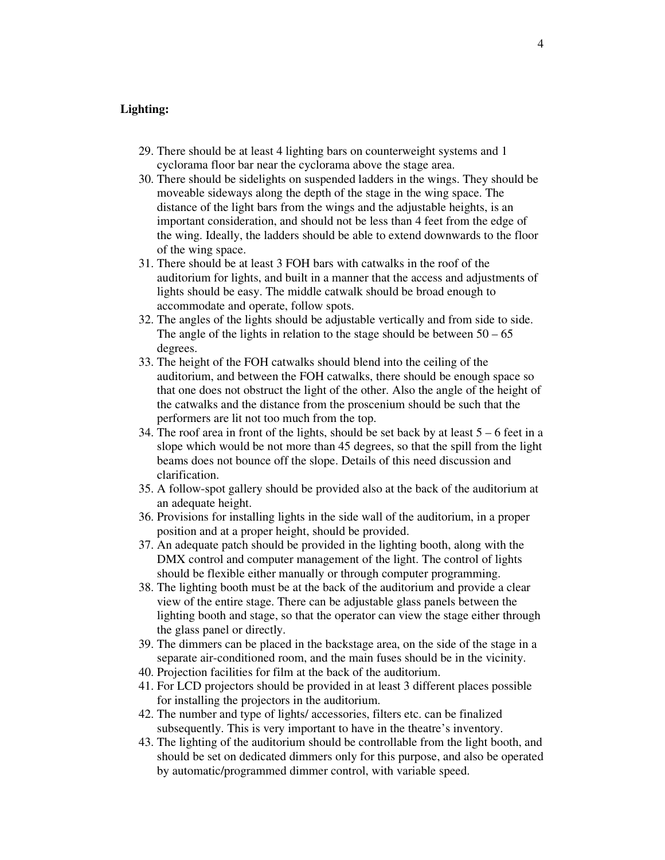#### **Lighting:**

- 29. There should be at least 4 lighting bars on counterweight systems and 1 cyclorama floor bar near the cyclorama above the stage area.
- 30. There should be sidelights on suspended ladders in the wings. They should be moveable sideways along the depth of the stage in the wing space. The distance of the light bars from the wings and the adjustable heights, is an important consideration, and should not be less than 4 feet from the edge of the wing. Ideally, the ladders should be able to extend downwards to the floor of the wing space.
- 31. There should be at least 3 FOH bars with catwalks in the roof of the auditorium for lights, and built in a manner that the access and adjustments of lights should be easy. The middle catwalk should be broad enough to accommodate and operate, follow spots.
- 32. The angles of the lights should be adjustable vertically and from side to side. The angle of the lights in relation to the stage should be between  $50 - 65$ degrees.
- 33. The height of the FOH catwalks should blend into the ceiling of the auditorium, and between the FOH catwalks, there should be enough space so that one does not obstruct the light of the other. Also the angle of the height of the catwalks and the distance from the proscenium should be such that the performers are lit not too much from the top.
- 34. The roof area in front of the lights, should be set back by at least  $5 6$  feet in a slope which would be not more than 45 degrees, so that the spill from the light beams does not bounce off the slope. Details of this need discussion and clarification.
- 35. A follow-spot gallery should be provided also at the back of the auditorium at an adequate height.
- 36. Provisions for installing lights in the side wall of the auditorium, in a proper position and at a proper height, should be provided.
- 37. An adequate patch should be provided in the lighting booth, along with the DMX control and computer management of the light. The control of lights should be flexible either manually or through computer programming.
- 38. The lighting booth must be at the back of the auditorium and provide a clear view of the entire stage. There can be adjustable glass panels between the lighting booth and stage, so that the operator can view the stage either through the glass panel or directly.
- 39. The dimmers can be placed in the backstage area, on the side of the stage in a separate air-conditioned room, and the main fuses should be in the vicinity.
- 40. Projection facilities for film at the back of the auditorium.
- 41. For LCD projectors should be provided in at least 3 different places possible for installing the projectors in the auditorium.
- 42. The number and type of lights/ accessories, filters etc. can be finalized subsequently. This is very important to have in the theatre's inventory.
- 43. The lighting of the auditorium should be controllable from the light booth, and should be set on dedicated dimmers only for this purpose, and also be operated by automatic/programmed dimmer control, with variable speed.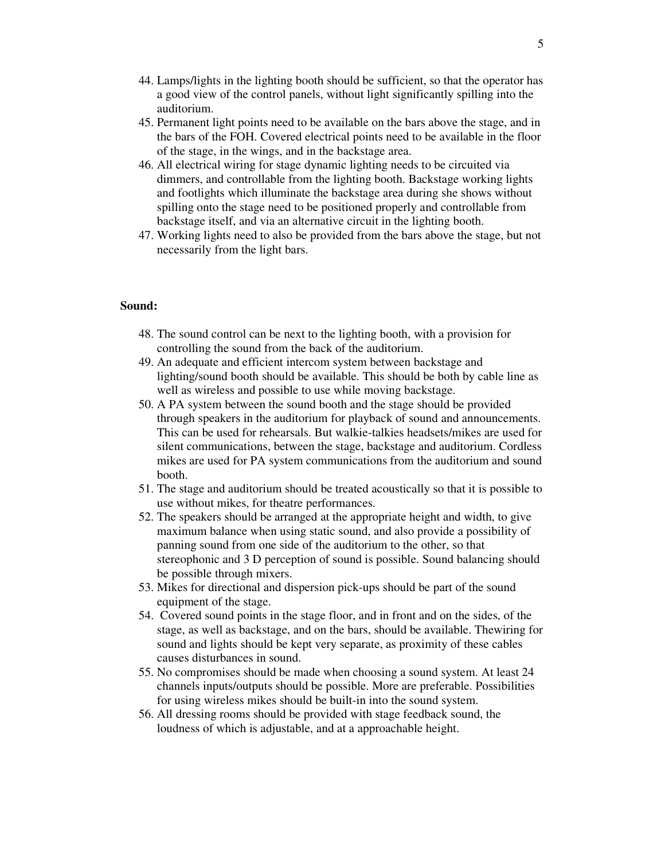- 44. Lamps/lights in the lighting booth should be sufficient, so that the operator has a good view of the control panels, without light significantly spilling into the auditorium.
- 45. Permanent light points need to be available on the bars above the stage, and in the bars of the FOH. Covered electrical points need to be available in the floor of the stage, in the wings, and in the backstage area.
- 46. All electrical wiring for stage dynamic lighting needs to be circuited via dimmers, and controllable from the lighting booth. Backstage working lights and footlights which illuminate the backstage area during she shows without spilling onto the stage need to be positioned properly and controllable from backstage itself, and via an alternative circuit in the lighting booth.
- 47. Working lights need to also be provided from the bars above the stage, but not necessarily from the light bars.

#### **Sound:**

- 48. The sound control can be next to the lighting booth, with a provision for controlling the sound from the back of the auditorium.
- 49. An adequate and efficient intercom system between backstage and lighting/sound booth should be available. This should be both by cable line as well as wireless and possible to use while moving backstage.
- 50. A PA system between the sound booth and the stage should be provided through speakers in the auditorium for playback of sound and announcements. This can be used for rehearsals. But walkie-talkies headsets/mikes are used for silent communications, between the stage, backstage and auditorium. Cordless mikes are used for PA system communications from the auditorium and sound booth.
- 51. The stage and auditorium should be treated acoustically so that it is possible to use without mikes, for theatre performances.
- 52. The speakers should be arranged at the appropriate height and width, to give maximum balance when using static sound, and also provide a possibility of panning sound from one side of the auditorium to the other, so that stereophonic and 3 D perception of sound is possible. Sound balancing should be possible through mixers.
- 53. Mikes for directional and dispersion pick-ups should be part of the sound equipment of the stage.
- 54. Covered sound points in the stage floor, and in front and on the sides, of the stage, as well as backstage, and on the bars, should be available. Thewiring for sound and lights should be kept very separate, as proximity of these cables causes disturbances in sound.
- 55. No compromises should be made when choosing a sound system. At least 24 channels inputs/outputs should be possible. More are preferable. Possibilities for using wireless mikes should be built-in into the sound system.
- 56. All dressing rooms should be provided with stage feedback sound, the loudness of which is adjustable, and at a approachable height.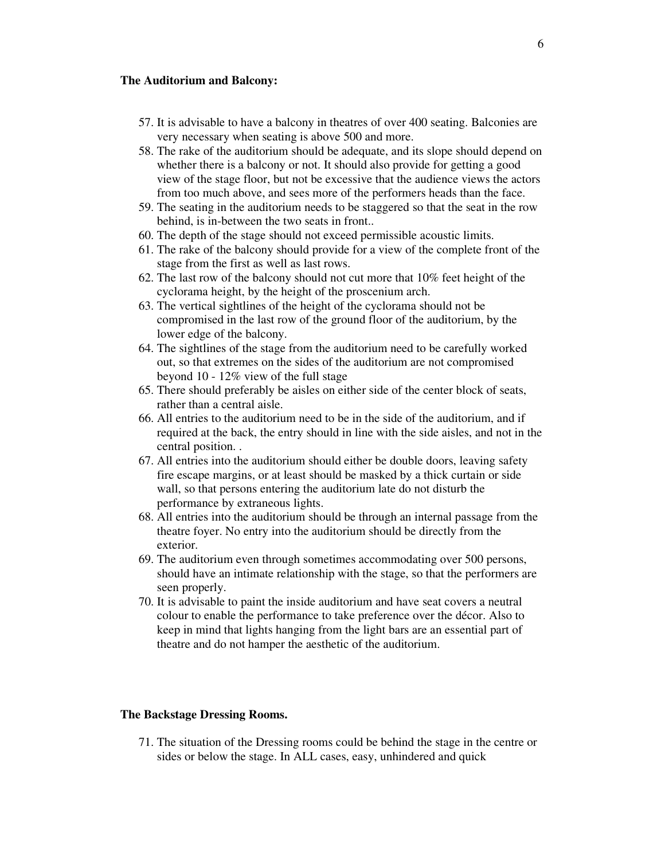#### **The Auditorium and Balcony:**

- 57. It is advisable to have a balcony in theatres of over 400 seating. Balconies are very necessary when seating is above 500 and more.
- 58. The rake of the auditorium should be adequate, and its slope should depend on whether there is a balcony or not. It should also provide for getting a good view of the stage floor, but not be excessive that the audience views the actors from too much above, and sees more of the performers heads than the face.
- 59. The seating in the auditorium needs to be staggered so that the seat in the row behind, is in-between the two seats in front..
- 60. The depth of the stage should not exceed permissible acoustic limits.
- 61. The rake of the balcony should provide for a view of the complete front of the stage from the first as well as last rows.
- 62. The last row of the balcony should not cut more that 10% feet height of the cyclorama height, by the height of the proscenium arch.
- 63. The vertical sightlines of the height of the cyclorama should not be compromised in the last row of the ground floor of the auditorium, by the lower edge of the balcony.
- 64. The sightlines of the stage from the auditorium need to be carefully worked out, so that extremes on the sides of the auditorium are not compromised beyond 10 - 12% view of the full stage
- 65. There should preferably be aisles on either side of the center block of seats, rather than a central aisle.
- 66. All entries to the auditorium need to be in the side of the auditorium, and if required at the back, the entry should in line with the side aisles, and not in the central position. .
- 67. All entries into the auditorium should either be double doors, leaving safety fire escape margins, or at least should be masked by a thick curtain or side wall, so that persons entering the auditorium late do not disturb the performance by extraneous lights.
- 68. All entries into the auditorium should be through an internal passage from the theatre foyer. No entry into the auditorium should be directly from the exterior.
- 69. The auditorium even through sometimes accommodating over 500 persons, should have an intimate relationship with the stage, so that the performers are seen properly.
- 70. It is advisable to paint the inside auditorium and have seat covers a neutral colour to enable the performance to take preference over the décor. Also to keep in mind that lights hanging from the light bars are an essential part of theatre and do not hamper the aesthetic of the auditorium.

#### **The Backstage Dressing Rooms.**

71. The situation of the Dressing rooms could be behind the stage in the centre or sides or below the stage. In ALL cases, easy, unhindered and quick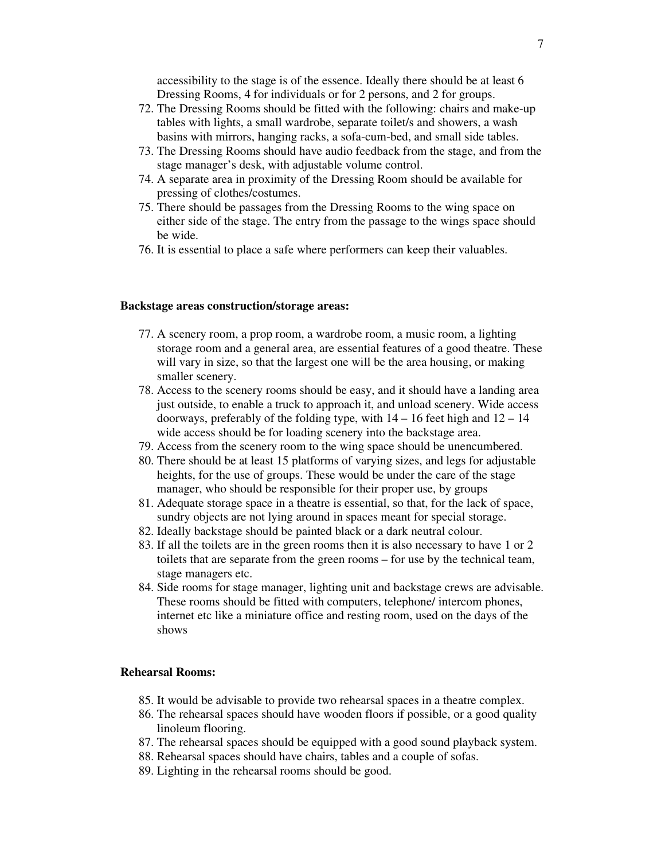accessibility to the stage is of the essence. Ideally there should be at least 6 Dressing Rooms, 4 for individuals or for 2 persons, and 2 for groups.

- 72. The Dressing Rooms should be fitted with the following: chairs and make-up tables with lights, a small wardrobe, separate toilet/s and showers, a wash basins with mirrors, hanging racks, a sofa-cum-bed, and small side tables.
- 73. The Dressing Rooms should have audio feedback from the stage, and from the stage manager's desk, with adjustable volume control.
- 74. A separate area in proximity of the Dressing Room should be available for pressing of clothes/costumes.
- 75. There should be passages from the Dressing Rooms to the wing space on either side of the stage. The entry from the passage to the wings space should be wide.
- 76. It is essential to place a safe where performers can keep their valuables.

#### **Backstage areas construction/storage areas:**

- 77. A scenery room, a prop room, a wardrobe room, a music room, a lighting storage room and a general area, are essential features of a good theatre. These will vary in size, so that the largest one will be the area housing, or making smaller scenery.
- 78. Access to the scenery rooms should be easy, and it should have a landing area just outside, to enable a truck to approach it, and unload scenery. Wide access doorways, preferably of the folding type, with  $14 - 16$  feet high and  $12 - 14$ wide access should be for loading scenery into the backstage area.
- 79. Access from the scenery room to the wing space should be unencumbered.
- 80. There should be at least 15 platforms of varying sizes, and legs for adjustable heights, for the use of groups. These would be under the care of the stage manager, who should be responsible for their proper use, by groups
- 81. Adequate storage space in a theatre is essential, so that, for the lack of space, sundry objects are not lying around in spaces meant for special storage.
- 82. Ideally backstage should be painted black or a dark neutral colour.
- 83. If all the toilets are in the green rooms then it is also necessary to have 1 or 2 toilets that are separate from the green rooms – for use by the technical team, stage managers etc.
- 84. Side rooms for stage manager, lighting unit and backstage crews are advisable. These rooms should be fitted with computers, telephone/ intercom phones, internet etc like a miniature office and resting room, used on the days of the shows

#### **Rehearsal Rooms:**

- 85. It would be advisable to provide two rehearsal spaces in a theatre complex.
- 86. The rehearsal spaces should have wooden floors if possible, or a good quality linoleum flooring.
- 87. The rehearsal spaces should be equipped with a good sound playback system.
- 88. Rehearsal spaces should have chairs, tables and a couple of sofas.
- 89. Lighting in the rehearsal rooms should be good.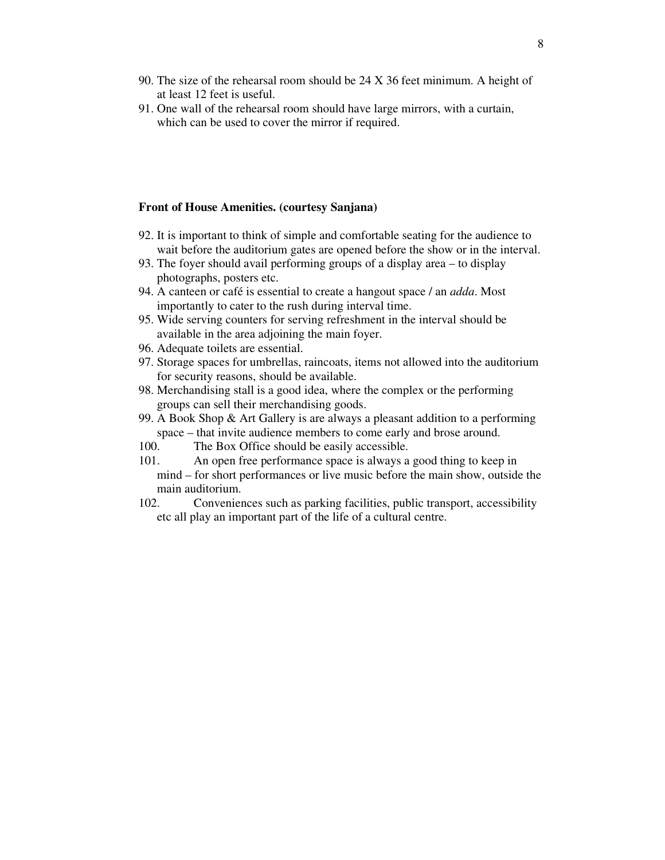- 90. The size of the rehearsal room should be 24 X 36 feet minimum. A height of at least 12 feet is useful.
- 91. One wall of the rehearsal room should have large mirrors, with a curtain, which can be used to cover the mirror if required.

#### **Front of House Amenities. (courtesy Sanjana)**

- 92. It is important to think of simple and comfortable seating for the audience to wait before the auditorium gates are opened before the show or in the interval.
- 93. The foyer should avail performing groups of a display area to display photographs, posters etc.
- 94. A canteen or café is essential to create a hangout space / an *adda*. Most importantly to cater to the rush during interval time.
- 95. Wide serving counters for serving refreshment in the interval should be available in the area adjoining the main foyer.
- 96. Adequate toilets are essential.
- 97. Storage spaces for umbrellas, raincoats, items not allowed into the auditorium for security reasons, should be available.
- 98. Merchandising stall is a good idea, where the complex or the performing groups can sell their merchandising goods.
- 99. A Book Shop & Art Gallery is are always a pleasant addition to a performing space – that invite audience members to come early and brose around.
- 100. The Box Office should be easily accessible.
- 101. An open free performance space is always a good thing to keep in
	- mind for short performances or live music before the main show, outside the main auditorium.
- 102. Conveniences such as parking facilities, public transport, accessibility etc all play an important part of the life of a cultural centre.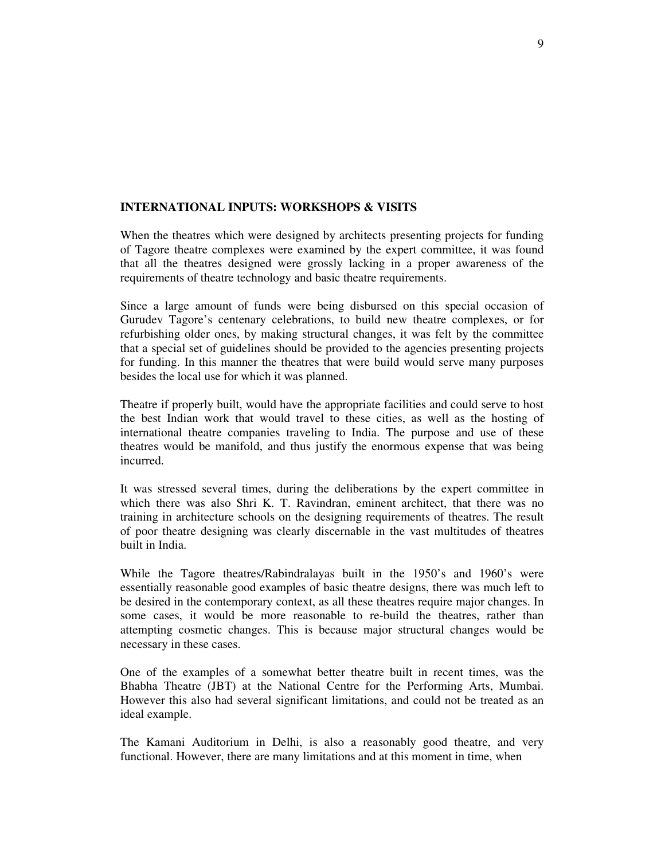### **INTERNATIONAL INPUTS: WORKSHOPS & VISITS**

When the theatres which were designed by architects presenting projects for funding of Tagore theatre complexes were examined by the expert committee, it was found that all the theatres designed were grossly lacking in a proper awareness of the requirements of theatre technology and basic theatre requirements.

Since a large amount of funds were being disbursed on this special occasion of Gurudev Tagore's centenary celebrations, to build new theatre complexes, or for refurbishing older ones, by making structural changes, it was felt by the committee that a special set of guidelines should be provided to the agencies presenting projects for funding. In this manner the theatres that were build would serve many purposes besides the local use for which it was planned.

Theatre if properly built, would have the appropriate facilities and could serve to host the best Indian work that would travel to these cities, as well as the hosting of international theatre companies traveling to India. The purpose and use of these theatres would be manifold, and thus justify the enormous expense that was being incurred.

It was stressed several times, during the deliberations by the expert committee in which there was also Shri K. T. Ravindran, eminent architect, that there was no training in architecture schools on the designing requirements of theatres. The result of poor theatre designing was clearly discernable in the vast multitudes of theatres built in India.

While the Tagore theatres/Rabindralayas built in the 1950's and 1960's were essentially reasonable good examples of basic theatre designs, there was much left to be desired in the contemporary context, as all these theatres require major changes. In some cases, it would be more reasonable to re-build the theatres, rather than attempting cosmetic changes. This is because major structural changes would be necessary in these cases.

One of the examples of a somewhat better theatre built in recent times, was the Bhabha Theatre (JBT) at the National Centre for the Performing Arts, Mumbai. However this also had several significant limitations, and could not be treated as an ideal example.

The Kamani Auditorium in Delhi, is also a reasonably good theatre, and very functional. However, there are many limitations and at this moment in time, when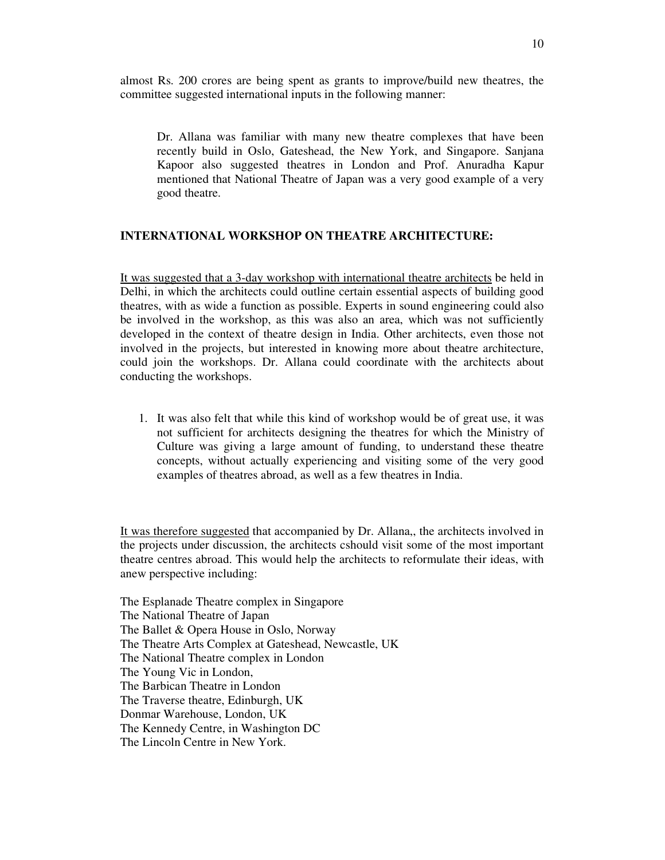almost Rs. 200 crores are being spent as grants to improve/build new theatres, the committee suggested international inputs in the following manner:

Dr. Allana was familiar with many new theatre complexes that have been recently build in Oslo, Gateshead, the New York, and Singapore. Sanjana Kapoor also suggested theatres in London and Prof. Anuradha Kapur mentioned that National Theatre of Japan was a very good example of a very good theatre.

#### **INTERNATIONAL WORKSHOP ON THEATRE ARCHITECTURE:**

It was suggested that a 3-day workshop with international theatre architects be held in Delhi, in which the architects could outline certain essential aspects of building good theatres, with as wide a function as possible. Experts in sound engineering could also be involved in the workshop, as this was also an area, which was not sufficiently developed in the context of theatre design in India. Other architects, even those not involved in the projects, but interested in knowing more about theatre architecture, could join the workshops. Dr. Allana could coordinate with the architects about conducting the workshops.

1. It was also felt that while this kind of workshop would be of great use, it was not sufficient for architects designing the theatres for which the Ministry of Culture was giving a large amount of funding, to understand these theatre concepts, without actually experiencing and visiting some of the very good examples of theatres abroad, as well as a few theatres in India.

It was therefore suggested that accompanied by Dr. Allana,, the architects involved in the projects under discussion, the architects cshould visit some of the most important theatre centres abroad. This would help the architects to reformulate their ideas, with anew perspective including:

The Esplanade Theatre complex in Singapore The National Theatre of Japan The Ballet & Opera House in Oslo, Norway The Theatre Arts Complex at Gateshead, Newcastle, UK The National Theatre complex in London The Young Vic in London, The Barbican Theatre in London The Traverse theatre, Edinburgh, UK Donmar Warehouse, London, UK The Kennedy Centre, in Washington DC The Lincoln Centre in New York.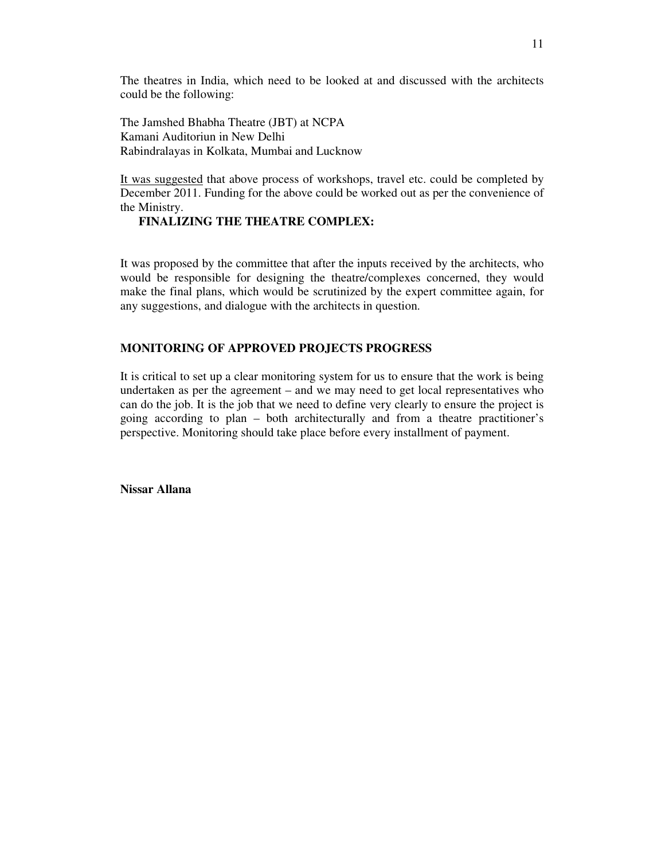The theatres in India, which need to be looked at and discussed with the architects could be the following:

The Jamshed Bhabha Theatre (JBT) at NCPA Kamani Auditoriun in New Delhi Rabindralayas in Kolkata, Mumbai and Lucknow

It was suggested that above process of workshops, travel etc. could be completed by December 2011. Funding for the above could be worked out as per the convenience of the Ministry.

## **FINALIZING THE THEATRE COMPLEX:**

It was proposed by the committee that after the inputs received by the architects, who would be responsible for designing the theatre/complexes concerned, they would make the final plans, which would be scrutinized by the expert committee again, for any suggestions, and dialogue with the architects in question.

### **MONITORING OF APPROVED PROJECTS PROGRESS**

It is critical to set up a clear monitoring system for us to ensure that the work is being undertaken as per the agreement – and we may need to get local representatives who can do the job. It is the job that we need to define very clearly to ensure the project is going according to plan – both architecturally and from a theatre practitioner's perspective. Monitoring should take place before every installment of payment.

**Nissar Allana**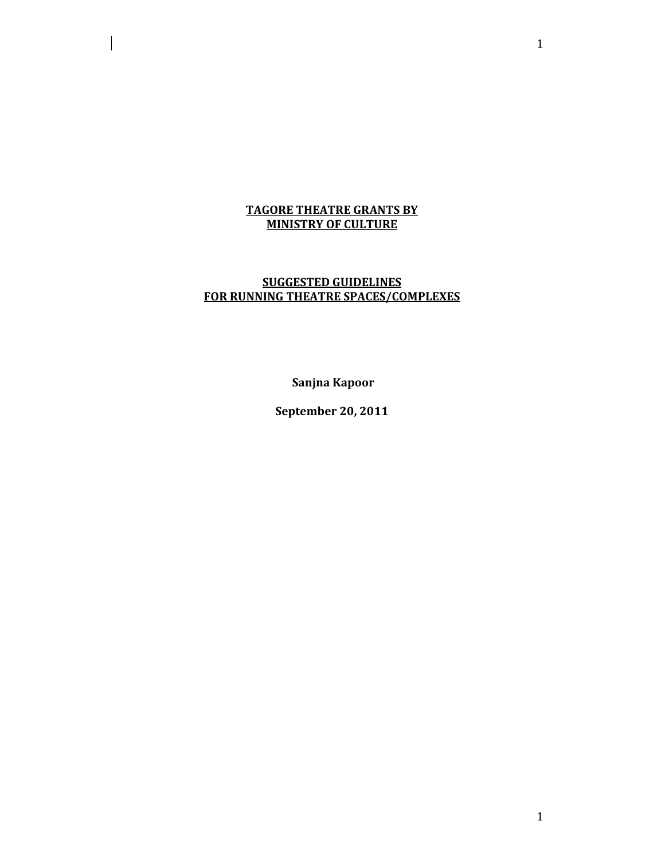## TAGORE THEATRE GRANTS BY MINISTRY OF CULTURE

 $\overline{\phantom{a}}$ 

## SUGGESTED GUIDELINES FOR RUNNING THEATRE SPACES/COMPLEXES

Sanjna Kapoor

September 20, 2011

1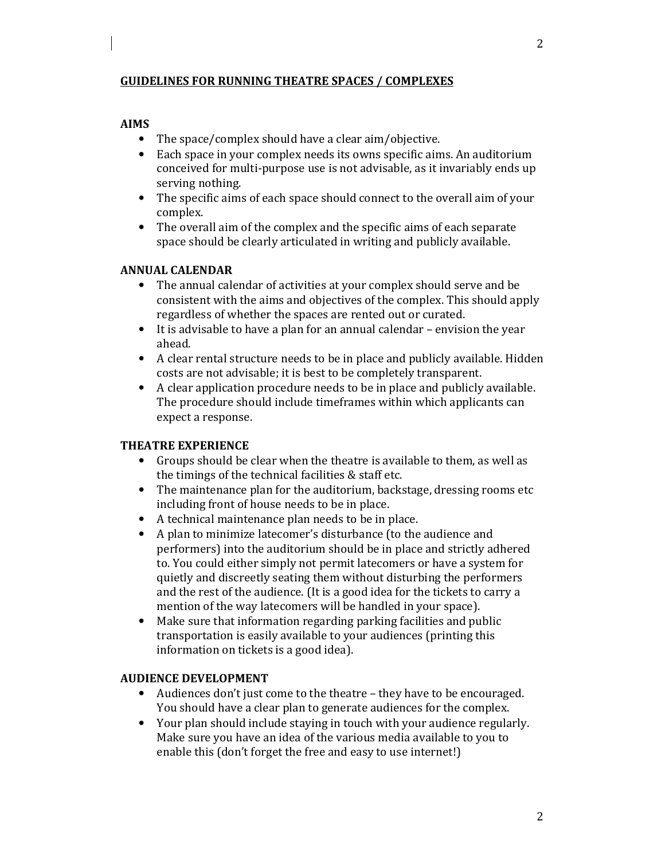## GUIDELINES FOR RUNNING THEATRE SPACES / COMPLEXES

### AIMS

- The space/complex should have a clear aim/objective.
- Each space in your complex needs its owns specific aims. An auditorium conceived for multi-purpose use is not advisable, as it invariably ends up serving nothing.
- The specific aims of each space should connect to the overall aim of your complex.
- The overall aim of the complex and the specific aims of each separate space should be clearly articulated in writing and publicly available.

### ANNUAL CALENDAR

- The annual calendar of activities at your complex should serve and be consistent with the aims and objectives of the complex. This should apply regardless of whether the spaces are rented out or curated.
- It is advisable to have a plan for an annual calendar envision the year ahead.
- A clear rental structure needs to be in place and publicly available. Hidden costs are not advisable; it is best to be completely transparent.
- A clear application procedure needs to be in place and publicly available. The procedure should include timeframes within which applicants can expect a response.

## THEATRE EXPERIENCE

- Groups should be clear when the theatre is available to them, as well as the timings of the technical facilities & staff etc.
- The maintenance plan for the auditorium, backstage, dressing rooms etc including front of house needs to be in place.
- A technical maintenance plan needs to be in place.
- A plan to minimize latecomer's disturbance (to the audience and performers) into the auditorium should be in place and strictly adhered to. You could either simply not permit latecomers or have a system for quietly and discreetly seating them without disturbing the performers and the rest of the audience. (It is a good idea for the tickets to carry a mention of the way latecomers will be handled in your space).
- Make sure that information regarding parking facilities and public transportation is easily available to your audiences (printing this information on tickets is a good idea).

## AUDIENCE DEVELOPMENT

- Audiences don't just come to the theatre they have to be encouraged. You should have a clear plan to generate audiences for the complex.
- Your plan should include staying in touch with your audience regularly. Make sure you have an idea of the various media available to you to enable this (don't forget the free and easy to use internet!)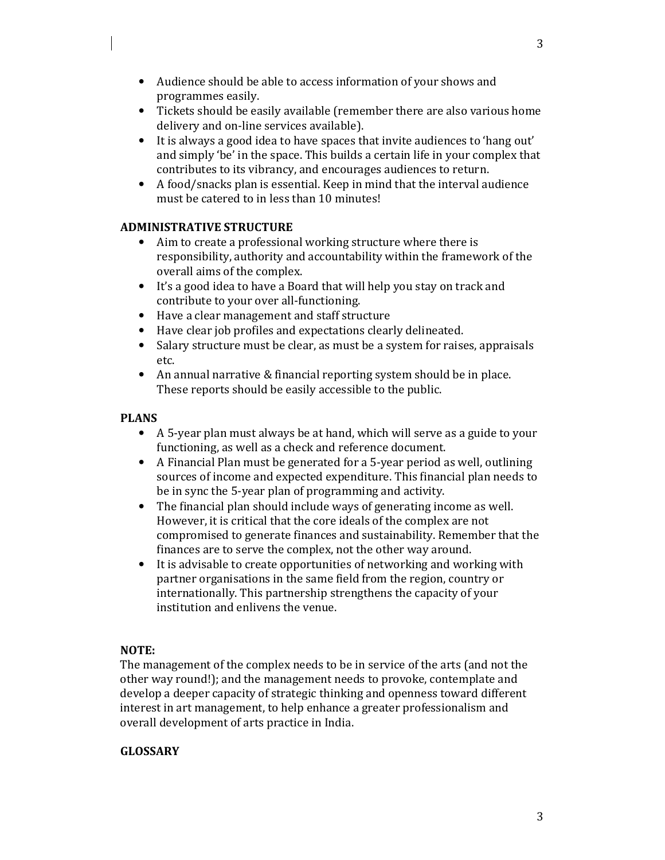3

- Audience should be able to access information of your shows and programmes easily.
- Tickets should be easily available (remember there are also various home delivery and on-line services available).
- It is always a good idea to have spaces that invite audiences to 'hang out' and simply 'be' in the space. This builds a certain life in your complex that contributes to its vibrancy, and encourages audiences to return.
- A food/snacks plan is essential. Keep in mind that the interval audience must be catered to in less than 10 minutes!

# ADMINISTRATIVE STRUCTURE

- Aim to create a professional working structure where there is responsibility, authority and accountability within the framework of the overall aims of the complex.
- It's a good idea to have a Board that will help you stay on track and contribute to your over all-functioning.
- Have a clear management and staff structure
- Have clear job profiles and expectations clearly delineated.
- Salary structure must be clear, as must be a system for raises, appraisals etc.
- An annual narrative & financial reporting system should be in place. These reports should be easily accessible to the public.

# PLANS

- A 5-year plan must always be at hand, which will serve as a guide to your functioning, as well as a check and reference document.
- A Financial Plan must be generated for a 5-year period as well, outlining sources of income and expected expenditure. This financial plan needs to be in sync the 5-year plan of programming and activity.
- The financial plan should include ways of generating income as well. However, it is critical that the core ideals of the complex are not compromised to generate finances and sustainability. Remember that the finances are to serve the complex, not the other way around.
- It is advisable to create opportunities of networking and working with partner organisations in the same field from the region, country or internationally. This partnership strengthens the capacity of your institution and enlivens the venue.

# NOTE:

The management of the complex needs to be in service of the arts (and not the other way round!); and the management needs to provoke, contemplate and develop a deeper capacity of strategic thinking and openness toward different interest in art management, to help enhance a greater professionalism and overall development of arts practice in India.

# GLOSSARY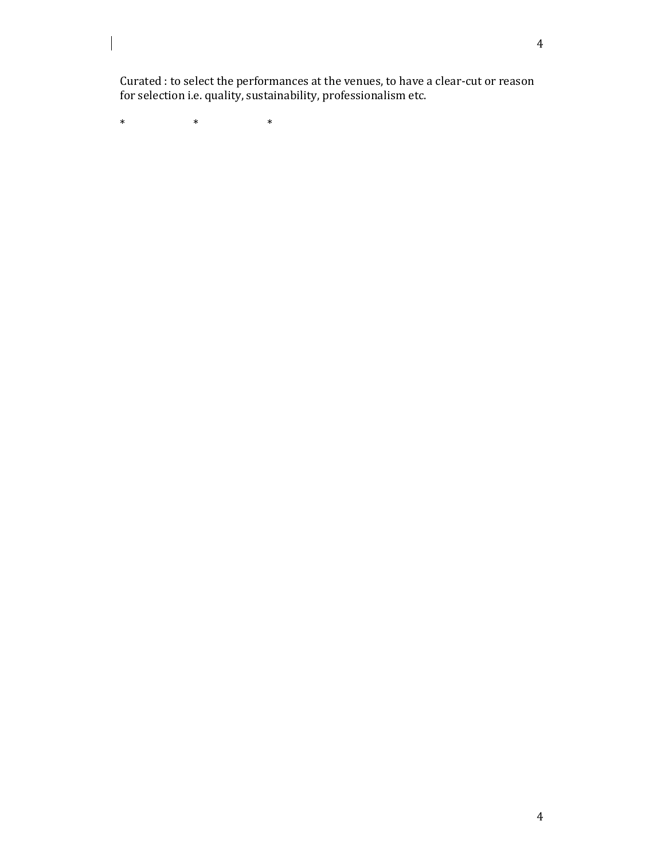Curated : to select the performances at the venues, to have a clear-cut or reason for selection i.e. quality, sustainability, professionalism etc.

\* \* \* \* \*

 $\overline{\phantom{a}}$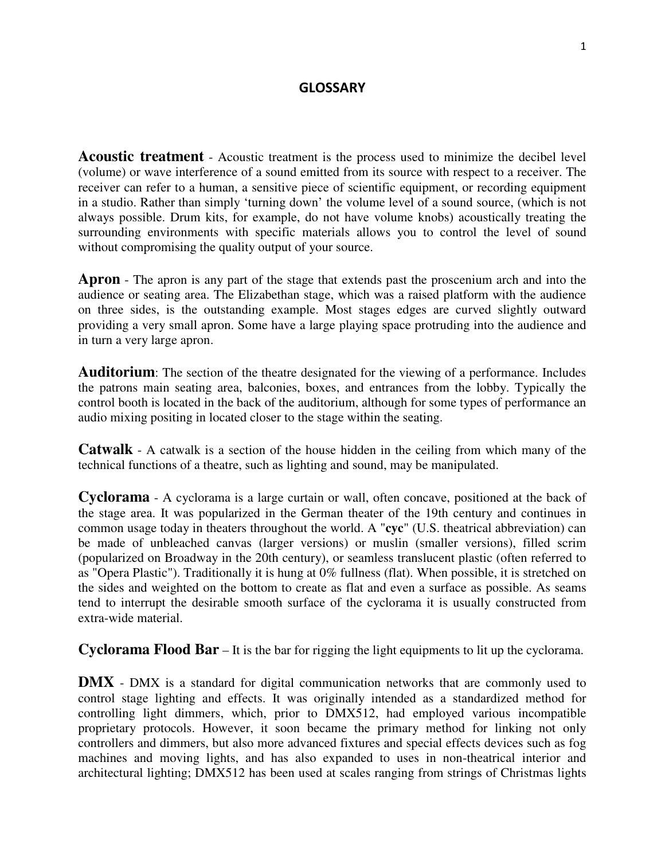## **GLOSSARY**

**Acoustic treatment** - Acoustic treatment is the process used to minimize the decibel level (volume) or wave interference of a sound emitted from its source with respect to a receiver. The receiver can refer to a human, a sensitive piece of scientific equipment, or recording equipment in a studio. Rather than simply 'turning down' the volume level of a sound source, (which is not always possible. Drum kits, for example, do not have volume knobs) acoustically treating the surrounding environments with specific materials allows you to control the level of sound without compromising the quality output of your source.

**Apron** - The apron is any part of the stage that extends past the proscenium arch and into the audience or seating area. The Elizabethan stage, which was a raised platform with the audience on three sides, is the outstanding example. Most stages edges are curved slightly outward providing a very small apron. Some have a large playing space protruding into the audience and in turn a very large apron.

**Auditorium**: The section of the theatre designated for the viewing of a performance. Includes the patrons main seating area, balconies, boxes, and entrances from the lobby. Typically the control booth is located in the back of the auditorium, although for some types of performance an audio mixing positing in located closer to the stage within the seating.

**Catwalk** - A catwalk is a section of the house hidden in the ceiling from which many of the technical functions of a theatre, such as lighting and sound, may be manipulated.

**Cyclorama** - A cyclorama is a large curtain or wall, often concave, positioned at the back of the stage area. It was popularized in the German theater of the 19th century and continues in common usage today in theaters throughout the world. A "**cyc**" (U.S. theatrical abbreviation) can be made of unbleached canvas (larger versions) or muslin (smaller versions), filled scrim (popularized on Broadway in the 20th century), or seamless translucent plastic (often referred to as "Opera Plastic"). Traditionally it is hung at 0% fullness (flat). When possible, it is stretched on the sides and weighted on the bottom to create as flat and even a surface as possible. As seams tend to interrupt the desirable smooth surface of the cyclorama it is usually constructed from extra-wide material.

**Cyclorama Flood Bar** – It is the bar for rigging the light equipments to lit up the cyclorama.

**DMX** - DMX is a standard for digital communication networks that are commonly used to control stage lighting and effects. It was originally intended as a standardized method for controlling light dimmers, which, prior to DMX512, had employed various incompatible proprietary protocols. However, it soon became the primary method for linking not only controllers and dimmers, but also more advanced fixtures and special effects devices such as fog machines and moving lights, and has also expanded to uses in non-theatrical interior and architectural lighting; DMX512 has been used at scales ranging from strings of Christmas lights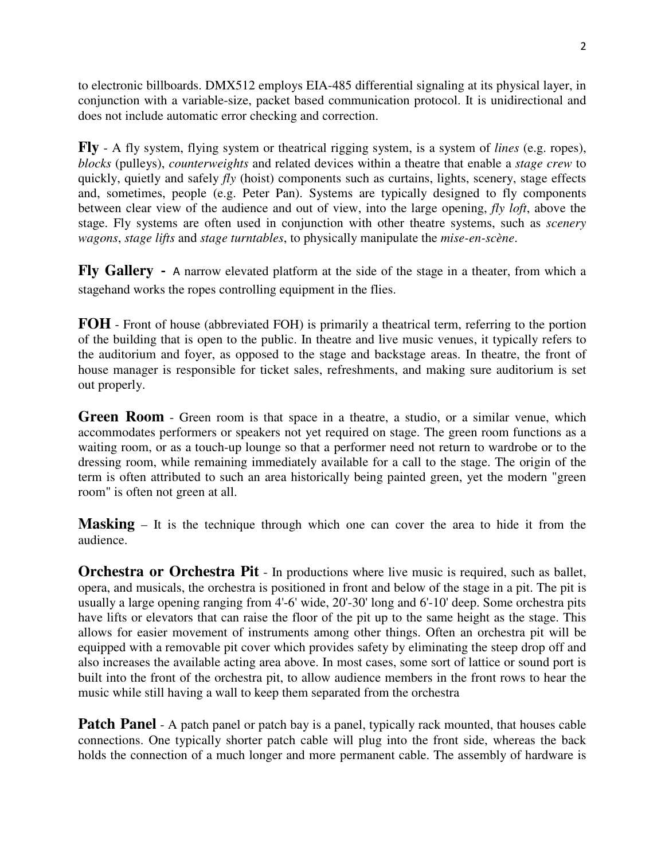to electronic billboards. DMX512 employs EIA-485 differential signaling at its physical layer, in conjunction with a variable-size, packet based communication protocol. It is unidirectional and does not include automatic error checking and correction.

**Fly** - A fly system, flying system or theatrical rigging system, is a system of *lines* (e.g. ropes), *blocks* (pulleys), *counterweights* and related devices within a theatre that enable a *stage crew* to quickly, quietly and safely *fly* (hoist) components such as curtains, lights, scenery, stage effects and, sometimes, people (e.g. Peter Pan). Systems are typically designed to fly components between clear view of the audience and out of view, into the large opening, *fly loft*, above the stage. Fly systems are often used in conjunction with other theatre systems, such as *scenery wagons*, *stage lifts* and *stage turntables*, to physically manipulate the *mise-en-scène*.

**Fly Gallery** - A narrow elevated platform at the side of the stage in a theater, from which a stagehand works the ropes controlling equipment in the flies.

**FOH** - Front of house (abbreviated FOH) is primarily a theatrical term, referring to the portion of the building that is open to the public. In theatre and live music venues, it typically refers to the auditorium and foyer, as opposed to the stage and backstage areas. In theatre, the front of house manager is responsible for ticket sales, refreshments, and making sure auditorium is set out properly.

**Green Room** - Green room is that space in a theatre, a studio, or a similar venue, which accommodates performers or speakers not yet required on stage. The green room functions as a waiting room, or as a touch-up lounge so that a performer need not return to wardrobe or to the dressing room, while remaining immediately available for a call to the stage. The origin of the term is often attributed to such an area historically being painted green, yet the modern "green room" is often not green at all.

**Masking** – It is the technique through which one can cover the area to hide it from the audience.

**Orchestra or Orchestra Pit** - In productions where live music is required, such as ballet, opera, and musicals, the orchestra is positioned in front and below of the stage in a pit. The pit is usually a large opening ranging from 4'-6' wide, 20'-30' long and 6'-10' deep. Some orchestra pits have lifts or elevators that can raise the floor of the pit up to the same height as the stage. This allows for easier movement of instruments among other things. Often an orchestra pit will be equipped with a removable pit cover which provides safety by eliminating the steep drop off and also increases the available acting area above. In most cases, some sort of lattice or sound port is built into the front of the orchestra pit, to allow audience members in the front rows to hear the music while still having a wall to keep them separated from the orchestra

**Patch Panel** - A patch panel or patch bay is a panel, typically rack mounted, that houses cable connections. One typically shorter patch cable will plug into the front side, whereas the back holds the connection of a much longer and more permanent cable. The assembly of hardware is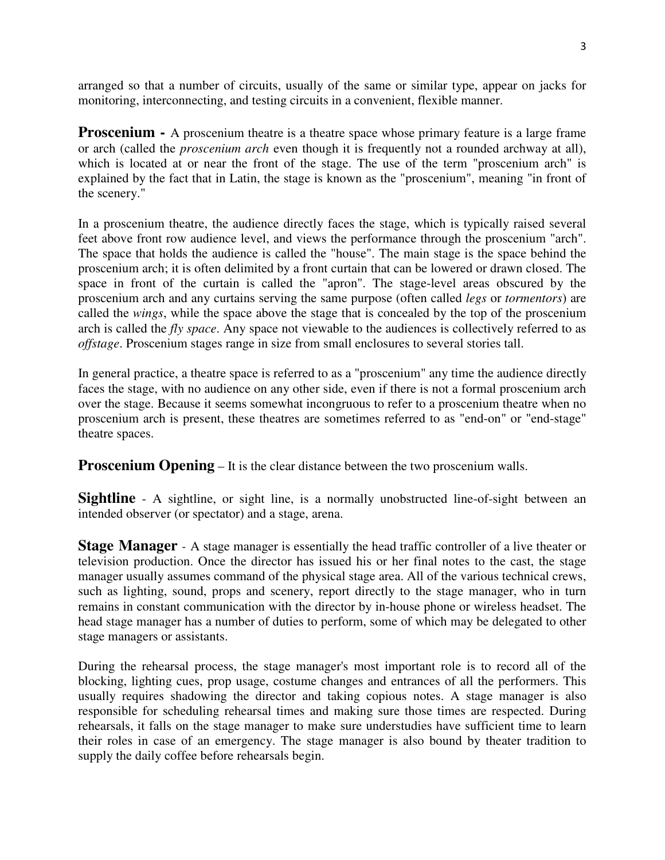arranged so that a number of circuits, usually of the same or similar type, appear on jacks for monitoring, interconnecting, and testing circuits in a convenient, flexible manner.

**Proscenium -** A proscenium theatre is a theatre space whose primary feature is a large frame or arch (called the *proscenium arch* even though it is frequently not a rounded archway at all), which is located at or near the front of the stage. The use of the term "proscenium arch" is explained by the fact that in Latin, the stage is known as the "proscenium", meaning "in front of the scenery."

In a proscenium theatre, the audience directly faces the stage, which is typically raised several feet above front row audience level, and views the performance through the proscenium "arch". The space that holds the audience is called the "house". The main stage is the space behind the proscenium arch; it is often delimited by a front curtain that can be lowered or drawn closed. The space in front of the curtain is called the "apron". The stage-level areas obscured by the proscenium arch and any curtains serving the same purpose (often called *legs* or *tormentors*) are called the *wings*, while the space above the stage that is concealed by the top of the proscenium arch is called the *fly space*. Any space not viewable to the audiences is collectively referred to as *offstage*. Proscenium stages range in size from small enclosures to several stories tall.

In general practice, a theatre space is referred to as a "proscenium" any time the audience directly faces the stage, with no audience on any other side, even if there is not a formal proscenium arch over the stage. Because it seems somewhat incongruous to refer to a proscenium theatre when no proscenium arch is present, these theatres are sometimes referred to as "end-on" or "end-stage" theatre spaces.

**Proscenium Opening** – It is the clear distance between the two proscenium walls.

**Sightline** - A sightline, or sight line, is a normally unobstructed line-of-sight between an intended observer (or spectator) and a stage, arena.

**Stage Manager** - A stage manager is essentially the head traffic controller of a live theater or television production. Once the director has issued his or her final notes to the cast, the stage manager usually assumes command of the physical stage area. All of the various technical crews, such as lighting, sound, props and scenery, report directly to the stage manager, who in turn remains in constant communication with the director by in-house phone or wireless headset. The head stage manager has a number of duties to perform, some of which may be delegated to other stage managers or assistants.

During the rehearsal process, the stage manager's most important role is to record all of the blocking, lighting cues, prop usage, costume changes and entrances of all the performers. This usually requires shadowing the director and taking copious notes. A stage manager is also responsible for scheduling rehearsal times and making sure those times are respected. During rehearsals, it falls on the stage manager to make sure understudies have sufficient time to learn their roles in case of an emergency. The stage manager is also bound by theater tradition to supply the daily coffee before rehearsals begin.